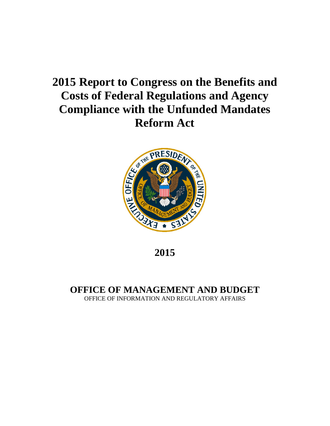## **2015 Report to Congress on the Benefits and Costs of Federal Regulations and Agency Compliance with the Unfunded Mandates Reform Act**



**2015**

**OFFICE OF MANAGEMENT AND BUDGET** OFFICE OF INFORMATION AND REGULATORY AFFAIRS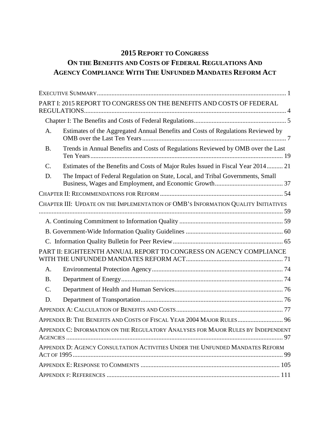### **2015 REPORT TO CONGRESS**

## **ON THE BENEFITS AND COSTS OF FEDERAL REGULATIONS AND AGENCY COMPLIANCE WITH THE UNFUNDED MANDATES REFORM ACT**

|           | PART I: 2015 REPORT TO CONGRESS ON THE BENEFITS AND COSTS OF FEDERAL                |
|-----------|-------------------------------------------------------------------------------------|
|           |                                                                                     |
| A.        | Estimates of the Aggregated Annual Benefits and Costs of Regulations Reviewed by    |
| <b>B.</b> | Trends in Annual Benefits and Costs of Regulations Reviewed by OMB over the Last    |
| C.        | Estimates of the Benefits and Costs of Major Rules Issued in Fiscal Year 2014 21    |
| D.        | The Impact of Federal Regulation on State, Local, and Tribal Governments, Small     |
|           |                                                                                     |
|           | CHAPTER III: UPDATE ON THE IMPLEMENTATION OF OMB'S INFORMATION QUALITY INITIATIVES  |
|           |                                                                                     |
|           |                                                                                     |
|           |                                                                                     |
|           | PART II: EIGHTEENTH ANNUAL REPORT TO CONGRESS ON AGENCY COMPLIANCE                  |
| A.        |                                                                                     |
| <b>B.</b> |                                                                                     |
| C.        |                                                                                     |
| D.        |                                                                                     |
|           |                                                                                     |
|           | APPENDIX B: THE BENEFITS AND COSTS OF FISCAL YEAR 2004 MAJOR RULES 96               |
|           | APPENDIX C: INFORMATION ON THE REGULATORY ANALYSES FOR MAJOR RULES BY INDEPENDENT   |
|           | APPENDIX D: AGENCY CONSULTATION ACTIVITIES UNDER THE UNFUNDED MANDATES REFORM<br>99 |
|           |                                                                                     |
|           |                                                                                     |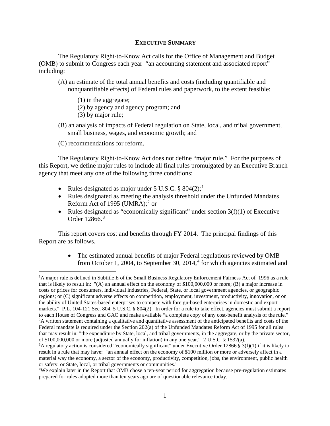#### <span id="page-3-0"></span>**EXECUTIVE SUMMARY**

The Regulatory Right-to-Know Act calls for the Office of Management and Budget (OMB) to submit to Congress each year "an accounting statement and associated report" including:

- (A) an estimate of the total annual benefits and costs (including quantifiable and nonquantifiable effects) of Federal rules and paperwork, to the extent feasible:
	- (1) in the aggregate;
	- (2) by agency and agency program; and
	- (3) by major rule;
- (B) an analysis of impacts of Federal regulation on State, local, and tribal government, small business, wages, and economic growth; and
- (C) recommendations for reform.

The Regulatory Right-to-Know Act does not define "major rule." For the purposes of this Report, we define major rules to include all final rules promulgated by an Executive Branch agency that meet any one of the following three conditions:

- Rules designated as major under  $5 \text{ U.S.C. }$  \$804(2);<sup>[1](#page-3-1)</sup>
- Rules designated as meeting the analysis threshold under the Unfunded Mandates Reform Act of 1995 (UMRA); $^{2}$  $^{2}$  $^{2}$  or
- Rules designated as "economically significant" under section  $3(f)(1)$  of Executive Order 12866.<sup>[3](#page-3-3)</sup>

This report covers cost and benefits through FY 2014. The principal findings of this Report are as follows.

> • The estimated annual benefits of major Federal regulations reviewed by OMB from October 1, 200[4](#page-3-4), to September 30,  $2014<sup>4</sup>$  for which agencies estimated and

<span id="page-3-1"></span> $\frac{1}{1}$ <sup>1</sup>A major rule is defined in Subtitle E of the Small Business Regulatory Enforcement Fairness Act of 1996 as a rule that is likely to result in: "(A) an annual effect on the economy of \$100,000,000 or more; (B) a major increase in costs or prices for consumers, individual industries, Federal, State, or local government agencies, or geographic regions; or (C) significant adverse effects on competition, employment, investment, productivity, innovation, or on the ability of United States-based enterprises to compete with foreign-based enterprises in domestic and export markets." P.L. 104-121 Sec. 804, 5 U.S.C. § 804(2). In order for a rule to take effect, agencies must submit a report to each House of Congress and GAO and make available "a complete copy of any cost-benefit analysis of the rule." 2 <sup>2</sup>A written statement containing a qualitative and quantitative assessment of the anticipated benefits and costs of the Federal mandate is required under the Section 202(a) of the Unfunded Mandates Reform Act of 1995 for all rules that may result in: "the expenditure by State, local, and tribal governments, in the aggregate, or by the private sector, of \$100,000,000 or more (adjusted annually for inflation) in any one year." 2 U.S.C. § 1532(a).

<span id="page-3-3"></span><span id="page-3-2"></span><sup>&</sup>lt;sup>3</sup>A regulatory action is considered "economically significant" under Executive Order 12866 § 3(f)(1) if it is likely to result in a rule that may have: "an annual effect on the economy of \$100 million or more or adversely affect in a material way the economy, a sector of the economy, productivity, competition, jobs, the environment, public health or safety, or State, local, or tribal governments or communities."

<span id="page-3-4"></span><sup>4</sup> We explain later in the Report that OMB chose a ten-year period for aggregation because pre-regulation estimates prepared for rules adopted more than ten years ago are of questionable relevance today.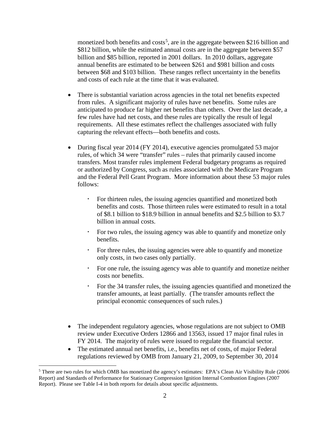monetized both benefits and costs<sup>[5](#page-4-0)</sup>, are in the aggregate between \$216 billion and \$812 billion, while the estimated annual costs are in the aggregate between \$57 billion and \$85 billion, reported in 2001 dollars. In 2010 dollars, aggregate annual benefits are estimated to be between \$261 and \$981 billion and costs between \$68 and \$103 billion. These ranges reflect uncertainty in the benefits and costs of each rule at the time that it was evaluated.

- There is substantial variation across agencies in the total net benefits expected from rules. A significant majority of rules have net benefits. Some rules are anticipated to produce far higher net benefits than others. Over the last decade, a few rules have had net costs, and these rules are typically the result of legal requirements. All these estimates reflect the challenges associated with fully capturing the relevant effects—both benefits and costs.
- During fiscal year 2014 (FY 2014), executive agencies promulgated 53 major rules, of which 34 were "transfer" rules – rules that primarily caused income transfers. Most transfer rules implement Federal budgetary programs as required or authorized by Congress, such as rules associated with the Medicare Program and the Federal Pell Grant Program. More information about these 53 major rules follows:
	- For thirteen rules, the issuing agencies quantified and monetized both benefits and costs. Those thirteen rules were estimated to result in a total of \$8.1 billion to \$18.9 billion in annual benefits and \$2.5 billion to \$3.7 billion in annual costs.
	- For two rules, the issuing agency was able to quantify and monetize only benefits.
	- For three rules, the issuing agencies were able to quantify and monetize only costs, in two cases only partially.
	- For one rule, the issuing agency was able to quantify and monetize neither costs nor benefits.
	- For the 34 transfer rules, the issuing agencies quantified and monetized the transfer amounts, at least partially. (The transfer amounts reflect the principal economic consequences of such rules.)
- The independent regulatory agencies, whose regulations are not subject to OMB review under Executive Orders 12866 and 13563, issued 17 major final rules in FY 2014. The majority of rules were issued to regulate the financial sector.
- The estimated annual net benefits, i.e., benefits net of costs, of major Federal regulations reviewed by OMB from January 21, 2009, to September 30, 2014

<span id="page-4-0"></span> <sup>5</sup> There are two rules for which OMB has monetized the agency's estimates: EPA's Clean Air Visibility Rule (2006 Report) and Standards of Performance for Stationary Compression Ignition Internal Combustion Engines (2007 Report). Please see Table I-4 in both reports for details about specific adjustments.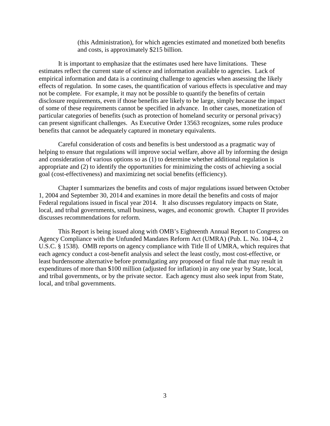(this Administration), for which agencies estimated and monetized both benefits and costs, is approximately \$215 billion.

It is important to emphasize that the estimates used here have limitations. These estimates reflect the current state of science and information available to agencies. Lack of empirical information and data is a continuing challenge to agencies when assessing the likely effects of regulation. In some cases, the quantification of various effects is speculative and may not be complete. For example, it may not be possible to quantify the benefits of certain disclosure requirements, even if those benefits are likely to be large, simply because the impact of some of these requirements cannot be specified in advance. In other cases, monetization of particular categories of benefits (such as protection of homeland security or personal privacy) can present significant challenges. As Executive Order 13563 recognizes, some rules produce benefits that cannot be adequately captured in monetary equivalents.

Careful consideration of costs and benefits is best understood as a pragmatic way of helping to ensure that regulations will improve social welfare, above all by informing the design and consideration of various options so as (1) to determine whether additional regulation is appropriate and (2) to identify the opportunities for minimizing the costs of achieving a social goal (cost-effectiveness) and maximizing net social benefits (efficiency).

Chapter I summarizes the benefits and costs of major regulations issued between October 1, 2004 and September 30, 2014 and examines in more detail the benefits and costs of major Federal regulations issued in fiscal year 2014. It also discusses regulatory impacts on State, local, and tribal governments, small business, wages, and economic growth. Chapter II provides discusses recommendations for reform.

This Report is being issued along with OMB's Eighteenth Annual Report to Congress on Agency Compliance with the Unfunded Mandates Reform Act (UMRA) (Pub. L. No. 104-4, 2 U.S.C. § 1538). OMB reports on agency compliance with Title II of UMRA, which requires that each agency conduct a cost-benefit analysis and select the least costly, most cost-effective, or least burdensome alternative before promulgating any proposed or final rule that may result in expenditures of more than \$100 million (adjusted for inflation) in any one year by State, local, and tribal governments, or by the private sector. Each agency must also seek input from State, local, and tribal governments.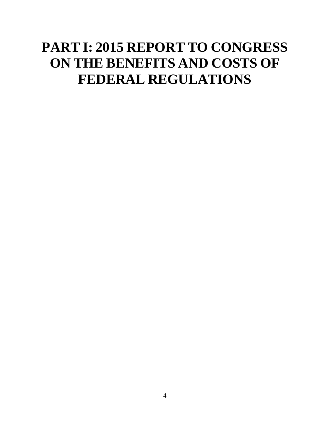# <span id="page-6-0"></span>**PART I: 2015 REPORT TO CONGRESS ON THE BENEFITS AND COSTS OF FEDERAL REGULATIONS**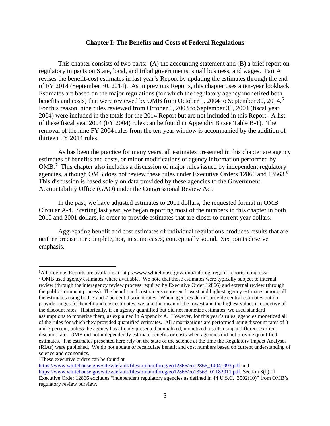#### **Chapter I: The Benefits and Costs of Federal Regulations**

<span id="page-7-0"></span>This chapter consists of two parts: (A) the accounting statement and (B) a brief report on regulatory impacts on State, local, and tribal governments, small business, and wages. Part A revises the benefit-cost estimates in last year's Report by updating the estimates through the end of FY 2014 (September 30, 2014). As in previous Reports, this chapter uses a ten-year lookback. Estimates are based on the major regulations (for which the regulatory agency monetized both benefits and costs) that were reviewed by OMB from October 1, 2004 to September 30, 2014.<sup>[6](#page-7-1)</sup> For this reason, nine rules reviewed from October 1, 2003 to September 30, 2004 (fiscal year 2004) were included in the totals for the 2014 Report but are not included in this Report. A list of these fiscal year 2004 (FY 2004) rules can be found in Appendix B (see Table B-1). The removal of the nine FY 2004 rules from the ten-year window is accompanied by the addition of thirteen FY 2014 rules.

As has been the practice for many years, all estimates presented in this chapter are agency estimates of benefits and costs, or minor modifications of agency information performed by OMB.<sup>[7](#page-7-2)</sup> This chapter also includes a discussion of major rules issued by independent regulatory agencies, although OMB does not review these rules under Executive Orders 12[8](#page-7-3)66 and 13563.<sup>8</sup> This discussion is based solely on data provided by these agencies to the Government Accountability Office (GAO) under the Congressional Review Act.

In the past, we have adjusted estimates to 2001 dollars, the requested format in OMB Circular A-4. Starting last year, we began reporting most of the numbers in this chapter in both 2010 and 2001 dollars, in order to provide estimates that are closer to current year dollars.

Aggregating benefit and cost estimates of individual regulations produces results that are neither precise nor complete, nor, in some cases, conceptually sound. Six points deserve emphasis.

 $\overline{a}$ 

<span id="page-7-1"></span><sup>6</sup> All previous Reports are available at: http://www.whitehouse.gov/omb/inforeg\_regpol\_reports\_congress/.

<span id="page-7-2"></span><sup>7</sup> OMB used agency estimates where available. We note that those estimates were typically subject to internal review (through the interagency review process required by Executive Order 12866) and external review (through the public comment process). The benefit and cost ranges represent lowest and highest agency estimates among all the estimates using both 3 and 7 percent discount rates. When agencies do not provide central estimates but do provide ranges for benefit and cost estimates, we take the mean of the lowest and the highest values irrespective of the discount rates. Historically, if an agency quantified but did not monetize estimates, we used standard assumptions to monetize them, as explained in Appendix A. However, for this year's rules, agencies monetized all of the rules for which they provided quantified estimates. All amortizations are performed using discount rates of 3 and 7 percent, unless the agency has already presented annualized, monetized results using a different explicit discount rate. OMB did not independently estimate benefits or costs when agencies did not provide quantified estimates. The estimates presented here rely on the state of the science at the time the Regulatory Impact Analyses (RIAs) were published. We do not update or recalculate benefit and cost numbers based on current understanding of science and economics.

<span id="page-7-3"></span><sup>8</sup> These executive orders can be found at

[https://www.whitehouse.gov/sites/default/files/omb/inforeg/eo12866/eo12866\\_10041993.pdf](https://www.whitehouse.gov/sites/default/files/omb/inforeg/eo12866/eo12866_10041993.pdf) and [https://www.whitehouse.gov/sites/default/files/omb/inforeg/eo12866/eo13563\\_01182011.pdf.](https://www.whitehouse.gov/sites/default/files/omb/inforeg/eo12866/eo13563_01182011.pdf) Section 3(b) of Executive Order 12866 excludes "independent regulatory agencies as defined in 44 U.S.C. 3502(10)" from OMB's regulatory review purview.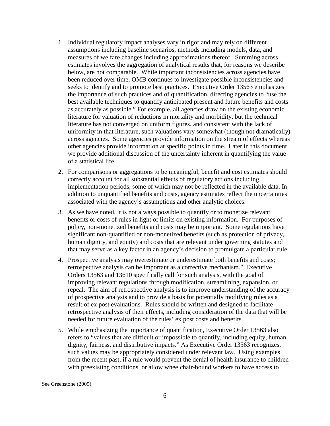- 1. Individual regulatory impact analyses vary in rigor and may rely on different assumptions including baseline scenarios, methods including models, data, and measures of welfare changes including approximations thereof. Summing across estimates involves the aggregation of analytical results that, for reasons we describe below, are not comparable. While important inconsistencies across agencies have been reduced over time, OMB continues to investigate possible inconsistencies and seeks to identify and to promote best practices. Executive Order 13563 emphasizes the importance of such practices and of quantification, directing agencies to "use the best available techniques to quantify anticipated present and future benefits and costs as accurately as possible." For example, all agencies draw on the existing economic literature for valuation of reductions in mortality and morbidity, but the technical literature has not converged on uniform figures, and consistent with the lack of uniformity in that literature, such valuations vary somewhat (though not dramatically) across agencies. Some agencies provide information on the stream of effects whereas other agencies provide information at specific points in time. Later in this document we provide additional discussion of the uncertainty inherent in quantifying the value of a statistical life.
- 2. For comparisons or aggregations to be meaningful, benefit and cost estimates should correctly account for all substantial effects of regulatory actions including implementation periods, some of which may not be reflected in the available data. In addition to unquantified benefits and costs, agency estimates reflect the uncertainties associated with the agency's assumptions and other analytic choices.
- 3. As we have noted, it is not always possible to quantify or to monetize relevant benefits or costs of rules in light of limits on existing information. For purposes of policy, non-monetized benefits and costs may be important. Some regulations have significant non-quantified or non-monetized benefits (such as protection of privacy, human dignity, and equity) and costs that are relevant under governing statutes and that may serve as a key factor in an agency's decision to promulgate a particular rule.
- 4. Prospective analysis may overestimate or underestimate both benefits and costs; retrospective analysis can be important as a corrective mechanism.<sup>[9](#page-8-0)</sup> Executive Orders 13563 and 13610 specifically call for such analysis, with the goal of improving relevant regulations through modification, streamlining, expansion, or repeal. The aim of retrospective analysis is to improve understanding of the accuracy of prospective analysis and to provide a basis for potentially modifying rules as a result of ex post evaluations. Rules should be written and designed to facilitate retrospective analysis of their effects, including consideration of the data that will be needed for future evaluation of the rules' ex post costs and benefits.
- 5. While emphasizing the importance of quantification, Executive Order 13563 also refers to "values that are difficult or impossible to quantify, including equity, human dignity, fairness, and distributive impacts." As Executive Order 13563 recognizes, such values may be appropriately considered under relevant law. Using examples from the recent past, if a rule would prevent the denial of health insurance to children with preexisting conditions, or allow wheelchair-bound workers to have access to

<span id="page-8-0"></span><sup>&</sup>lt;sup>9</sup> See Greenstone (2009).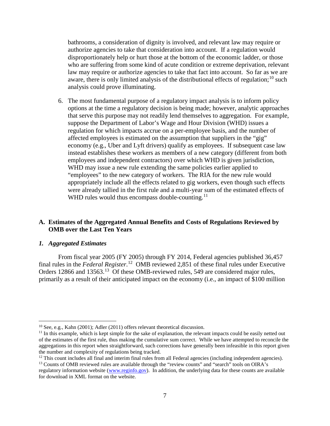bathrooms, a consideration of dignity is involved, and relevant law may require or authorize agencies to take that consideration into account. If a regulation would disproportionately help or hurt those at the bottom of the economic ladder, or those who are suffering from some kind of acute condition or extreme deprivation, relevant law may require or authorize agencies to take that fact into account. So far as we are aware, there is only limited analysis of the distributional effects of regulation;<sup>[10](#page-9-1)</sup> such analysis could prove illuminating.

6. The most fundamental purpose of a regulatory impact analysis is to inform policy options at the time a regulatory decision is being made; however, analytic approaches that serve this purpose may not readily lend themselves to aggregation. For example, suppose the Department of Labor's Wage and Hour Division (WHD) issues a regulation for which impacts accrue on a per-employee basis, and the number of affected employees is estimated on the assumption that suppliers in the "gig" economy (e.g., Uber and Lyft drivers) qualify as employees. If subsequent case law instead establishes these workers as members of a new category (different from both employees and independent contractors) over which WHD is given jurisdiction, WHD may issue a new rule extending the same policies earlier applied to "employees" to the new category of workers. The RIA for the new rule would appropriately include all the effects related to gig workers, even though such effects were already tallied in the first rule and a multi-year sum of the estimated effects of WHD rules would thus encompass double-counting.<sup>[11](#page-9-2)</sup>

#### <span id="page-9-0"></span>**A. Estimates of the Aggregated Annual Benefits and Costs of Regulations Reviewed by OMB over the Last Ten Years**

#### *1. Aggregated Estimates*

From fiscal year 2005 (FY 2005) through FY 2014, Federal agencies published 36,457 final rules in the *Federal Register*. [12](#page-9-3) OMB reviewed 2,851 of these final rules under Executive Orders 12866 and 13563.<sup>13</sup> Of these OMB-reviewed rules, 549 are considered major rules, primarily as a result of their anticipated impact on the economy (i.e., an impact of \$100 million

<span id="page-9-3"></span><sup>12</sup> This count includes all final and interim final rules from all Federal agencies (including independent agencies).

<span id="page-9-1"></span> <sup>10</sup> See, e.g., Kahn (2001); Adler (2011) offers relevant theoretical discussion.

<span id="page-9-2"></span> $<sup>11</sup>$  In this example, which is kept simple for the sake of explanation, the relevant impacts could be easily netted out</sup> of the estimates of the first rule, thus making the cumulative sum correct. While we have attempted to reconcile the aggregations in this report when straightforward, such corrections have generally been infeasible in this report given the number and complexity of regulations being tracked.

<span id="page-9-4"></span><sup>&</sup>lt;sup>13</sup> Counts of OMB reviewed rules are available through the "review counts" and "search" tools on OIRA's regulatory information website [\(www.reginfo.gov\)](http://www.reginfo.gov/). In addition, the underlying data for these counts are available for download in XML format on the website.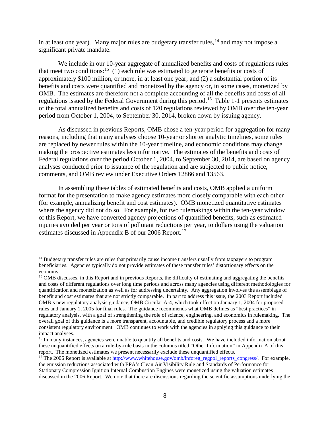in at least one year). Many major rules are budgetary transfer rules,  $^{14}$  $^{14}$  $^{14}$  and may not impose a significant private mandate.

We include in our 10-year aggregate of annualized benefits and costs of regulations rules that meet two conditions:<sup>[15](#page-10-1)</sup> (1) each rule was estimated to generate benefits or costs of approximately \$100 million, or more, in at least one year; and (2) a substantial portion of its benefits and costs were quantified and monetized by the agency or, in some cases, monetized by OMB. The estimates are therefore not a complete accounting of all the benefits and costs of all regulations issued by the Federal Government during this period.[16](#page-10-2) Table 1-1 presents estimates of the total annualized benefits and costs of 120 regulations reviewed by OMB over the ten-year period from October 1, 2004, to September 30, 2014, broken down by issuing agency.

As discussed in previous Reports, OMB chose a ten-year period for aggregation for many reasons, including that many analyses choose 10-year or shorter analytic timelines, some rules are replaced by newer rules within the 10-year timeline, and economic conditions may change making the prospective estimates less informative. The estimates of the benefits and costs of Federal regulations over the period October 1, 2004, to September 30, 2014, are based on agency analyses conducted prior to issuance of the regulation and are subjected to public notice, comments, and OMB review under Executive Orders 12866 and 13563.

In assembling these tables of estimated benefits and costs, OMB applied a uniform format for the presentation to make agency estimates more closely comparable with each other (for example, annualizing benefit and cost estimates). OMB monetized quantitative estimates where the agency did not do so. For example, for two rulemakings within the ten-year window of this Report, we have converted agency projections of quantified benefits, such as estimated injuries avoided per year or tons of pollutant reductions per year, to dollars using the valuation estimates discussed in Appendix B of our 2006 Report.<sup>[17](#page-10-3)</sup>

<span id="page-10-0"></span><sup>&</sup>lt;sup>14</sup> Budgetary transfer rules are rules that primarily cause income transfers usually from taxpayers to program beneficiaries. Agencies typically do not provide estimates of these transfer rules' distortionary effects on the economy.

<span id="page-10-1"></span><sup>&</sup>lt;sup>15</sup> OMB discusses, in this Report and in previous Reports, the difficulty of estimating and aggregating the benefits and costs of different regulations over long time periods and across many agencies using different methodologies for quantification and monetization as well as for addressing uncertainty. Any aggregation involves the assemblage of benefit and cost estimates that are not strictly comparable. In part to address this issue, the 2003 Report included OMB's new regulatory analysis guidance, OMB Circular A-4, which took effect on January 1, 2004 for proposed rules and January 1, 2005 for final rules. The guidance recommends what OMB defines as "best practices" in regulatory analysis, with a goal of strengthening the role of science, engineering, and economics in rulemaking. The overall goal of this guidance is a more transparent, accountable, and credible regulatory process and a more consistent regulatory environment. OMB continues to work with the agencies in applying this guidance to their impact analyses.

<span id="page-10-2"></span><sup>&</sup>lt;sup>16</sup> In many instances, agencies were unable to quantify all benefits and costs. We have included information about these unquantified effects on a rule-by-rule basis in the columns titled "Other Information" in Appendix A of this report. The monetized estimates we present necessarily exclude these unquantified effects.

<span id="page-10-3"></span><sup>&</sup>lt;sup>17</sup> The 2006 Report is available a[t http://www.whitehouse.gov/omb/inforeg\\_regpol\\_reports\\_congress/.](http://www.whitehouse.gov/omb/inforeg_regpol_reports_congress/) For example, the emission reductions associated with EPA's Clean Air Visibility Rule and Standards of Performance for Stationary Compression Ignition Internal Combustion Engines were monetized using the valuation estimates discussed in the 2006 Report. We note that there are discussions regarding the scientific assumptions underlying the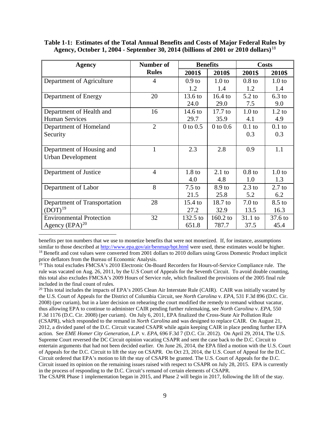|                                                                                               |  | Table 1-1: Estimates of the Total Annual Benefits and Costs of Major Federal Rules by |
|-----------------------------------------------------------------------------------------------|--|---------------------------------------------------------------------------------------|
| Agency, October 1, 2004 - September 30, 2014 (billions of 2001 or 2010 dollars) <sup>18</sup> |  |                                                                                       |

| <b>Agency</b>                   | <b>Number of</b> |                   | <b>Benefits</b>   | <b>Costs</b>      |                   |
|---------------------------------|------------------|-------------------|-------------------|-------------------|-------------------|
|                                 | <b>Rules</b>     | 2001\$            | 2010\$            | 2001\$            | 2010\$            |
| Department of Agriculture       | $\overline{4}$   | 0.9 <sub>to</sub> | 1.0 <sub>to</sub> | 0.8 <sub>to</sub> | 1.0 <sub>to</sub> |
|                                 |                  | 1.2               | 1.4               | 1.2               | 1.4               |
| Department of Energy            | 20               | 13.6 to           | $16.4$ to         | $5.2$ to          | $6.3$ to          |
|                                 |                  | 24.0              | 29.0              | 7.5               | 9.0               |
| Department of Health and        | 16               | $14.6 \text{ to}$ | $17.7$ to         | 1.0 <sub>to</sub> | $1.2$ to          |
| <b>Human Services</b>           |                  | 29.7              | 35.9              | 4.1               | 4.9               |
| Department of Homeland          | $\overline{2}$   | $0$ to $0.5$      | $0$ to $0.6$      | $0.1$ to          | $0.1$ to          |
| Security                        |                  |                   |                   | 0.3               | 0.3               |
|                                 |                  |                   |                   |                   |                   |
| Department of Housing and       | 1                | 2.3               | 2.8               | 0.9               | 1.1               |
| <b>Urban Development</b>        |                  |                   |                   |                   |                   |
|                                 |                  |                   |                   |                   |                   |
| Department of Justice           | $\overline{4}$   | 1.8 <sub>to</sub> | $2.1$ to          | 0.8 <sub>to</sub> | 1.0 <sub>to</sub> |
|                                 |                  | 4.0               | 4.8               | 1.0               | 1.3               |
| Department of Labor             | 8                | $7.5$ to          | 8.9 to            | $2.3$ to          | $2.7$ to          |
|                                 |                  | 21.5              | 25.8              | 5.2               | 6.2               |
| Department of Transportation    | 28               | $15.4$ to         | 18.7 to           | 7.0 <sub>to</sub> | $8.5$ to          |
| $(DOT)^{19}$                    |                  | 27.2              | 32.9              | 13.5              | 16.3              |
| <b>Environmental Protection</b> | 32               | $132.5$ to        | 160.2 to          | $31.1$ to         | 37.6 to           |
| Agency $(EPA)^{20}$             |                  | 651.8             | 787.7             | 37.5              | 45.4              |

 benefits per ton numbers that we use to monetize benefits that were not monetized. If, for instance, assumptions similar to those described at http://[w](http://www.epa.gov/air/benmap/bpt.html)ww.epa.gov/air/benmap/bpt.html were used, these estimates would be higher.<br><sup>18</sup> Benefit and cost values were converted from 2001 dollars to 2010 dollars using Gross Domestic Product im

<span id="page-11-0"></span>price deflators from the Bureau of Economic Analysis.

<span id="page-11-2"></span><sup>20</sup> This total includes the impacts of EPA's 2005 Clean Air Interstate Rule (CAIR). CAIR was initially vacated by the U.S. Court of Appeals for the District of Columbia Circuit, see *North Carolina* v. *EPA*, 531 F.3d 896 (D.C. Cir. 2008) (per curiam), but in a later decision on rehearing the court modified the remedy to remand without vacatur, thus allowing EPA to continue to administer CAIR pending further rulemaking, see *North Carolina* v. *EPA*, 550 F.3d 1176 (D.C. Cir. 2008) (per curiam). On July 6, 2011, EPA finalized the Cross-State Air Pollution Rule (CSAPR), which responded to the remand in *North Carolina* and was designed to replace CAIR. On August 21, 2012, a divided panel of the D.C. Circuit vacated CSAPR while again keeping CAIR in place pending further EPA action. See *EME Homer City Generation, L.P.* v. *EPA*, 696 F.3d 7 (D.C. Cir. 2012). On April 29, 2014, The U.S. Supreme Court reversed the DC Circuit opinion vacating CSAPR and sent the case back to the D.C. Circuit to entertain arguments that had not been decided earlier. On June 26, 2014, the EPA filed a motion with the U.S. Court of Appeals for the D.C. Circuit to lift the stay on CSAPR. On Oct 23, 2014, the U.S. Court of Appeal for the D.C. Circuit ordered that EPA's motion to lift the stay of CSAPR be granted. The U.S. Court of Appeals for the D.C. Circuit issued its opinion on the remaining issues raised with respect to CSAPR on July 28, 2015. EPA is currently in the process of responding to the D.C. Circuit's remand of certain elements of CSAPR.

The CSAPR Phase 1 implementation began in 2015, and Phase 2 will begin in 2017, following the lift of the stay.

<span id="page-11-1"></span><sup>&</sup>lt;sup>19</sup> This total excludes FMCSA's 2010 Electronic On-Board Recorders for Hours-of-Service Compliance rule. The rule was vacated on Aug. 26, 2011, by the U.S Court of Appeals for the Seventh Circuit. To avoid double counting, this total also excludes FMCSA's 2009 Hours of Service rule, which finalized the provisions of the 2005 final rule included in the final count of rules.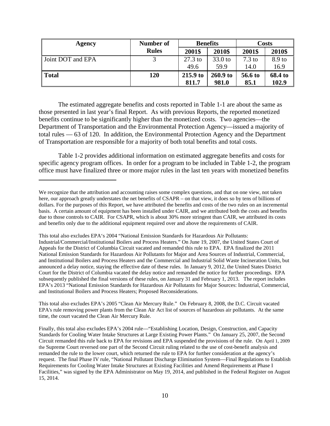| Agency            | Number of    | <b>Benefits</b> |            | Costs            |         |
|-------------------|--------------|-----------------|------------|------------------|---------|
|                   | <b>Rules</b> | 2001\$          | 2010\$     | 2001\$           | 2010\$  |
| Joint DOT and EPA |              | $27.3$ to       | 33.0 to    | $7.3 \text{ to}$ | 8.9 to  |
|                   |              | 49.6            | 59.9       | 14.0             | 16.9    |
| <b>Total</b>      | 120          | 215.9 to        | $260.9$ to | 56.6 to          | 68.4 to |
|                   |              | 811.7           | 981.0      | 85.1             | 102.9   |

The estimated aggregate benefits and costs reported in Table 1-1 are about the same as those presented in last year's final Report. As with previous Reports, the reported monetized benefits continue to be significantly higher than the monetized costs. Two agencies—the Department of Transportation and the Environmental Protection Agency—issued a majority of total rules — 63 of 120. In addition, the Environmental Protection Agency and the Department of Transportation are responsible for a majority of both total benefits and total costs.

Table 1-2 provides additional information on estimated aggregate benefits and costs for specific agency program offices. In order for a program to be included in Table 1-2, the program office must have finalized three or more major rules in the last ten years with monetized benefits

 $\overline{a}$ 

This total also excludes EPA's 2004 "National Emission Standards for Hazardous Air Pollutants: Industrial/Commercial/Institutional Boilers and Process Heaters." On June 19, 2007, the United States Court of Appeals for the District of Columbia Circuit vacated and remanded this rule to EPA. EPA finalized the 2011 National Emission Standards for Hazardous Air Pollutants for Major and Area Sources of Industrial, Commercial, and Institutional Boilers and Process Heaters and the Commercial and Industrial Solid Waste Incineration Units, but announced a delay notice, staying the effective date of these rules. In January 9, 2012, the United States District Court for the District of Columbia vacated the delay notice and remanded the notice for further proceedings. EPA subsequently published the final versions of these rules, on January 31 and February 1, 2013. The report includes EPA's 2013 "National Emission Standards for Hazardous Air Pollutants for Major Sources: Industrial, Commercial, and Institutional Boilers and Process Heaters; Proposed Reconsiderations.

This total also excludes EPA's 2005 "Clean Air Mercury Rule." On February 8, 2008, the D.C. Circuit vacated EPA's rule removing power plants from the Clean Air Act list of sources of hazardous air pollutants. At the same time, the court vacated the Clean Air Mercury Rule.

Finally, this total also excludes EPA's 2004 rule—"Establishing Location, Design, Construction, and Capacity Standards for Cooling Water Intake Structures at Large Existing Power Plants." On January 25, 2007, the Second Circuit remanded this rule back to EPA for revisions and EPA suspended the provisions of the rule. On April 1, 2009 the Supreme Court reversed one part of the Second Circuit ruling related to the use of cost-benefit analysis and remanded the rule to the lower court, which returned the rule to EPA for further consideration at the agency's request. The final Phase IV rule, "National Pollutant Discharge Elimination System—Final Regulations to Establish Requirements for Cooling Water Intake Structures at Existing Facilities and Amend Requirements at Phase I Facilities," was signed by the EPA Administrator on May 19, 2014, and published in the Federal Register on August 15, 2014.

We recognize that the attribution and accounting raises some complex questions, and that on one view, not taken here, our approach greatly understates the net benefits of CSAPR – on that view, it does so by tens of billions of dollars. For the purposes of this Report, we have attributed the benefits and costs of the two rules on an incremental basis. A certain amount of equipment has been installed under CAIR, and we attributed both the costs and benefits due to those controls to CAIR. For CSAPR, which is about 30% more stringent than CAIR, we attributed its costs and benefits only due to the additional equipment required over and above the requirements of CAIR.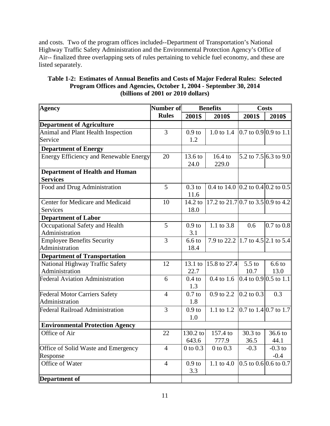and costs. Two of the program offices included--Department of Transportation's National Highway Traffic Safety Administration and the Environmental Protection Agency's Office of Air-- finalized three overlapping sets of rules pertaining to vehicle fuel economy, and these are listed separately.

| Table 1-2: Estimates of Annual Benefits and Costs of Major Federal Rules: Selected |
|------------------------------------------------------------------------------------|
| Program Offices and Agencies, October 1, 2004 - September 30, 2014                 |
| (billions of 2001 or 2010 dollars)                                                 |

| <b>Agency</b>                                 | Number of<br><b>Benefits</b> |                   |                                    | <b>Costs</b>          |                                    |
|-----------------------------------------------|------------------------------|-------------------|------------------------------------|-----------------------|------------------------------------|
|                                               | <b>Rules</b>                 | 2001\$            | 2010\$                             | 2001\$                | 2010\$                             |
| <b>Department of Agriculture</b>              |                              |                   |                                    |                       |                                    |
| Animal and Plant Health Inspection            | $\overline{3}$               | 0.9 <sub>to</sub> | 1.0 to 1.4                         |                       | 0.7 to 0.9 0.9 to 1.1              |
| Service                                       |                              | 1.2               |                                    |                       |                                    |
| <b>Department of Energy</b>                   |                              |                   |                                    |                       |                                    |
| <b>Energy Efficiency and Renewable Energy</b> | 20                           | 13.6 to           | 16.4 to                            |                       | $\overline{5.2}$ to 7.5 6.3 to 9.0 |
|                                               |                              | 24.0              | 229.0                              |                       |                                    |
| <b>Department of Health and Human</b>         |                              |                   |                                    |                       |                                    |
| <b>Services</b>                               |                              |                   |                                    |                       |                                    |
| Food and Drug Administration                  | 5                            | $0.3$ to          | 0.4 to 14.0 0.2 to 0.4 0.2 to 0.5  |                       |                                    |
|                                               |                              | 11.6              |                                    |                       |                                    |
| Center for Medicare and Medicaid              | 10                           | $14.2 \text{ to}$ | 17.2 to 21.7 0.7 to 3.5 0.9 to 4.2 |                       |                                    |
| <b>Services</b>                               |                              | 18.0              |                                    |                       |                                    |
| <b>Department of Labor</b>                    |                              |                   |                                    |                       |                                    |
| Occupational Safety and Health                | 5                            | 0.9 <sub>to</sub> | 1.1 to 3.8                         | 0.6                   | $0.7$ to $0.8$                     |
| Administration                                |                              | 3.1               |                                    |                       |                                    |
| <b>Employee Benefits Security</b>             | 3                            | 6.6 <sub>to</sub> | 7.9 to 22.2 1.7 to 4.5 2.1 to 5.4  |                       |                                    |
| Administration                                |                              | 18.4              |                                    |                       |                                    |
| <b>Department of Transportation</b>           |                              |                   |                                    |                       |                                    |
| National Highway Traffic Safety               | 12                           | $13.1$ to         | 15.8 to 27.4                       | $5.5$ to              | 6.6 <sub>to</sub>                  |
| Administration                                |                              | 22.7              |                                    | 10.7                  | 13.0                               |
| <b>Federal Aviation Administration</b>        | 6                            | $0.4$ to          | $0.4 \text{ to } 1.6$              | 0.4 to 0.9 0.5 to 1.1 |                                    |
|                                               |                              | 1.3               |                                    |                       |                                    |
| <b>Federal Motor Carriers Safety</b>          | $\overline{4}$               | $0.7$ to          | 0.9 to 2.2                         | $0.2$ to $0.3$        | 0.3                                |
| Administration                                |                              | 1.8               |                                    |                       |                                    |
| <b>Federal Railroad Administration</b>        | 3                            | 0.9 <sub>to</sub> | 1.1 to 1.2                         |                       | 0.7 to 1.4 0.7 to 1.7              |
|                                               |                              | 1.0               |                                    |                       |                                    |
| <b>Environmental Protection Agency</b>        |                              |                   |                                    |                       |                                    |
| Office of Air                                 | 22                           | 130.2 to          | 157.4 to                           | 30.3 to               | 36.6 to                            |
|                                               |                              | 643.6             | 777.9                              | 36.5                  | 44.1                               |
| Office of Solid Waste and Emergency           | $\overline{4}$               | $0$ to $0.3$      | $\overline{0}$ to $\overline{0.3}$ | $-0.3$                | $-0.3$ to                          |
| Response                                      |                              |                   |                                    |                       | $-0.4$                             |
| Office of Water                               | $\overline{4}$               | 0.9 <sub>to</sub> | 1.1 to 4.0                         | 0.5 to 0.6 0.6 to 0.7 |                                    |
|                                               |                              | 3.3               |                                    |                       |                                    |
| <b>Department of</b>                          |                              |                   |                                    |                       |                                    |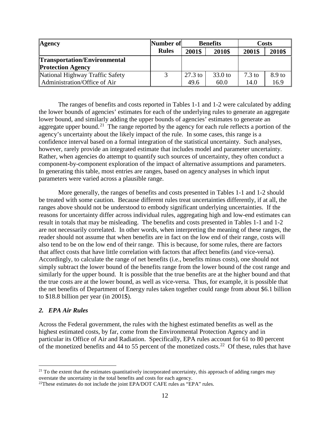| <b>Agency</b>                       | Number of    |           | <b>Benefits</b> | <b>Costs</b>     |        |
|-------------------------------------|--------------|-----------|-----------------|------------------|--------|
|                                     | <b>Rules</b> | 2001\$    | 2010\$          | 2001\$           | 2010\$ |
| <b>Transportation/Environmental</b> |              |           |                 |                  |        |
| <b>Protection Agency</b>            |              |           |                 |                  |        |
| National Highway Traffic Safety     |              | $27.3$ to | $33.0$ to       | $7.3 \text{ to}$ | 8.9 to |
| Administration/Office of Air        |              | 49.6      | 60.0            | 14.0             | 16.9   |

The ranges of benefits and costs reported in Tables 1-1 and 1-2 were calculated by adding the lower bounds of agencies' estimates for each of the underlying rules to generate an aggregate lower bound, and similarly adding the upper bounds of agencies' estimates to generate an aggregate upper bound.<sup>21</sup> The range reported by the agency for each rule reflects a portion of the agency's uncertainty about the likely impact of the rule. In some cases, this range is a confidence interval based on a formal integration of the statistical uncertainty. Such analyses, however, rarely provide an integrated estimate that includes model and parameter uncertainty. Rather, when agencies do attempt to quantify such sources of uncertainty, they often conduct a component-by-component exploration of the impact of alternative assumptions and parameters. In generating this table, most entries are ranges, based on agency analyses in which input parameters were varied across a plausible range.

More generally, the ranges of benefits and costs presented in Tables 1-1 and 1-2 should be treated with some caution. Because different rules treat uncertainties differently, if at all, the ranges above should not be understood to embody significant underlying uncertainties. If the reasons for uncertainty differ across individual rules, aggregating high and low-end estimates can result in totals that may be misleading. The benefits and costs presented in Tables 1-1 and 1-2 are not necessarily correlated. In other words, when interpreting the meaning of these ranges, the reader should not assume that when benefits are in fact on the low end of their range, costs will also tend to be on the low end of their range. This is because, for some rules, there are factors that affect costs that have little correlation with factors that affect benefits (and vice-versa). Accordingly, to calculate the range of net benefits (i.e., benefits minus costs), one should not simply subtract the lower bound of the benefits range from the lower bound of the cost range and similarly for the upper bound. It is possible that the true benefits are at the higher bound and that the true costs are at the lower bound, as well as vice-versa. Thus, for example, it is possible that the net benefits of Department of Energy rules taken together could range from about \$6.1 billion to \$18.8 billion per year (in 2001\$).

#### *2. EPA Air Rules*

Across the Federal government, the rules with the highest estimated benefits as well as the highest estimated costs, by far, come from the Environmental Protection Agency and in particular its Office of Air and Radiation. Specifically, EPA rules account for 61 to 80 percent of the monetized benefits and 44 to 55 percent of the monetized costs.<sup>[22](#page-14-1)</sup> Of these, rules that have

<span id="page-14-0"></span> $21$  To the extent that the estimates quantitatively incorporated uncertainty, this approach of adding ranges may overstate the uncertainty in the total benefits and costs for each agency.

<span id="page-14-1"></span> $^{22}$ These estimates do not include the joint EPA/DOT CAFE rules as "EPA" rules.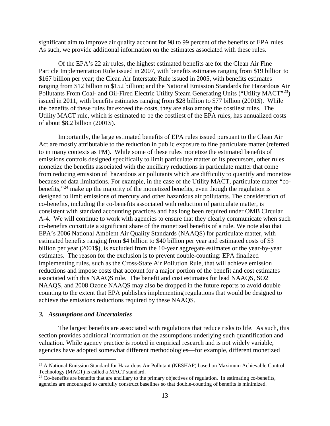significant aim to improve air quality account for 98 to 99 percent of the benefits of EPA rules. As such, we provide additional information on the estimates associated with these rules.

Of the EPA's 22 air rules, the highest estimated benefits are for the Clean Air Fine Particle Implementation Rule issued in 2007, with benefits estimates ranging from \$19 billion to \$167 billion per year; the Clean Air Interstate Rule issued in 2005, with benefits estimates ranging from \$12 billion to \$152 billion; and the National Emission Standards for Hazardous Air Pollutants From Coal- and Oil-Fired Electric Utility Steam Generating Units ("Utility MACT"<sup>23</sup>) issued in 2011, with benefits estimates ranging from \$28 billion to \$77 billion (2001\$). While the benefits of these rules far exceed the costs, they are also among the costliest rules. The Utility MACT rule, which is estimated to be the costliest of the EPA rules, has annualized costs of about \$8.2 billion (2001\$).

Importantly, the large estimated benefits of EPA rules issued pursuant to the Clean Air Act are mostly attributable to the reduction in public exposure to fine particulate matter (referred to in many contexts as PM). While some of these rules monetize the estimated benefits of emissions controls designed specifically to limit particulate matter or its precursors, other rules monetize the benefits associated with the ancillary reductions in particulate matter that come from reducing emission of hazardous air pollutants which are difficulty to quantify and monetize because of data limitations. For example, in the case of the Utility MACT, particulate matter "co-benefits,"<sup>[24](#page-15-1)</sup> make up the majority of the monetized benefits, even though the regulation is designed to limit emissions of mercury and other hazardous air pollutants. The consideration of co-benefits, including the co-benefits associated with reduction of particulate matter, is consistent with standard accounting practices and has long been required under OMB Circular A-4. We will continue to work with agencies to ensure that they clearly communicate when such co-benefits constitute a significant share of the monetized benefits of a rule. We note also that EPA's 2006 National Ambient Air Quality Standards (NAAQS) for particulate matter, with estimated benefits ranging from \$4 billion to \$40 billion per year and estimated costs of \$3 billion per year (2001\$), is excluded from the 10-year aggregate estimates or the year-by-year estimates. The reason for the exclusion is to prevent double-counting: EPA finalized implementing rules, such as the Cross-State Air Pollution Rule, that will achieve emission reductions and impose costs that account for a major portion of the benefit and cost estimates associated with this NAAQS rule. The benefit and cost estimates for lead NAAQS, SO2 NAAQS, and 2008 Ozone NAAQS may also be dropped in the future reports to avoid double counting to the extent that EPA publishes implementing regulations that would be designed to achieve the emissions reductions required by these NAAQS.

#### *3. Assumptions and Uncertainties*

The largest benefits are associated with regulations that reduce risks to life. As such, this section provides additional information on the assumptions underlying such quantification and valuation. While agency practice is rooted in empirical research and is not widely variable, agencies have adopted somewhat different methodologies—for example, different monetized

<span id="page-15-0"></span> <sup>23</sup> A National Emission Standard for Hazardous Air Pollutant (NESHAP) based on Maximum Achievable Control Technology (MACT) is called a MACT standard.

<span id="page-15-1"></span> $24$  Co-benefits are benefits that are ancillary to the primary objectives of regulation. In estimating co-benefits, agencies are encouraged to carefully construct baselines so that double-counting of benefits is minimized.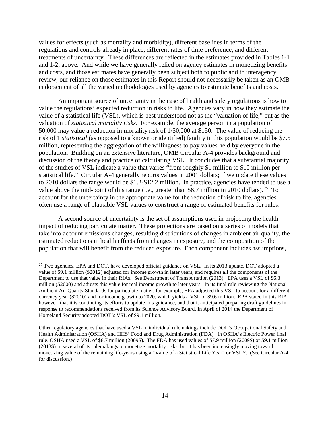values for effects (such as mortality and morbidity), different baselines in terms of the regulations and controls already in place, different rates of time preference, and different treatments of uncertainty. These differences are reflected in the estimates provided in Tables 1-1 and 1-2, above. And while we have generally relied on agency estimates in monetizing benefits and costs, and those estimates have generally been subject both to public and to interagency review, our reliance on those estimates in this Report should not necessarily be taken as an OMB endorsement of all the varied methodologies used by agencies to estimate benefits and costs.

An important source of uncertainty in the case of health and safety regulations is how to value the regulations' expected reduction in risks to life. Agencies vary in how they estimate the value of a statistical life (VSL), which is best understood not as the "valuation of life," but as the valuation of *statistical mortality risks*. For example, the average person in a population of 50,000 may value a reduction in mortality risk of 1/50,000 at \$150. The value of reducing the risk of 1 *statistical* (as opposed to a known or identified) fatality in this population would be \$7.5 million, representing the aggregation of the willingness to pay values held by everyone in the population. Building on an extensive literature, OMB Circular A-4 provides background and discussion of the theory and practice of calculating VSL. It concludes that a substantial majority of the studies of VSL indicate a value that varies "from roughly \$1 million to \$10 million per statistical life." Circular A-4 generally reports values in 2001 dollars; if we update these values to 2010 dollars the range would be \$1.2-\$12.2 million. In practice, agencies have tended to use a value above the mid-point of this range (i.e., greater than \$6.7 million in 2010 dollars).<sup>25</sup> To account for the uncertainty in the appropriate value for the reduction of risk to life, agencies often use a range of plausible VSL values to construct a range of estimated benefits for rules.

A second source of uncertainty is the set of assumptions used in projecting the health impact of reducing particulate matter. These projections are based on a series of models that take into account emissions changes, resulting distributions of changes in ambient air quality, the estimated reductions in health effects from changes in exposure, and the composition of the population that will benefit from the reduced exposure. Each component includes assumptions,

<span id="page-16-0"></span> $25$  Two agencies, EPA and DOT, have developed official guidance on VSL. In its 2013 update, DOT adopted a value of \$9.1 million (\$2012) adjusted for income growth in later years, and requires all the components of the Department to use that value in their RIAs. See Department of Transportation (2013). EPA uses a VSL of \$6.3 million (\$2000) and adjusts this value for real income growth to later years. In its final rule reviewing the National Ambient Air Quality Standards for particulate matter, for example, EPA adjusted this VSL to account for a different currency year (\$2010) and for income growth to 2020, which yields a VSL of \$9.6 million. EPA stated in this RIA, however, that it is continuing its efforts to update this guidance, and that it anticipated preparing draft guidelines in response to recommendations received from its Science Advisory Board. In April of 2014 the Department of Homeland Security adopted DOT's VSL of \$9.1 million.

Other regulatory agencies that have used a VSL in individual rulemakings include DOL's Occupational Safety and Health Administration (OSHA) and HHS' Food and Drug Administration (FDA). In OSHA's Electric Power final rule, OSHA used a VSL of \$8.7 million (2009\$). The FDA has used values of \$7.9 million (2009\$) or \$9.1 million (2013\$) in several of its rulemakings to monetize mortality risks, but it has been increasingly moving toward monetizing value of the remaining life-years using a "Value of a Statistical Life Year" or VSLY. (See Circular A-4 for discussion.)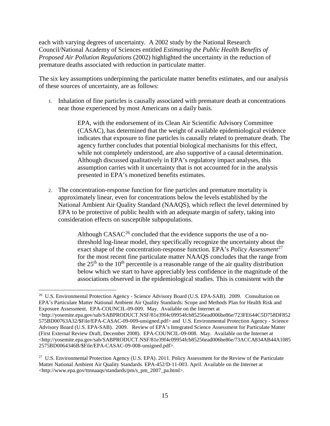each with varying degrees of uncertainty. A 2002 study by the National Research Council/National Academy of Sciences entitled *Estimating the Public Health Benefits of Proposed Air Pollution Regulations* (2002) highlighted the uncertainty in the reduction of premature deaths associated with reduction in particulate matter.

The six key assumptions underpinning the particulate matter benefits estimates, and our analysis of these sources of uncertainty, are as follows:

1. Inhalation of fine particles is causally associated with premature death at concentrations near those experienced by most Americans on a daily basis.

> EPA, with the endorsement of its Clean Air Scientific Advisory Committee (CASAC), has determined that the weight of available epidemiological evidence indicates that exposure to fine particles is causally related to premature death. The agency further concludes that potential biological mechanisms for this effect, while not completely understood, are also supportive of a causal determination. Although discussed qualitatively in EPA's regulatory impact analyses, this assumption carries with it uncertainty that is not accounted for in the analysis presented in EPA's monetized benefits estimates.

2. The concentration-response function for fine particles and premature mortality is approximately linear, even for concentrations below the levels established by the National Ambient Air Quality Standard (NAAQS), which reflect the level determined by EPA to be protective of public health with an adequate margin of safety, taking into consideration effects on susceptible subpopulations.

> Although  $CASAC<sup>26</sup>$  $CASAC<sup>26</sup>$  $CASAC<sup>26</sup>$  concluded that the evidence supports the use of a nothreshold log-linear model, they specifically recognize the uncertainty about the exact shape of the concentration-response function. EPA's *Policy Assessment*<sup>[27](#page-17-1)</sup> for the most recent fine particulate matter NAAQS concludes that the range from the  $25<sup>th</sup>$  to the  $10<sup>th</sup>$  percentile is a reasonable range of the air quality distribution below which we start to have appreciably less confidence in the magnitude of the associations observed in the epidemiological studies. This is consistent with the

<span id="page-17-0"></span><sup>&</sup>lt;sup>26</sup> U.S. Environmental Protection Agency - Science Advisory Board (U.S. EPA-SAB). 2009. Consultation on EPA's Particulate Matter National Ambient Air Quality Standards: Scope and Methods Plan for Health Risk and Exposure Assessment. EPA-COUNCIL-09-009. May. Available on the Internet at

<sup>&</sup>lt;http://yosemite.epa.gov/sab/SABPRODUCT.NSF/81e39f4c09954fcb85256ead006be86e/723FE644C5D758DF852 575BD00763A32/\$File/EPA-CASAC-09-009-unsigned.pdf> and U.S. Environmental Protection Agency - Science Advisory Board (U.S. EPA-SAB). 2009. Review of EPA's Integrated Science Assessment for Particulate Matter (First External Review Draft, December 2008). EPA-COUNCIL-09-008. May. Available on the Internet at <http://yosemite.epa.gov/sab/SABPRODUCT.NSF/81e39f4c09954fcb85256ead006be86e/73ACCA834AB44A1085 2575BD0064346B/\$File/EPA-CASAC-09-008-unsigned.pdf>.

<span id="page-17-1"></span><sup>&</sup>lt;sup>27</sup> U.S. Environmental Protection Agency (U.S. EPA). 2011. Policy Assessment for the Review of the Particulate Matter National Ambient Air Quality Standards. EPA-452/D-11-003. April. Available on the Internet at <http://www.epa.gov/ttnnaaqs/standards/pm/s\_pm\_2007\_pa.html>.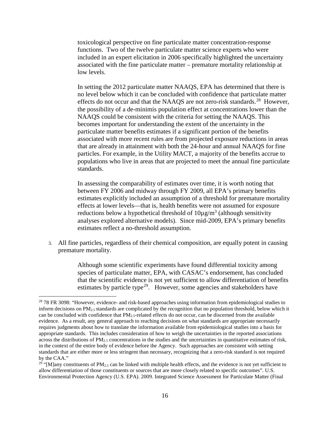toxicological perspective on fine particulate matter concentration-response functions. Two of the twelve particulate matter science experts who were included in an expert elicitation in 2006 specifically highlighted the uncertainty associated with the fine particulate matter – premature mortality relationship at low levels.

In setting the 2012 particulate matter NAAQS, EPA has determined that there is no level below which it can be concluded with confidence that particulate matter effects do not occur and that the NAAQS are not zero-risk standards.<sup>28</sup> However, the possibility of a de-minimis population effect at concentrations lower than the NAAQS could be consistent with the criteria for setting the NAAQS. This becomes important for understanding the extent of the uncertainty in the particulate matter benefits estimates if a significant portion of the benefits associated with more recent rules are from projected exposure reductions in areas that are already in attainment with both the 24-hour and annual NAAQS for fine particles. For example, in the Utility MACT, a majority of the benefits accrue to populations who live in areas that are projected to meet the annual fine particulate standards.

In assessing the comparability of estimates over time, it is worth noting that between FY 2006 and midway through FY 2009, all EPA's primary benefits estimates explicitly included an assumption of a threshold for premature mortality effects at lower levels—that is, health benefits were not assumed for exposure reductions below a hypothetical threshold of  $10\mu\text{g/m}^3$  (although sensitivity analyses explored alternative models). Since mid-2009, EPA's primary benefits estimates reflect a no-threshold assumption.

3. All fine particles, regardless of their chemical composition, are equally potent in causing premature mortality.

> Although some scientific experiments have found differential toxicity among species of particulate matter, EPA, with CASAC's endorsement, has concluded that the scientific evidence is not yet sufficient to allow differentiation of benefits estimates by particle type<sup>29</sup>. However, some agencies and stakeholders have

<span id="page-18-0"></span><sup>&</sup>lt;sup>28</sup> 78 FR 3098: "However, evidence- and risk-based approaches using information from epidemiological studies to inform decisions on  $PM_{2.5}$  standards are complicated by the recognition that no population threshold, below which it can be concluded with confidence that  $PM_{2.5}$ -related effects do not occur, can be discerned from the available evidence. As a result, any general approach to reaching decisions on what standards are appropriate necessarily requires judgments about how to translate the information available from epidemiological studies into a basis for appropriate standards. This includes consideration of how to weigh the uncertainties in the reported associations across the distributions of  $PM_{2.5}$  concentrations in the studies and the uncertainties in quantitative estimates of risk, in the context of the entire body of evidence before the Agency. Such approaches are consistent with setting standards that are either more or less stringent than necessary, recognizing that a zero-risk standard is not required by the CAA."

<span id="page-18-1"></span><sup>&</sup>lt;sup>29</sup> "[M]any constituents of PM<sub>2.5</sub> can be linked with multiple health effects, and the evidence is not yet sufficient to allow differentiation of those constituents or sources that are more closely related to specific outcomes". U.S. Environmental Protection Agency (U.S. EPA). 2009. Integrated Science Assessment for Particulate Matter (Final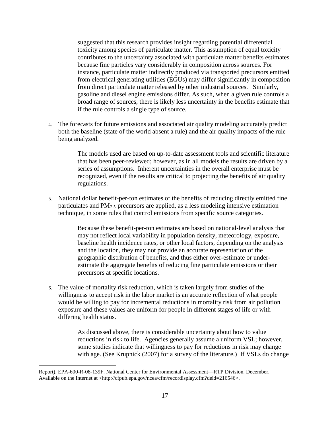suggested that this research provides insight regarding potential differential toxicity among species of particulate matter. This assumption of equal toxicity contributes to the uncertainty associated with particulate matter benefits estimates because fine particles vary considerably in composition across sources. For instance, particulate matter indirectly produced via transported precursors emitted from electrical generating utilities (EGUs) may differ significantly in composition from direct particulate matter released by other industrial sources. Similarly, gasoline and diesel engine emissions differ. As such, when a given rule controls a broad range of sources, there is likely less uncertainty in the benefits estimate that if the rule controls a single type of source.

4. The forecasts for future emissions and associated air quality modeling accurately predict both the baseline (state of the world absent a rule) and the air quality impacts of the rule being analyzed.

> The models used are based on up-to-date assessment tools and scientific literature that has been peer-reviewed; however, as in all models the results are driven by a series of assumptions. Inherent uncertainties in the overall enterprise must be recognized, even if the results are critical to projecting the benefits of air quality regulations.

5. National dollar benefit-per-ton estimates of the benefits of reducing directly emitted fine particulates and PM2.5 precursors are applied, as a less modeling intensive estimation technique, in some rules that control emissions from specific source categories.

> Because these benefit-per-ton estimates are based on national-level analysis that may not reflect local variability in population density, meteorology, exposure, baseline health incidence rates, or other local factors, depending on the analysis and the location, they may not provide an accurate representation of the geographic distribution of benefits, and thus either over-estimate or underestimate the aggregate benefits of reducing fine particulate emissions or their precursors at specific locations.

6. The value of mortality risk reduction, which is taken largely from studies of the willingness to accept risk in the labor market is an accurate reflection of what people would be willing to pay for incremental reductions in mortality risk from air pollution exposure and these values are uniform for people in different stages of life or with differing health status.

> As discussed above, there is considerable uncertainty about how to value reductions in risk to life. Agencies generally assume a uniform VSL; however, some studies indicate that willingness to pay for reductions in risk may change with age. (See Krupnick (2007) for a survey of the literature.) If VSLs do change

Report). EPA-600-R-08-139F. National Center for Environmental Assessment—RTP Division. December. Available on the Internet at <http://cfpub.epa.gov/ncea/cfm/recordisplay.cfm?deid=216546>.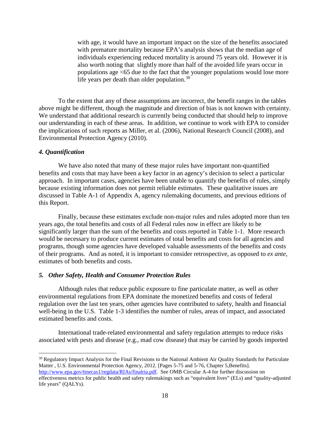with age, it would have an important impact on the size of the benefits associated with premature mortality because EPA's analysis shows that the median age of individuals experiencing reduced mortality is around 75 years old. However it is also worth noting that slightly more than half of the avoided life years occur in populations age <65 due to the fact that the younger populations would lose more life years per death than older population.<sup>[30](#page-20-0)</sup>

To the extent that any of these assumptions are incorrect, the benefit ranges in the tables above might be different, though the magnitude and direction of bias is not known with certainty. We understand that additional research is currently being conducted that should help to improve our understanding in each of these areas. In addition, we continue to work with EPA to consider the implications of such reports as Miller, et al. (2006), National Research Council (2008), and Environmental Protection Agency (2010).

#### *4. Quantification*

We have also noted that many of these major rules have important non-quantified benefits and costs that may have been a key factor in an agency's decision to select a particular approach. In important cases, agencies have been unable to quantify the benefits of rules, simply because existing information does not permit reliable estimates. These qualitative issues are discussed in Table A-1 of Appendix A, agency rulemaking documents, and previous editions of this Report.

Finally, because these estimates exclude non-major rules and rules adopted more than ten years ago, the total benefits and costs of all Federal rules now in effect are likely to be significantly larger than the sum of the benefits and costs reported in Table 1-1. More research would be necessary to produce current estimates of total benefits and costs for all agencies and programs, though some agencies have developed valuable assessments of the benefits and costs of their programs. And as noted, it is important to consider retrospective, as opposed to *ex ante*, estimates of both benefits and costs.

#### *5. Other Safety, Health and Consumer Protection Rules*

Although rules that reduce public exposure to fine particulate matter, as well as other environmental regulations from EPA dominate the monetized benefits and costs of federal regulation over the last ten years, other agencies have contributed to safety, health and financial well-being in the U.S. Table 1-3 identifies the number of rules, areas of impact, and associated estimated benefits and costs.

International trade-related environmental and safety regulation attempts to reduce risks associated with pests and disease (e.g., mad cow disease) that may be carried by goods imported

<span id="page-20-0"></span><sup>&</sup>lt;sup>30</sup> Regulatory Impact Analysis for the Final Revisions to the National Ambient Air Quality Standards for Particulate Matter, U.S. Environmental Protection Agency, 2012. [Pages 5-75 and 5-76, Chapter 5, Benefits].

[http://www.epa.gov/ttnecas1/regdata/RIAs/finalria.pdf.](http://www.epa.gov/ttnecas1/regdata/RIAs/finalria.pdf) See OMB Circular A-4 for further discussion on effectiveness metrics for public health and safety rulemakings such as "equivalent lives" (ELs) and "quality-adjusted life years" (QALYs).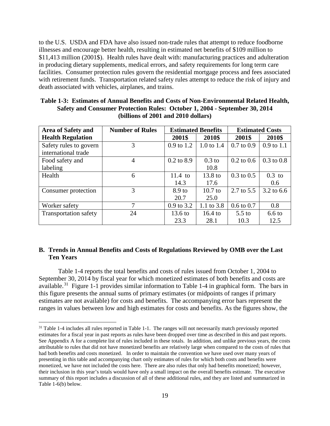to the U.S. USDA and FDA have also issued non-trade rules that attempt to reduce foodborne illnesses and encourage better health, resulting in estimated net benefits of \$109 million to \$11,413 million (2001\$). Health rules have dealt with: manufacturing practices and adulteration in producing dietary supplements, medical errors, and safety requirements for long term care facilities. Consumer protection rules govern the residential mortgage process and fees associated with retirement funds. Transportation related safety rules attempt to reduce the risk of injury and death associated with vehicles, airplanes, and trains.

| <b>Area of Safety and</b>                     | <b>Number of Rules</b> | <b>Estimated Benefits</b> |              | <b>Estimated Costs</b> |                |
|-----------------------------------------------|------------------------|---------------------------|--------------|------------------------|----------------|
| <b>Health Regulation</b>                      |                        | 2001\$                    | 2010\$       | 2001\$                 | 2010\$         |
| Safety rules to govern<br>international trade | 3                      | 0.9 to 1.2                | 1.0 to $1.4$ | $0.7 \text{ to } 0.9$  | $0.9$ to $1.1$ |
| Food safety and                               | 4                      | $0.2$ to $8.9$            | $0.3$ to     | $0.2 \text{ to } 0.6$  | $0.3$ to $0.8$ |
| labeling                                      |                        |                           | 10.8         |                        |                |
| Health                                        | 6                      | $11.4$ to                 | 13.8 to      | $0.3 \text{ to } 0.5$  | $0.3$ to       |
|                                               |                        | 14.3                      | 17.6         |                        | 0.6            |
| Consumer protection                           | 3                      | 8.9 to                    | $10.7$ to    | $2.7 \text{ to } 5.5$  | 3.2 to 6.6     |
|                                               |                        | 20.7                      | 25.0         |                        |                |
| Worker safety                                 | 7                      | $0.9$ to 3.2              | 1.1 to 3.8   | $0.6 \text{ to } 0.7$  | 0.8            |
| <b>Transportation safety</b>                  | 24                     | $13.6 \text{ to}$         | $16.4$ to    | $5.5$ to               | $6.6$ to       |
|                                               |                        | 23.3                      | 28.1         | 10.3                   | 12.5           |

**Table 1-3: Estimates of Annual Benefits and Costs of Non-Environmental Related Health, Safety and Consumer Protection Rules: October 1, 2004 - September 30, 2014 (billions of 2001 and 2010 dollars)**

#### <span id="page-21-0"></span>**B. Trends in Annual Benefits and Costs of Regulations Reviewed by OMB over the Last Ten Years**

Table 1-4 reports the total benefits and costs of rules issued from October 1, 2004 to September 30, 2014 by fiscal year for which monetized estimates of both benefits and costs are available.[31](#page-21-1) Figure 1-1 provides similar information to Table 1-4 in graphical form. The bars in this figure presents the annual sums of primary estimates (or midpoints of ranges if primary estimates are not available) for costs and benefits. The accompanying error bars represent the ranges in values between low and high estimates for costs and benefits. As the figures show, the

<span id="page-21-1"></span><sup>&</sup>lt;sup>31</sup> Table 1-4 includes all rules reported in Table 1-1. The ranges will not necessarily match previously reported estimates for a fiscal year in past reports as rules have been dropped over time as described in this and past reports. See Appendix A for a complete list of rules included in these totals. In addition, and unlike previous years, the costs attributable to rules that did not have monetized benefits are relatively large when compared to the costs of rules that had both benefits and costs monetized. In order to maintain the convention we have used over many years of presenting in this table and accompanying chart only estimates of rules for which both costs and benefits were monetized, we have not included the costs here. There are also rules that only had benefits monetized; however, their inclusion in this year's totals would have only a small impact on the overall benefits estimate. The executive summary of this report includes a discussion of all of these additional rules, and they are listed and summarized in Table 1-6(b) below.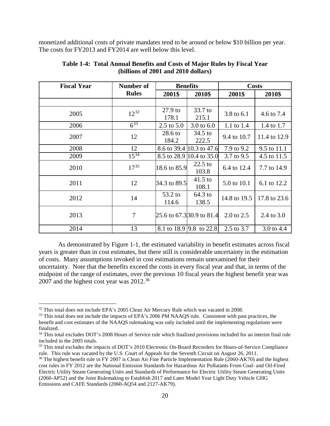monetized additional costs of private mandates tend to be around or below \$10 billion per year. The costs for FY2013 and FY2014 are well below this level.

| <b>Fiscal Year</b> | Number of    | <b>Benefits</b>            |                           | <b>Costs</b> |              |
|--------------------|--------------|----------------------------|---------------------------|--------------|--------------|
|                    | <b>Rules</b> | 2001\$                     | 2010\$                    | 2001\$       | 2010\$       |
|                    |              |                            |                           |              |              |
| 2005               | $12^{32}$    | $27.9$ to<br>178.1         | 33.7 to<br>215.1          | 3.8 to 6.1   | 4.6 to 7.4   |
| 2006               | $6^{33}$     | 2.5 to $5.0$               | 3.0 to $6.0$              | 1.1 to 1.4   | 1.4 to 1.7   |
| 2007               | 12           | $28.6 \text{ to}$<br>184.2 | $34.5$ to<br>222.5        | 9.4 to 10.7  | 11.4 to 12.9 |
| 2008               | 12           |                            | 8.6 to 39.4 10.3 to 47.6  | 7.9 to 9.2   | 9.5 to 11.1  |
| 2009               | $15^{34}$    |                            | 8.5 to 28.9 10.4 to 35.0  | 3.7 to 9.5   | 4.5 to 11.5  |
| 2010               | $17^{35}$    | 18.6 to 85.9               | $22.5$ to<br>103.8        | 6.4 to 12.4  | 7.7 to 14.9  |
| 2011               | 12           | 34.3 to 89.5               | $41.5$ to<br>108.1        | 5.0 to 10.1  | 6.1 to 12.2  |
| 2012               | 14           | 53.2 to<br>114.6           | 64.3 to<br>138.5          | 14.8 to 19.5 | 17.8 to 23.6 |
| 2013               | $\tau$       |                            | 25.6 to 67.3 30.9 to 81.4 | 2.0 to 2.5   | 2.4 to 3.0   |
| 2014               | 13           |                            | 8.1 to 18.9 9.8 to 22.8   | 2.5 to 3.7   | 3.0 to 4.4   |

**Table 1-4: Total Annual Benefits and Costs of Major Rules by Fiscal Year (billions of 2001 and 2010 dollars)**

As demonstrated by Figure 1-1, the estimated variability in benefit estimates across fiscal years is greater than in cost estimates, but there still is considerable uncertainty in the estimation of costs. Many assumptions invoked in cost estimations remain unexamined for their uncertainty. Note that the benefits exceed the costs in every fiscal year and that, in terms of the midpoint of the range of estimates, over the previous 10 fiscal years the highest benefit year was 2007 and the highest cost year was 2012.[36](#page-22-4)

<span id="page-22-0"></span><sup>&</sup>lt;sup>32</sup> This total does not include EPA's 2005 Clean Air Mercury Rule which was vacated in 2008.

<span id="page-22-1"></span><sup>&</sup>lt;sup>33</sup> This total does not include the impacts of EPA's 2006 PM NAAQS rule. Consistent with past practices, the benefit and cost estimates of the NAAQS rulemaking was only included until the implementing regulations were finalized.

<span id="page-22-2"></span><sup>&</sup>lt;sup>34</sup> This total excludes DOT's 2008 Hours of Service rule which finalized provisions included for an interim final rule included in the 2005 totals.

<span id="page-22-3"></span><sup>&</sup>lt;sup>35</sup> This total excludes the impacts of DOT's 2010 Electronic On-Board Recorders for Hours-of-Service Compliance rule. This rule was vacated by the U.S. Court of Appeals for the Seventh Circuit on August 26, 2011.

<span id="page-22-4"></span><sup>&</sup>lt;sup>36</sup> The highest benefit rule in FY 2007 is Clean Air Fine Particle Implementation Rule (2060-AK70) and the highest cost rules in FY 2012 are the National Emission Standards for Hazardous Air Pollutants From Coal- and Oil-Fired Electric Utility Steam Generating Units and Standards of Performance for Electric Utility Steam Generating Units (2060-AP52) and the Joint Rulemaking to Establish 2017 and Later Model Year Light Duty Vehicle GHG Emissions and CAFE Standards (2060-AQ54 and 2127-AK79).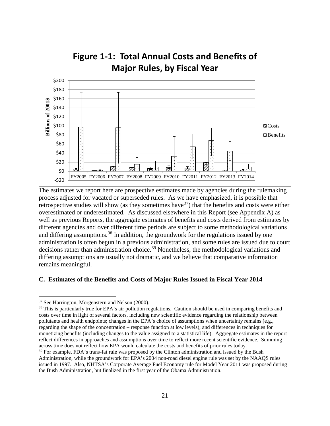

The estimates we report here are prospective estimates made by agencies during the rulemaking process adjusted for vacated or superseded rules. As we have emphasized, it is possible that retrospective studies will show (as they sometimes have  $37$ ) that the benefits and costs were either overestimated or underestimated. As discussed elsewhere in this Report (see Appendix A) as well as previous Reports, the aggregate estimates of benefits and costs derived from estimates by different agencies and over different time periods are subject to some methodological variations and differing assumptions.<sup>[38](#page-23-2)</sup> In addition, the groundwork for the regulations issued by one administration is often begun in a previous administration, and some rules are issued due to court decisions rather than administration choice.<sup>[39](#page-23-3)</sup> Nonetheless, the methodological variations and differing assumptions are usually not dramatic, and we believe that comparative information remains meaningful.

#### <span id="page-23-0"></span>**C. Estimates of the Benefits and Costs of Major Rules Issued in Fiscal Year 2014**

<span id="page-23-1"></span> <sup>37</sup> See Harrington, Morgenstern and Nelson (2000).

<span id="page-23-2"></span> $38$  This is particularly true for EPA's air pollution regulations. Caution should be used in comparing benefits and costs over time in light of several factors, including new scientific evidence regarding the relationship between pollutants and health endpoints; changes in the EPA's choice of assumptions when uncertainty remains (e.g., regarding the shape of the concentration – response function at low levels); and differences in techniques for monetizing benefits (including changes to the value assigned to a statistical life). Aggregate estimates in the report reflect differences in approaches and assumptions over time to reflect more recent scientific evidence. Summing across time does not reflect how EPA would calculate the costs and benefits of prior rules today.

<span id="page-23-3"></span><sup>&</sup>lt;sup>39</sup> For example, FDA's trans-fat rule was proposed by the Clinton administration and issued by the Bush Administration, while the groundwork for EPA's 2004 non-road diesel engine rule was set by the NAAQS rules issued in 1997. Also, NHTSA's Corporate Average Fuel Economy rule for Model Year 2011 was proposed during the Bush Administration, but finalized in the first year of the Obama Administration.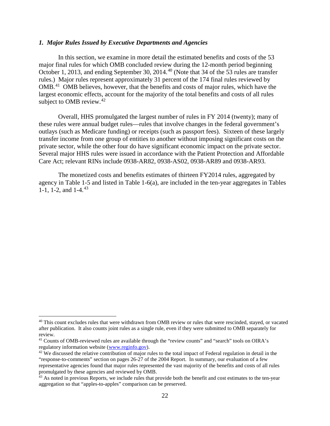#### *1. Major Rules Issued by Executive Departments and Agencies*

In this section, we examine in more detail the estimated benefits and costs of the 53 major final rules for which OMB concluded review during the 12-month period beginning October 1, 2013, and ending September 30, 2014.<sup>[40](#page-24-0)</sup> (Note that 34 of the 53 rules are transfer rules.) Major rules represent approximately 31 percent of the 174 final rules reviewed by OMB.<sup>[41](#page-24-1)</sup> OMB believes, however, that the benefits and costs of major rules, which have the largest economic effects, account for the majority of the total benefits and costs of all rules subject to OMB review. $42$ 

Overall, HHS promulgated the largest number of rules in FY 2014 (twenty); many of these rules were annual budget rules—rules that involve changes in the federal government's outlays (such as Medicare funding) or receipts (such as passport fees). Sixteen of these largely transfer income from one group of entities to another without imposing significant costs on the private sector, while the other four do have significant economic impact on the private sector. Several major HHS rules were issued in accordance with the Patient Protection and Affordable Care Act; relevant RINs include 0938-AR82, 0938-AS02, 0938-AR89 and 0938-AR93.

The monetized costs and benefits estimates of thirteen FY2014 rules, aggregated by agency in Table 1-5 and listed in Table 1-6(a), are included in the ten-year aggregates in Tables 1-1, 1-2, and  $1-4$ ,  $43$ 

<span id="page-24-0"></span><sup>&</sup>lt;sup>40</sup> This count excludes rules that were withdrawn from OMB review or rules that were rescinded, stayed, or vacated after publication. It also counts joint rules as a single rule, even if they were submitted to OMB separately for review.

<span id="page-24-1"></span><sup>&</sup>lt;sup>41</sup> Counts of OMB-reviewed rules are available through the "review counts" and "search" tools on OIRA's regulatory information website [\(www.reginfo.gov\)](http://www.reginfo.gov/).

<span id="page-24-2"></span> $42$  We discussed the relative contribution of major rules to the total impact of Federal regulation in detail in the "response-to-comments" section on pages 26-27 of the 2004 Report. In summary, our evaluation of a few representative agencies found that major rules represented the vast majority of the benefits and costs of all rules promulgated by these agencies and reviewed by OMB.

<span id="page-24-3"></span><sup>&</sup>lt;sup>43</sup> As noted in previous Reports, we include rules that provide both the benefit and cost estimates to the ten-year aggregation so that "apples-to-apples" comparison can be preserved.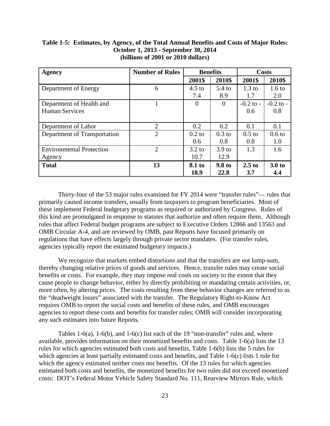| Agency                          | <b>Number of Rules</b> | <b>Benefits</b> |                   | <b>Costs</b>     |                   |
|---------------------------------|------------------------|-----------------|-------------------|------------------|-------------------|
|                                 |                        | 2001\$          | 2010\$            | 2001\$           | 2010\$            |
| Department of Energy            | 6                      | $4.5$ to        | $5.4$ to          | $1.3 \text{ to}$ | $1.6 \text{ to}$  |
|                                 |                        | 7.4             | 8.9               | 1.7              | 2.0               |
| Department of Health and        |                        | $\Omega$        | $\Omega$          | $-0.2$ to $-$    | $-0.2$ to $-$     |
| <b>Human Services</b>           |                        |                 |                   | 0.6              | 0.8               |
|                                 |                        |                 |                   |                  |                   |
| Department of Labor             | 2                      | 0.2             | 0.2               | 0.1              | 0.1               |
| Department of Transportation    | 2                      | $0.2$ to        | $0.3$ to          | $0.5$ to         | 0.6 <sub>to</sub> |
|                                 |                        | 0.6             | 0.8               | 0.8              | 1.0               |
| <b>Environmental Protection</b> | $\overline{2}$         | $3.2$ to        | 3.9 <sub>to</sub> | 1.3              | 1.6               |
| Agency                          |                        | 10.7            | 12.9              |                  |                   |
| <b>Total</b>                    | 13                     | 8.1 to          | 9.8 to            | $2.5$ to         | 3.0 <sub>to</sub> |
|                                 |                        | 18.9            | 22.8              | 3.7              | 4.4               |

#### **Table 1-5: Estimates, by Agency, of the Total Annual Benefits and Costs of Major Rules: October 1, 2013 - September 30, 2014 (billions of 2001 or 2010 dollars)**

Thirty-four of the 53 major rules examined for FY 2014 were "transfer rules"— rules that primarily caused income transfers, usually from taxpayers to program beneficiaries. Most of these implement Federal budgetary programs as required or authorized by Congress. Rules of this kind are promulgated in response to statutes that authorize and often require them. Although rules that affect Federal budget programs are subject to Executive Orders 12866 and 13563 and OMB Circular A-4, and are reviewed by OMB, past Reports have focused primarily on regulations that have effects largely through private sector mandates. (For transfer rules, agencies typically report the estimated budgetary impacts.)

We recognize that markets embed distortions and that the transfers are not lump-sum, thereby changing relative prices of goods and services. Hence, transfer rules may create social benefits or costs. For example, they may impose real costs on society to the extent that they cause people to change behavior, either by directly prohibiting or mandating certain activities, or, more often, by altering prices. The costs resulting from these behavior changes are referred to as the "deadweight losses" associated with the transfer. The Regulatory Right-to-Know Act requires OMB to report the social costs and benefits of these rules, and OMB encourages agencies to report these costs and benefits for transfer rules; OMB will consider incorporating any such estimates into future Reports.

Tables 1-6(a), 1-6(b), and 1-6(c) list each of the 19 "non-transfer" rules and, where available, provides information on their monetized benefits and costs. Table 1-6(a) lists the 13 rules for which agencies estimated both costs and benefits, Table 1-6(b) lists the 5 rules for which agencies at least partially estimated costs and benefits, and Table 1-6(c) lists 1 rule for which the agency estimated neither costs nor benefits. Of the 13 rules for which agencies estimated both costs and benefits, the monetized benefits for two rules did not exceed monetized costs: DOT's Federal Motor Vehicle Safety Standard No. 111, Rearview Mirrors Rule, which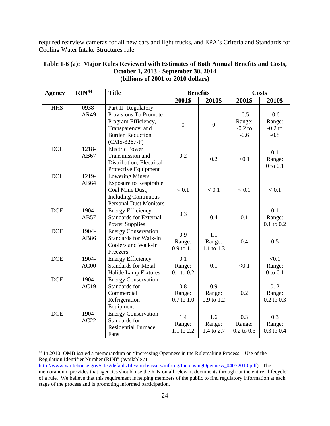required rearview cameras for all new cars and light trucks, and EPA's Criteria and Standards for Cooling Water Intake Structures rule.

| <b>Agency</b> | RIN <sup>44</sup> | <b>Title</b>                                                                                                                          |                                 | <b>Benefits</b>             |                                         | <b>Costs</b>                            |
|---------------|-------------------|---------------------------------------------------------------------------------------------------------------------------------------|---------------------------------|-----------------------------|-----------------------------------------|-----------------------------------------|
|               |                   |                                                                                                                                       | 2001\$                          | 2010\$                      | 2001\$                                  | 2010\$                                  |
| <b>HHS</b>    | 0938-<br>AR49     | Part II--Regulatory<br>Provisions To Promote<br>Program Efficiency,<br>Transparency, and<br><b>Burden Reduction</b><br>$(CMS-3267-F)$ | $\boldsymbol{0}$                | $\overline{0}$              | $-0.5$<br>Range:<br>$-0.2$ to<br>$-0.6$ | $-0.6$<br>Range:<br>$-0.2$ to<br>$-0.8$ |
| <b>DOL</b>    | 1218-<br>AB67     | <b>Electric Power</b><br>Transmission and<br>Distribution; Electrical<br>Protective Equipment                                         | 0.2                             | 0.2                         | < 0.1                                   | 0.1<br>Range:<br>$0$ to $0.1$           |
| <b>DOL</b>    | 1219-<br>AB64     | Lowering Miners'<br><b>Exposure to Respirable</b><br>Coal Mine Dust,<br><b>Including Continuous</b><br><b>Personal Dust Monitors</b>  | < 0.1                           | < 0.1                       | < 0.1                                   | < 0.1                                   |
| <b>DOE</b>    | 1904-<br>AB57     | <b>Energy Efficiency</b><br><b>Standards for External</b><br><b>Power Supplies</b>                                                    | 0.3                             | 0.4                         | 0.1                                     | 0.1<br>Range:<br>$0.1$ to $0.2$         |
| <b>DOE</b>    | 1904-<br>AB86     | <b>Energy Conservation</b><br><b>Standards for Walk-In</b><br>Coolers and Walk-In<br>Freezers                                         | 0.9<br>Range:<br>0.9 to 1.1     | 1.1<br>Range:<br>1.1 to 1.3 | 0.4                                     | 0.5                                     |
| <b>DOE</b>    | 1904-<br>AC00     | <b>Energy Efficiency</b><br><b>Standards for Metal</b><br>Halide Lamp Fixtures                                                        | 0.1<br>Range:<br>$0.1$ to $0.2$ | 0.1                         | < 0.1                                   | < 0.1<br>Range:<br>$0$ to $0.1$         |
| <b>DOE</b>    | 1904-<br>AC19     | <b>Energy Conservation</b><br>Standards for<br>Commercial<br>Refrigeration<br>Equipment                                               | 0.8<br>Range:<br>$0.7$ to $1.0$ | 0.9<br>Range:<br>0.9 to 1.2 | 0.2                                     | 0.2<br>Range:<br>$0.2 \text{ to } 0.3$  |
| <b>DOE</b>    | 1904-<br>AC22     | <b>Energy Conservation</b><br>Standards for<br><b>Residential Furnace</b><br>Fans                                                     | 1.4<br>Range:<br>1.1 to 2.2     | 1.6<br>Range:<br>1.4 to 2.7 | 0.3<br>Range:<br>$0.2$ to $0.3$         | 0.3<br>Range:<br>$0.3$ to $0.4$         |

#### **Table 1-6 (a): Major Rules Reviewed with Estimates of Both Annual Benefits and Costs, October 1, 2013 - September 30, 2014 (billions of 2001 or 2010 dollars)**

<span id="page-26-0"></span> <sup>44</sup> In 2010, OMB issued a memorandum on "Increasing Openness in the Rulemaking Process – Use of the Regulation Identifier Number (RIN)" (available at:

[http://www.whitehouse.gov/sites/default/files/omb/assets/inforeg/IncreasingOpenness\\_04072010.pdf\)](http://www.whitehouse.gov/sites/default/files/omb/assets/inforeg/IncreasingOpenness_04072010.pdf). The memorandum provides that agencies should use the RIN on all relevant documents throughout the entire "lifecycle" of a rule. We believe that this requirement is helping members of the public to find regulatory information at each stage of the process and is promoting informed participation.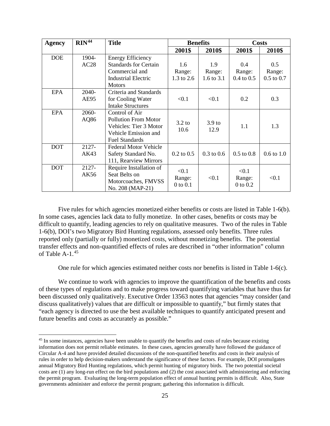| <b>Agency</b> | RIN <sup>44</sup> | <b>Title</b>                 |                  | <b>Benefits</b>   | <b>Costs</b>   |                |
|---------------|-------------------|------------------------------|------------------|-------------------|----------------|----------------|
|               |                   |                              | 2001\$           | 2010\$            | 2001\$         | 2010\$         |
| <b>DOE</b>    | 1904-             | <b>Energy Efficiency</b>     |                  |                   |                |                |
|               | AC28              | <b>Standards for Certain</b> | 1.6              | 1.9               | 0.4            | 0.5            |
|               |                   | Commercial and               | Range:           | Range:            | Range:         | Range:         |
|               |                   | <b>Industrial Electric</b>   | 1.3 to 2.6       | 1.6 to $3.1$      | $0.4$ to $0.5$ | $0.5$ to $0.7$ |
|               |                   | <b>Motors</b>                |                  |                   |                |                |
| <b>EPA</b>    | 2040-             | Criteria and Standards       |                  |                   |                |                |
|               | AE95              | for Cooling Water            | < 0.1            | < 0.1             | 0.2            | 0.3            |
|               |                   | <b>Intake Structures</b>     |                  |                   |                |                |
| <b>EPA</b>    | 2060-             | Control of Air               |                  |                   |                |                |
|               | AQ86              | <b>Pollution From Motor</b>  | $3.2 \text{ to}$ | 3.9 <sub>to</sub> |                |                |
|               |                   | Vehicles: Tier 3 Motor       | 10.6             | 12.9              | 1.1            | 1.3            |
|               |                   | Vehicle Emission and         |                  |                   |                |                |
|               |                   | <b>Fuel Standards</b>        |                  |                   |                |                |
| <b>DOT</b>    | 2127-             | <b>Federal Motor Vehicle</b> |                  |                   |                |                |
|               | AK43              | Safety Standard No.          | $0.2$ to $0.5$   | $0.3$ to $0.6$    | $0.5$ to $0.8$ | $0.6$ to $1.0$ |
|               |                   | 111, Rearview Mirrors        |                  |                   |                |                |
| <b>DOT</b>    | 2127-             | Require Installation of      | < 0.1            |                   | < 0.1          |                |
|               | AK56              | Seat Belts on                | Range:           | < 0.1             | Range:         | < 0.1          |
|               |                   | Motorcoaches, FMVSS          | $0$ to $0.1$     |                   | $0$ to $0.2$   |                |
|               |                   | No. 208 (MAP-21)             |                  |                   |                |                |

Five rules for which agencies monetized either benefits or costs are listed in Table 1-6(b). In some cases, agencies lack data to fully monetize. In other cases, benefits or costs may be difficult to quantify, leading agencies to rely on qualitative measures. Two of the rules in Table 1-6(b), DOI's two Migratory Bird Hunting regulations, assessed only benefits. Three rules reported only (partially or fully) monetized costs, without monetizing benefits. The potential transfer effects and non-quantified effects of rules are described in "other information" column of Table A-1.<sup>45</sup>

One rule for which agencies estimated neither costs nor benefits is listed in Table 1-6(c).

We continue to work with agencies to improve the quantification of the benefits and costs of these types of regulations and to make progress toward quantifying variables that have thus far been discussed only qualitatively. Executive Order 13563 notes that agencies "may consider (and discuss qualitatively) values that are difficult or impossible to quantify," but firmly states that "each agency is directed to use the best available techniques to quantify anticipated present and future benefits and costs as accurately as possible."

<span id="page-27-0"></span><sup>&</sup>lt;sup>45</sup> In some instances, agencies have been unable to quantify the benefits and costs of rules because existing information does not permit reliable estimates. In these cases, agencies generally have followed the guidance of Circular A-4 and have provided detailed discussions of the non-quantified benefits and costs in their analysis of rules in order to help decision-makers understand the significance of these factors. For example, DOI promulgates annual Migratory Bird Hunting regulations, which permit hunting of migratory birds. The two potential societal costs are (1) any long-run effect on the bird populations and (2) the cost associated with administering and enforcing the permit program. Evaluating the long-term population effect of annual hunting permits is difficult. Also, State governments administer and enforce the permit program; gathering this information is difficult.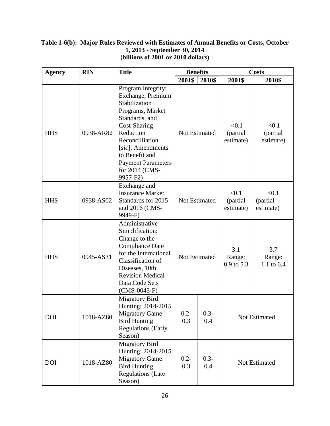#### **Table 1-6(b): Major Rules Reviewed with Estimates of Annual Benefits or Costs, October 1, 2013 - September 30, 2014 (billions of 2001 or 2010 dollars)**

| Agency     | <b>RIN</b> | <b>Title</b>                                                                                                                                                                                                                                     | <b>Benefits</b>      |                | <b>Costs</b>                   |                                |
|------------|------------|--------------------------------------------------------------------------------------------------------------------------------------------------------------------------------------------------------------------------------------------------|----------------------|----------------|--------------------------------|--------------------------------|
|            |            |                                                                                                                                                                                                                                                  | 2001\$               | 2010\$         | 2001\$                         | 2010\$                         |
| <b>HHS</b> | 0938-AR82  | Program Integrity:<br>Exchange, Premium<br>Stabilization<br>Programs, Market<br>Standards, and<br>Cost-Sharing<br>Reduction<br>Reconcilliation<br>[sic]; Amendments<br>to Benefit and<br><b>Payment Parameters</b><br>for 2014 (CMS-<br>9957-F2) | <b>Not Estimated</b> |                | < 0.1<br>(partial<br>estimate) | < 0.1<br>(partial<br>estimate) |
| <b>HHS</b> | 0938-AS02  | Exchange and<br><b>Insurance Market</b><br>Standards for 2015<br>and 2016 (CMS-<br>9949-F)                                                                                                                                                       | <b>Not Estimated</b> |                | < 0.1<br>(partial<br>estimate) | < 0.1<br>(partial<br>estimate) |
| <b>HHS</b> | 0945-AS31  | Administrative<br>Simplification:<br>Change to the<br><b>Compliance Date</b><br>for the International<br>Classification of<br>Diseases, 10th<br><b>Revision Medical</b><br>Data Code Sets<br>$(CMS-0043-F)$                                      |                      | Not Estimated  | 3.1<br>Range:<br>$0.9$ to 5.3  | 3.7<br>Range:<br>1.1 to 6.4    |
| <b>DOI</b> | 1018-AZ80  | <b>Migratory Bird</b><br>Hunting; 2014-2015<br><b>Migratory Game</b><br><b>Bird Hunting</b><br><b>Regulations (Early</b><br>Season)                                                                                                              | $0.2 -$<br>0.3       | $0.3 -$<br>0.4 | Not Estimated                  |                                |
| <b>DOI</b> | 1018-AZ80  | Migratory Bird<br>Hunting; 2014-2015<br><b>Migratory Game</b><br><b>Bird Hunting</b><br><b>Regulations (Late</b><br>Season)                                                                                                                      | $0.2 -$<br>0.3       | $0.3 -$<br>0.4 | Not Estimated                  |                                |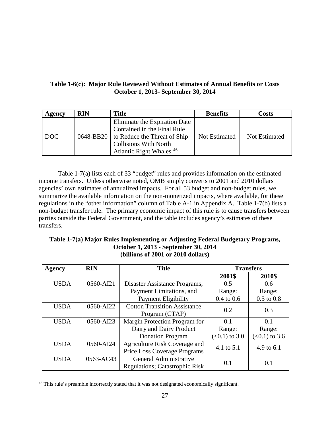#### **Table 1-6(c): Major Rule Reviewed Without Estimates of Annual Benefits or Costs October 1, 2013- September 30, 2014**

| Agency                | <b>RIN</b> | <b>Title</b>                                                                                                                                                                  | <b>Benefits</b> | Costs                |
|-----------------------|------------|-------------------------------------------------------------------------------------------------------------------------------------------------------------------------------|-----------------|----------------------|
| $\overline{\rm{DOC}}$ |            | Eliminate the Expiration Date<br>Contained in the Final Rule<br>0648-BB20 to Reduce the Threat of Ship<br><b>Collisions With North</b><br>Atlantic Right Whales <sup>46</sup> | Not Estimated   | <b>Not Estimated</b> |

Table 1-7(a) lists each of 33 "budget" rules and provides information on the estimated income transfers. Unless otherwise noted, OMB simply converts to 2001 and 2010 dollars agencies' own estimates of annualized impacts. For all 53 budget and non-budget rules, we summarize the available information on the non-monetized impacts, where available, for these regulations in the "other information" column of Table A-1 in Appendix A. Table 1-7(b) lists a non-budget transfer rule. The primary economic impact of this rule is to cause transfers between parties outside the Federal Government, and the table includes agency's estimates of these transfers.

#### **Table 1-7(a) Major Rules Implementing or Adjusting Federal Budgetary Programs, October 1, 2013 - September 30, 2014 (billions of 2001 or 2010 dollars)**

| <b>Agency</b> | <b>RIN</b> | <b>Title</b>                           | <b>Transfers</b>         |                 |
|---------------|------------|----------------------------------------|--------------------------|-----------------|
|               |            |                                        | 2001\$                   | 2010\$          |
| <b>USDA</b>   | 0560-AI21  | Disaster Assistance Programs,<br>0.5   |                          | 0.6             |
|               |            | Payment Limitations, and               | Range:                   | Range:          |
|               |            | Payment Eligibility                    | $0.4$ to $0.6$           | $0.5$ to $0.8$  |
| <b>USDA</b>   | 0560-AI22  | <b>Cotton Transition Assistance</b>    | 0.2                      | 0.3             |
|               |            | Program (CTAP)                         |                          |                 |
| <b>USDA</b>   | 0560-AI23  | Margin Protection Program for          | 0.1                      | 0.1             |
|               |            | Dairy and Dairy Product                | Range:                   | Range:          |
|               |            | <b>Donation Program</b>                | $(<0.1)$ to 3.0          | $(<0.1)$ to 3.6 |
| <b>USDA</b>   | 0560-AI24  | Agriculture Risk Coverage and          | 4.1 to 5.1<br>4.9 to 6.1 |                 |
|               |            | Price Loss Coverage Programs           |                          |                 |
| <b>USDA</b>   | 0563-AC43  | General Administrative                 | 0.1<br>0.1               |                 |
|               |            | <b>Regulations</b> ; Catastrophic Risk |                          |                 |

<span id="page-29-0"></span><sup>&</sup>lt;sup>46</sup> This rule's preamble incorrectly stated that it was not designated economically significant.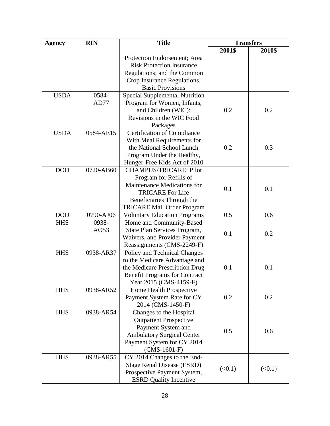| <b>Agency</b> | <b>RIN</b> | <b>Title</b>                                                   | <b>Transfers</b> |        |
|---------------|------------|----------------------------------------------------------------|------------------|--------|
|               |            |                                                                | 2001\$           | 2010\$ |
|               |            | Protection Endorsement; Area                                   |                  |        |
|               |            | <b>Risk Protection Insurance</b>                               |                  |        |
|               |            | Regulations; and the Common                                    |                  |        |
|               |            | Crop Insurance Regulations,                                    |                  |        |
|               |            | <b>Basic Provisions</b>                                        |                  |        |
| <b>USDA</b>   | 0584-      | <b>Special Supplemental Nutrition</b>                          |                  |        |
|               | AD77       | Program for Women, Infants,                                    |                  |        |
|               |            | and Children (WIC):                                            | 0.2              | 0.2    |
|               |            | Revisions in the WIC Food                                      |                  |        |
|               |            | Packages                                                       |                  |        |
| <b>USDA</b>   | 0584-AE15  | <b>Certification of Compliance</b>                             |                  |        |
|               |            | With Meal Requirements for                                     |                  |        |
|               |            | the National School Lunch                                      | 0.2              | 0.3    |
|               |            | Program Under the Healthy,                                     |                  |        |
|               |            | Hunger-Free Kids Act of 2010                                   |                  |        |
| <b>DOD</b>    | 0720-AB60  | <b>CHAMPUS/TRICARE: Pilot</b>                                  |                  |        |
|               |            | Program for Refills of                                         |                  |        |
|               |            | Maintenance Medications for                                    |                  |        |
|               |            | <b>TRICARE For Life</b>                                        | 0.1              | 0.1    |
|               |            | Beneficiaries Through the                                      |                  |        |
|               |            | <b>TRICARE Mail Order Program</b>                              |                  |        |
| <b>DOD</b>    | 0790-AJ06  | <b>Voluntary Education Programs</b>                            | 0.5              | 0.6    |
| <b>HHS</b>    | 0938-      | Home and Community-Based                                       |                  |        |
|               | AO53       | State Plan Services Program,                                   |                  |        |
|               |            | Waivers, and Provider Payment                                  | 0.1              | 0.2    |
|               |            |                                                                |                  |        |
| <b>HHS</b>    | 0938-AR37  | Reassignments (CMS-2249-F)                                     |                  |        |
|               |            | Policy and Technical Changes                                   |                  |        |
|               |            | to the Medicare Advantage and                                  | 0.1              | 0.1    |
|               |            | the Medicare Prescription Drug                                 |                  |        |
|               |            | <b>Benefit Programs for Contract</b><br>Year 2015 (CMS-4159-F) |                  |        |
|               | 0938-AR52  |                                                                |                  |        |
| <b>HHS</b>    |            | Home Health Prospective                                        |                  | 0.2    |
|               |            | Payment System Rate for CY                                     | 0.2              |        |
|               |            | 2014 (CMS-1450-F)                                              |                  |        |
| <b>HHS</b>    | 0938-AR54  | Changes to the Hospital                                        |                  |        |
|               |            | <b>Outpatient Prospective</b>                                  |                  |        |
|               |            | Payment System and                                             | 0.5              | 0.6    |
|               |            | <b>Ambulatory Surgical Center</b>                              |                  |        |
|               |            | Payment System for CY 2014                                     |                  |        |
|               |            | $(CMS-1601-F)$                                                 |                  |        |
| <b>HHS</b>    | 0938-AR55  | CY 2014 Changes to the End-                                    |                  |        |
|               |            | <b>Stage Renal Disease (ESRD)</b>                              | (<0.1)           | (<0.1) |
|               |            | Prospective Payment System,                                    |                  |        |
|               |            | <b>ESRD</b> Quality Incentive                                  |                  |        |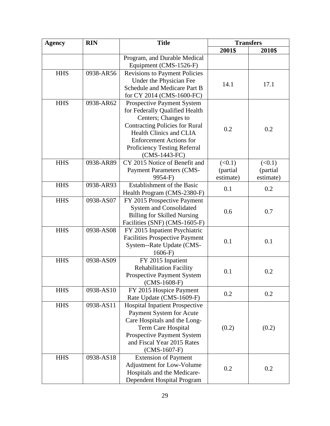| <b>Agency</b> | <b>RIN</b> | <b>Title</b>                          | <b>Transfers</b> |           |
|---------------|------------|---------------------------------------|------------------|-----------|
|               |            |                                       | 2001\$           | 2010\$    |
|               |            | Program, and Durable Medical          |                  |           |
|               |            | Equipment (CMS-1526-F)                |                  |           |
| <b>HHS</b>    | 0938-AR56  | Revisions to Payment Policies         |                  |           |
|               |            | Under the Physician Fee               | 14.1             | 17.1      |
|               |            | Schedule and Medicare Part B          |                  |           |
|               |            | for CY 2014 (CMS-1600-FC)             |                  |           |
| <b>HHS</b>    | 0938-AR62  | <b>Prospective Payment System</b>     |                  |           |
|               |            | for Federally Qualified Health        |                  |           |
|               |            | Centers; Changes to                   |                  |           |
|               |            | <b>Contracting Policies for Rural</b> | 0.2              | 0.2       |
|               |            | <b>Health Clinics and CLIA</b>        |                  |           |
|               |            | <b>Enforcement Actions for</b>        |                  |           |
|               |            | Proficiency Testing Referral          |                  |           |
|               |            | (CMS-1443-FC)                         |                  |           |
| <b>HHS</b>    | 0938-AR89  | CY 2015 Notice of Benefit and         | (<0.1)           | (<0.1)    |
|               |            | <b>Payment Parameters (CMS-</b>       | (partial         | (partial  |
|               |            | 9954-F)                               | estimate)        | estimate) |
| <b>HHS</b>    | 0938-AR93  | Establishment of the Basic            | 0.1              | 0.2       |
|               |            | Health Program (CMS-2380-F)           |                  |           |
| <b>HHS</b>    | 0938-AS07  | FY 2015 Prospective Payment           |                  |           |
|               |            | <b>System and Consolidated</b>        | 0.6              | 0.7       |
|               |            | <b>Billing for Skilled Nursing</b>    |                  |           |
|               |            | Facilities (SNF) (CMS-1605-F)         |                  |           |
| <b>HHS</b>    | 0938-AS08  | FY 2015 Inpatient Psychiatric         |                  |           |
|               |            | <b>Facilities Prospective Payment</b> | 0.1              | 0.1       |
|               |            | System--Rate Update (CMS-<br>$1606-F$ |                  |           |
| <b>HHS</b>    | 0938-AS09  | FY 2015 Inpatient                     |                  |           |
|               |            | <b>Rehabilitation Facility</b>        |                  |           |
|               |            | <b>Prospective Payment System</b>     | 0.1              | 0.2       |
|               |            | $(CMS-1608-F)$                        |                  |           |
| <b>HHS</b>    | 0938-AS10  | FY 2015 Hospice Payment               |                  |           |
|               |            | Rate Update (CMS-1609-F)              | 0.2              | 0.2       |
| <b>HHS</b>    | 0938-AS11  | <b>Hospital Inpatient Prospective</b> |                  |           |
|               |            | Payment System for Acute              |                  |           |
|               |            | Care Hospitals and the Long-          |                  |           |
|               |            | Term Care Hospital                    | (0.2)            | (0.2)     |
|               |            | <b>Prospective Payment System</b>     |                  |           |
|               |            | and Fiscal Year 2015 Rates            |                  |           |
|               |            | $(CMS-1607-F)$                        |                  |           |
| <b>HHS</b>    | 0938-AS18  | <b>Extension of Payment</b>           |                  |           |
|               |            | <b>Adjustment for Low-Volume</b>      |                  |           |
|               |            | Hospitals and the Medicare-           | 0.2              | 0.2       |
|               |            | Dependent Hospital Program            |                  |           |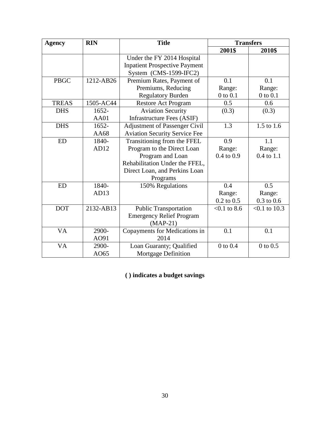| <b>Agency</b> | <b>RIN</b> | <b>Title</b>                         | <b>Transfers</b> |                 |
|---------------|------------|--------------------------------------|------------------|-----------------|
|               |            |                                      | 2001\$           | 2010\$          |
|               |            | Under the FY 2014 Hospital           |                  |                 |
|               |            | <b>Inpatient Prospective Payment</b> |                  |                 |
|               |            | System $(CMS-1599-IFC2)$             |                  |                 |
| <b>PBGC</b>   | 1212-AB26  | Premium Rates, Payment of            | 0.1              | 0.1             |
|               |            | Premiums, Reducing                   | Range:           | Range:          |
|               |            | <b>Regulatory Burden</b>             | $0$ to $0.1$     | $0$ to $0.1$    |
| <b>TREAS</b>  | 1505-AC44  | <b>Restore Act Program</b>           | 0.5              | 0.6             |
| <b>DHS</b>    | 1652-      | <b>Aviation Security</b>             | (0.3)            | (0.3)           |
|               | AA01       | <b>Infrastructure Fees (ASIF)</b>    |                  |                 |
| <b>DHS</b>    | $1652 -$   | <b>Adjustment of Passenger Civil</b> | 1.3              | 1.5 to 1.6      |
|               | AA68       | <b>Aviation Security Service Fee</b> |                  |                 |
| <b>ED</b>     | 1840-      | Transitioning from the FFEL          | 0.9              | 1.1             |
|               | AD12       | Program to the Direct Loan           | Range:           | Range:          |
|               |            | Program and Loan                     | $0.4$ to $0.9$   | $0.4$ to $1.1$  |
|               |            | Rehabilitation Under the FFEL,       |                  |                 |
|               |            | Direct Loan, and Perkins Loan        |                  |                 |
|               |            | Programs                             |                  |                 |
| <b>ED</b>     | 1840-      | 150% Regulations                     | 0.4              | 0.5             |
|               | AD13       |                                      | Range:           | Range:          |
|               |            |                                      | $0.2$ to $0.5$   | $0.3$ to $0.6$  |
| <b>DOT</b>    | 2132-AB13  | <b>Public Transportation</b>         | $< 0.1$ to 8.6   | $< 0.1$ to 10.3 |
|               |            | <b>Emergency Relief Program</b>      |                  |                 |
|               |            | $(MAP-21)$                           |                  |                 |
| <b>VA</b>     | 2900-      | 0.1<br>Copayments for Medications in |                  | 0.1             |
|               | AO91       | 2014                                 |                  |                 |
| VA            | 2900-      | Loan Guaranty; Qualified             | $0$ to $0.4$     | $0$ to $0.5$    |
|               | AO65       | <b>Mortgage Definition</b>           |                  |                 |

**( ) indicates a budget savings**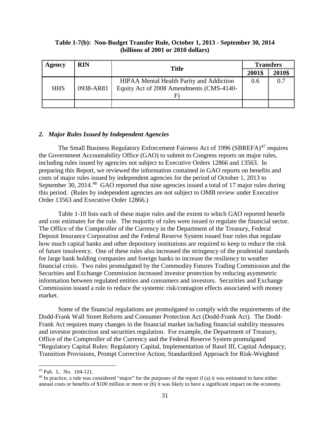#### **Table 1-7(b): Non-Budget Transfer Rule, October 1, 2013 - September 30, 2014 (billions of 2001 or 2010 dollars)**

| Agency     | <b>RIN</b> | <b>Title</b>                                    |     | <b>Transfers</b> |  |
|------------|------------|-------------------------------------------------|-----|------------------|--|
|            |            |                                                 |     | 2010\$           |  |
|            |            | <b>HIPAA Mental Health Parity and Addiction</b> | 0.6 | 0.7              |  |
| <b>HHS</b> | 0938-AR81  | Equity Act of 2008 Amendments (CMS-4140-        |     |                  |  |
|            |            |                                                 |     |                  |  |
|            |            |                                                 |     |                  |  |

#### *2. Major Rules Issued by Independent Agencies*

The Small Business Regulatory Enforcement Fairness Act of 1996 (SBREFA)<sup>[47](#page-33-0)</sup> requires the Government Accountability Office (GAO) to submit to Congress reports on major rules, including rules issued by agencies not subject to Executive Orders 12866 and 13563. In preparing this Report, we reviewed the information contained in GAO reports on benefits and costs of major rules issued by independent agencies for the period of October 1, 2013 to September 30, 2014.<sup>[48](#page-33-1)</sup> GAO reported that nine agencies issued a total of 17 major rules during this period. (Rules by independent agencies are not subject to OMB review under Executive Order 13563 and Executive Order 12866.)

Table 1-10 lists each of these major rules and the extent to which GAO reported benefit and cost estimates for the rule. The majority of rules were issued to regulate the financial sector. The Office of the Comptroller of the Currency in the Department of the Treasury, Federal Deposit Insurance Corporation and the Federal Reserve System issued four rules that regulate how much capital banks and other depository institutions are required to keep to reduce the risk of future insolvency. One of these rules also increased the stringency of the prudential standards for large bank holding companies and foreign banks to increase the resiliency to weather financial crisis. Two rules promulgated by the Commodity Futures Trading Commission and the Securities and Exchange Commission increased investor protection by reducing asymmetric information between regulated entities and consumers and investors. Securities and Exchange Commission issued a rule to reduce the systemic risk/contagion effects associated with money market.

Some of the financial regulations are promulgated to comply with the requirements of the Dodd-Frank Wall Street Reform and Consumer Protection Act (Dodd-Frank Act). The Dodd-Frank Act requires many changes in the financial market including financial stability measures and investor protection and securities regulation. For example, the Department of Treasury, Office of the Comptroller of the Currency and the Federal Reserve System promulgated "Regulatory Capital Rules: Regulatory Capital, Implementation of Basel III, Capital Adequacy, Transition Provisions, Prompt Corrective Action, Standardized Approach for Risk-Weighted

<span id="page-33-0"></span> <sup>47</sup> Pub. L. No. 104-121.

<span id="page-33-1"></span> $48$  In practice, a rule was considered "major" for the purposes of the report if (a) it was estimated to have either annual costs or benefits of \$100 million or more or (b) it was likely to have a significant impact on the economy.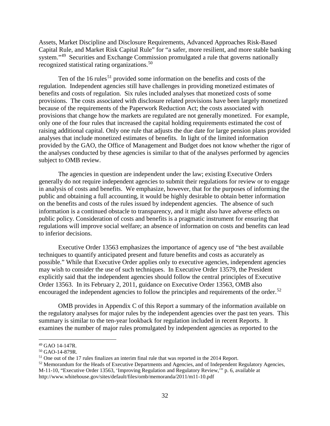Assets, Market Discipline and Disclosure Requirements, Advanced Approaches Risk-Based Capital Rule, and Market Risk Capital Rule" for "a safer, more resilient, and more stable banking system."<sup>[49](#page-34-0)</sup> Securities and Exchange Commission promulgated a rule that governs nationally recognized statistical rating organizations.<sup>[50](#page-34-1)</sup>

Ten of the 16 rules<sup>[51](#page-34-2)</sup> provided some information on the benefits and costs of the regulation. Independent agencies still have challenges in providing monetized estimates of benefits and costs of regulation. Six rules included analyses that monetized costs of some provisions. The costs associated with disclosure related provisions have been largely monetized because of the requirements of the Paperwork Reduction Act; the costs associated with provisions that change how the markets are regulated are not generally monetized. For example, only one of the four rules that increased the capital holding requirements estimated the cost of raising additional capital. Only one rule that adjusts the due date for large pension plans provided analyses that include monetized estimates of benefits. In light of the limited information provided by the GAO, the Office of Management and Budget does not know whether the rigor of the analyses conducted by these agencies is similar to that of the analyses performed by agencies subject to OMB review.

The agencies in question are independent under the law; existing Executive Orders generally do not require independent agencies to submit their regulations for review or to engage in analysis of costs and benefits. We emphasize, however, that for the purposes of informing the public and obtaining a full accounting, it would be highly desirable to obtain better information on the benefits and costs of the rules issued by independent agencies. The absence of such information is a continued obstacle to transparency, and it might also have adverse effects on public policy. Consideration of costs and benefits is a pragmatic instrument for ensuring that regulations will improve social welfare; an absence of information on costs and benefits can lead to inferior decisions.

Executive Order 13563 emphasizes the importance of agency use of "the best available techniques to quantify anticipated present and future benefits and costs as accurately as possible." While that Executive Order applies only to executive agencies, independent agencies may wish to consider the use of such techniques. In Executive Order 13579, the President explicitly said that the independent agencies should follow the central principles of Executive Order 13563. In its February 2, 2011, guidance on Executive Order 13563, OMB also encouraged the independent agencies to follow the principles and requirements of the order.<sup>[52](#page-34-3)</sup>

OMB provides in Appendix C of this Report a summary of the information available on the regulatory analyses for major rules by the independent agencies over the past ten years. This summary is similar to the ten-year lookback for regulation included in recent Reports. It examines the number of major rules promulgated by independent agencies as reported to the

<span id="page-34-0"></span> <sup>49</sup> GAO 14-147R.

<span id="page-34-1"></span><sup>50</sup> GAO-14-879R.

<span id="page-34-2"></span><sup>&</sup>lt;sup>51</sup> One out of the 17 rules finalizes an interim final rule that was reported in the 2014 Report.

<span id="page-34-3"></span><sup>52</sup> Memorandum for the Heads of Executive Departments and Agencies, and of Independent Regulatory Agencies, M-11-10, "Executive Order 13563, 'Improving Regulation and Regulatory Review,'" p. 6, available at http://www.whitehouse.gov/sites/default/files/omb/memoranda/2011/m11-10.pdf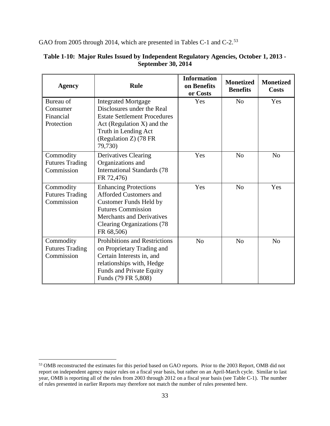GAO from 2005 through 2014, which are presented in Tables C-1 and C-2.<sup>53</sup>

| <b>Agency</b>                                     | <b>Rule</b>                                                                                                                                                                                                        | <b>Information</b><br>on Benefits<br>or Costs | <b>Monetized</b><br><b>Benefits</b> | <b>Monetized</b><br><b>Costs</b> |
|---------------------------------------------------|--------------------------------------------------------------------------------------------------------------------------------------------------------------------------------------------------------------------|-----------------------------------------------|-------------------------------------|----------------------------------|
| Bureau of<br>Consumer                             | <b>Integrated Mortgage</b><br>Disclosures under the Real                                                                                                                                                           | Yes                                           | N <sub>o</sub>                      | Yes                              |
| Financial                                         | <b>Estate Settlement Procedures</b>                                                                                                                                                                                |                                               |                                     |                                  |
| Protection                                        | Act (Regulation $X$ ) and the<br>Truth in Lending Act<br>(Regulation Z) (78 FR<br>79,730)                                                                                                                          |                                               |                                     |                                  |
| Commodity<br><b>Futures Trading</b><br>Commission | Derivatives Clearing<br>Organizations and<br><b>International Standards (78</b><br>FR 72,476)                                                                                                                      | Yes                                           | N <sub>0</sub>                      | N <sub>0</sub>                   |
| Commodity<br><b>Futures Trading</b><br>Commission | <b>Enhancing Protections</b><br><b>Afforded Customers and</b><br><b>Customer Funds Held by</b><br><b>Futures Commission</b><br><b>Merchants and Derivatives</b><br><b>Clearing Organizations (78</b><br>FR 68,506) | Yes                                           | No                                  | Yes                              |
| Commodity<br><b>Futures Trading</b><br>Commission | <b>Prohibitions and Restrictions</b><br>on Proprietary Trading and<br>Certain Interests in, and<br>relationships with, Hedge<br><b>Funds and Private Equity</b><br>Funds (79 FR 5,808)                             | N <sub>0</sub>                                | N <sub>0</sub>                      | N <sub>0</sub>                   |

#### **Table 1-10: Major Rules Issued by Independent Regulatory Agencies, October 1, 2013 - September 30, 2014**

<span id="page-35-0"></span> <sup>53</sup> OMB reconstructed the estimates for this period based on GAO reports. Prior to the 2003 Report, OMB did not report on independent agency major rules on a fiscal year basis, but rather on an April-March cycle. Similar to last year, OMB is reporting all of the rules from 2003 through 2012 on a fiscal year basis (see Table C-1). The number of rules presented in earlier Reports may therefore not match the number of rules presented here.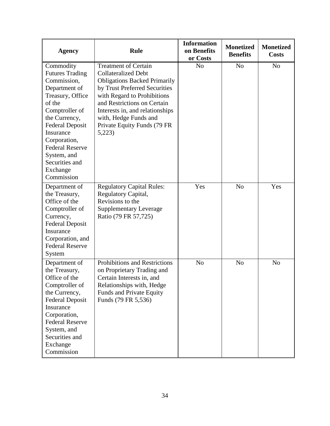| <b>Agency</b>                                                                                                                                                                                                                                                                    | <b>Rule</b>                                                                                                                                                                                                                                                                                           | <b>Information</b><br>on Benefits<br>or Costs | <b>Monetized</b><br><b>Benefits</b> | <b>Monetized</b><br><b>Costs</b> |
|----------------------------------------------------------------------------------------------------------------------------------------------------------------------------------------------------------------------------------------------------------------------------------|-------------------------------------------------------------------------------------------------------------------------------------------------------------------------------------------------------------------------------------------------------------------------------------------------------|-----------------------------------------------|-------------------------------------|----------------------------------|
| Commodity<br><b>Futures Trading</b><br>Commission,<br>Department of<br>Treasury, Office<br>of the<br>Comptroller of<br>the Currency,<br><b>Federal Deposit</b><br>Insurance<br>Corporation,<br><b>Federal Reserve</b><br>System, and<br>Securities and<br>Exchange<br>Commission | <b>Treatment of Certain</b><br><b>Collateralized Debt</b><br><b>Obligations Backed Primarily</b><br>by Trust Preferred Securities<br>with Regard to Prohibitions<br>and Restrictions on Certain<br>Interests in, and relationships<br>with, Hedge Funds and<br>Private Equity Funds (79 FR)<br>5,223) | N <sub>o</sub>                                | N <sub>o</sub>                      | N <sub>o</sub>                   |
| Department of<br>the Treasury,<br>Office of the<br>Comptroller of<br>Currency,<br><b>Federal Deposit</b><br>Insurance<br>Corporation, and<br><b>Federal Reserve</b><br>System                                                                                                    | <b>Regulatory Capital Rules:</b><br>Regulatory Capital,<br>Revisions to the<br><b>Supplementary Leverage</b><br>Ratio (79 FR 57,725)                                                                                                                                                                  | Yes                                           | N <sub>o</sub>                      | Yes                              |
| Department of<br>the Treasury,<br>Office of the<br>Comptroller of<br>the Currency,<br><b>Federal Deposit</b><br>Insurance<br>Corporation,<br><b>Federal Reserve</b><br>System, and<br>Securities and<br>Exchange<br>Commission                                                   | <b>Prohibitions and Restrictions</b><br>on Proprietary Trading and<br>Certain Interests in, and<br>Relationships with, Hedge<br>Funds and Private Equity<br>Funds (79 FR 5,536)                                                                                                                       | N <sub>o</sub>                                | N <sub>o</sub>                      | N <sub>o</sub>                   |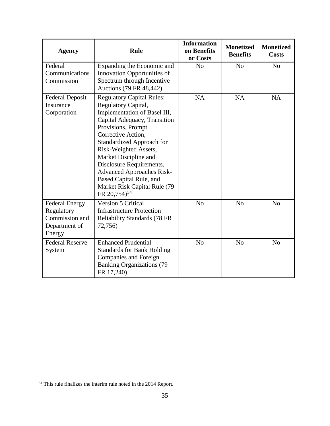| <b>Agency</b>                                                                    | Rule                                                                                                                                                                                                                                                                                                                                                                                                             | <b>Information</b><br>on Benefits<br>or Costs | <b>Monetized</b><br><b>Benefits</b> | <b>Monetized</b><br><b>Costs</b> |
|----------------------------------------------------------------------------------|------------------------------------------------------------------------------------------------------------------------------------------------------------------------------------------------------------------------------------------------------------------------------------------------------------------------------------------------------------------------------------------------------------------|-----------------------------------------------|-------------------------------------|----------------------------------|
| Federal<br>Communications<br>Commission                                          | Expanding the Economic and<br>Innovation Opportunities of<br>Spectrum through Incentive<br>Auctions (79 FR 48,442)                                                                                                                                                                                                                                                                                               | N <sub>o</sub>                                | N <sub>o</sub>                      | N <sub>o</sub>                   |
| <b>Federal Deposit</b><br>Insurance<br>Corporation                               | <b>Regulatory Capital Rules:</b><br>Regulatory Capital,<br>Implementation of Basel III,<br>Capital Adequacy, Transition<br>Provisions, Prompt<br>Corrective Action,<br><b>Standardized Approach for</b><br>Risk-Weighted Assets,<br>Market Discipline and<br>Disclosure Requirements,<br><b>Advanced Approaches Risk-</b><br>Based Capital Rule, and<br>Market Risk Capital Rule (79<br>FR 20,754) <sup>54</sup> | <b>NA</b>                                     | <b>NA</b>                           | <b>NA</b>                        |
| <b>Federal Energy</b><br>Regulatory<br>Commission and<br>Department of<br>Energy | <b>Version 5 Critical</b><br><b>Infrastructure Protection</b><br><b>Reliability Standards (78 FR</b><br>72,756)                                                                                                                                                                                                                                                                                                  | N <sub>o</sub>                                | N <sub>o</sub>                      | N <sub>o</sub>                   |
| <b>Federal Reserve</b><br>System                                                 | <b>Enhanced Prudential</b><br><b>Standards for Bank Holding</b><br>Companies and Foreign<br><b>Banking Organizations (79)</b><br>FR 17,240)                                                                                                                                                                                                                                                                      | N <sub>o</sub>                                | N <sub>o</sub>                      | N <sub>0</sub>                   |

<span id="page-37-0"></span><sup>&</sup>lt;sup>54</sup> This rule finalizes the interim rule noted in the 2014 Report.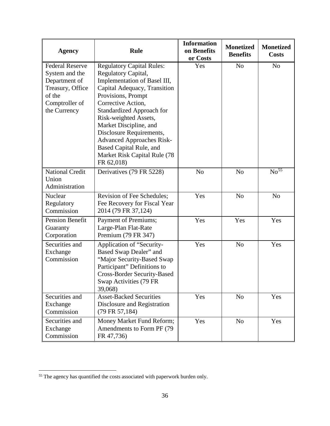| <b>Agency</b>                                                                                                             | <b>Rule</b>                                                                                                                                                                                                                                                                                                                                                                                         | <b>Information</b><br>on Benefits<br>or Costs | <b>Monetized</b><br><b>Benefits</b> | <b>Monetized</b><br><b>Costs</b> |
|---------------------------------------------------------------------------------------------------------------------------|-----------------------------------------------------------------------------------------------------------------------------------------------------------------------------------------------------------------------------------------------------------------------------------------------------------------------------------------------------------------------------------------------------|-----------------------------------------------|-------------------------------------|----------------------------------|
| <b>Federal Reserve</b><br>System and the<br>Department of<br>Treasury, Office<br>of the<br>Comptroller of<br>the Currency | <b>Regulatory Capital Rules:</b><br>Regulatory Capital,<br>Implementation of Basel III,<br>Capital Adequacy, Transition<br>Provisions, Prompt<br>Corrective Action,<br><b>Standardized Approach for</b><br>Risk-weighted Assets,<br>Market Discipline, and<br>Disclosure Requirements,<br><b>Advanced Approaches Risk-</b><br>Based Capital Rule, and<br>Market Risk Capital Rule (78<br>FR 62,018) | Yes                                           | N <sub>o</sub>                      | N <sub>o</sub>                   |
| <b>National Credit</b><br>Union<br>Administration                                                                         | Derivatives (79 FR 5228)                                                                                                                                                                                                                                                                                                                                                                            | N <sub>o</sub>                                | N <sub>o</sub>                      | No <sup>55</sup>                 |
| Nuclear<br>Regulatory<br>Commission                                                                                       | Revision of Fee Schedules;<br>Fee Recovery for Fiscal Year<br>2014 (79 FR 37,124)                                                                                                                                                                                                                                                                                                                   | Yes                                           | N <sub>o</sub>                      | N <sub>o</sub>                   |
| <b>Pension Benefit</b><br>Guaranty<br>Corporation                                                                         | Payment of Premiums;<br>Large-Plan Flat-Rate<br>Premium (79 FR 347)                                                                                                                                                                                                                                                                                                                                 | Yes                                           | Yes                                 | Yes                              |
| Securities and<br>Exchange<br>Commission                                                                                  | Application of "Security-<br>Based Swap Dealer" and<br>"Major Security-Based Swap<br>Participant" Definitions to<br><b>Cross-Border Security-Based</b><br>Swap Activities (79 FR<br>39,068)                                                                                                                                                                                                         | Yes                                           | N <sub>o</sub>                      | Yes                              |
| Securities and<br>Exchange<br>Commission                                                                                  | <b>Asset-Backed Securities</b><br>Disclosure and Registration<br>(79 FR 57,184)                                                                                                                                                                                                                                                                                                                     | Yes                                           | N <sub>o</sub>                      | Yes                              |
| Securities and<br>Exchange<br>Commission                                                                                  | Money Market Fund Reform;<br>Amendments to Form PF (79)<br>FR 47,736)                                                                                                                                                                                                                                                                                                                               | Yes                                           | N <sub>o</sub>                      | Yes                              |

<span id="page-38-0"></span> <sup>55</sup> The agency has quantified the costs associated with paperwork burden only.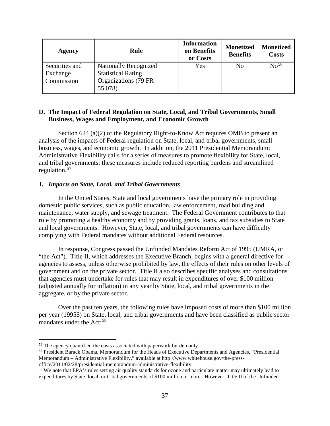| <b>Agency</b>                            | <b>Rule</b>                                                                                   | <b>Information</b><br>on Benefits<br>or Costs | <b>Monetized</b><br><b>Benefits</b> | <b>Monetized</b><br><b>Costs</b> |
|------------------------------------------|-----------------------------------------------------------------------------------------------|-----------------------------------------------|-------------------------------------|----------------------------------|
| Securities and<br>Exchange<br>Commission | <b>Nationally Recognized</b><br><b>Statistical Rating</b><br>Organizations (79 FR)<br>55,078) | Yes                                           | N <sub>o</sub>                      | No <sup>56</sup>                 |

#### **D. The Impact of Federal Regulation on State, Local, and Tribal Governments, Small Business, Wages and Employment, and Economic Growth**

Section 624 (a)(2) of the Regulatory Right-to-Know Act requires OMB to present an analysis of the impacts of Federal regulation on State, local, and tribal governments, small business, wages, and economic growth. In addition, the 2011 Presidential Memorandum: Administrative Flexibility calls for a series of measures to promote flexibility for State, local, and tribal governments; these measures include reduced reporting burdens and streamlined regulation.<sup>[57](#page-39-1)</sup>

#### *1. Impacts on State, Local, and Tribal Governments*

In the United States, State and local governments have the primary role in providing domestic public services, such as public education, law enforcement, road building and maintenance, water supply, and sewage treatment. The Federal Government contributes to that role by promoting a healthy economy and by providing grants, loans, and tax subsidies to State and local governments. However, State, local, and tribal governments can have difficulty complying with Federal mandates without additional Federal resources.

In response, Congress passed the Unfunded Mandates Reform Act of 1995 (UMRA, or "the Act"). Title II, which addresses the Executive Branch, begins with a general directive for agencies to assess, unless otherwise prohibited by law, the effects of their rules on other levels of government and on the private sector. Title II also describes specific analyses and consultations that agencies must undertake for rules that may result in expenditures of over \$100 million (adjusted annually for inflation) in any year by State, local, and tribal governments in the aggregate, or by the private sector.

Over the past ten years, the following rules have imposed costs of more than \$100 million per year (1995\$) on State, local, and tribal governments and have been classified as public sector mandates under the  $Act:58$  $Act:58$ 

<span id="page-39-0"></span><sup>&</sup>lt;sup>56</sup> The agency quantified the costs associated with paperwork burden only.

<span id="page-39-1"></span><sup>57</sup> President Barack Obama, Memorandum for the Heads of Executive Departments and Agencies, "Presidential Memorandum – Administrative Flexibility," available at http://www.whitehouse.gov/the-press-

office/2011/02/28/presidential-memorandum-administrative-flexibility.

<span id="page-39-2"></span><sup>&</sup>lt;sup>58</sup> We note that EPA's rules setting air quality standards for ozone and particulate matter may ultimately lead to expenditures by State, local, or tribal governments of \$100 million or more. However, Title II of the Unfunded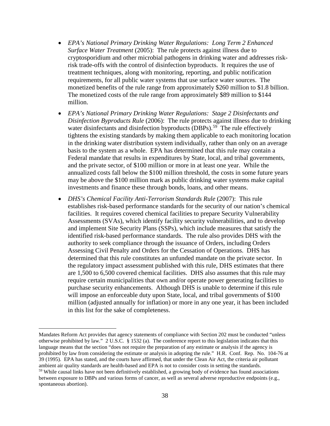- *EPA's National Primary Drinking Water Regulations: Long Term 2 Enhanced Surface Water Treatment (2005):* The rule protects against illness due to cryptosporidium and other microbial pathogens in drinking water and addresses riskrisk trade-offs with the control of disinfection byproducts. It requires the use of treatment techniques, along with monitoring, reporting, and public notification requirements, for all public water systems that use surface water sources. The monetized benefits of the rule range from approximately \$260 million to \$1.8 billion. The monetized costs of the rule range from approximately \$89 million to \$144 million.
- *EPA's National Primary Drinking Water Regulations: Stage 2 Disinfectants and Disinfection Byproducts Rule* (2006): The rule protects against illness due to drinking water disinfectants and disinfection byproducts  $(DBPs)$ .<sup>[59](#page-40-0)</sup> The rule effectively tightens the existing standards by making them applicable to each monitoring location in the drinking water distribution system individually, rather than only on an average basis to the system as a whole. EPA has determined that this rule may contain a Federal mandate that results in expenditures by State, local, and tribal governments, and the private sector, of \$100 million or more in at least one year. While the annualized costs fall below the \$100 million threshold, the costs in some future years may be above the \$100 million mark as public drinking water systems make capital investments and finance these through bonds, loans, and other means.
- *DHS's Chemical Facility Anti-Terrorism Standards Rule* (2007): This rule establishes risk-based performance standards for the security of our nation's chemical facilities. It requires covered chemical facilities to prepare Security Vulnerability Assessments (SVAs), which identify facility security vulnerabilities, and to develop and implement Site Security Plans (SSPs), which include measures that satisfy the identified risk-based performance standards. The rule also provides DHS with the authority to seek compliance through the issuance of Orders, including Orders Assessing Civil Penalty and Orders for the Cessation of Operations. DHS has determined that this rule constitutes an unfunded mandate on the private sector. In the regulatory impact assessment published with this rule, DHS estimates that there are 1,500 to 6,500 covered chemical facilities. DHS also assumes that this rule may require certain municipalities that own and/or operate power generating facilities to purchase security enhancements. Although DHS is unable to determine if this rule will impose an enforceable duty upon State, local, and tribal governments of \$100 million (adjusted annually for inflation) or more in any one year, it has been included in this list for the sake of completeness.

 $\overline{a}$ Mandates Reform Act provides that agency statements of compliance with Section 202 must be conducted "unless otherwise prohibited by law." 2 U.S.C. § 1532 (a). The conference report to this legislation indicates that this language means that the section "does not require the preparation of any estimate or analysis if the agency is prohibited by law from considering the estimate or analysis in adopting the rule." H.R. Conf. Rep. No. 104-76 at 39 (1995). EPA has stated, and the courts have affirmed, that under the Clean Air Act, the criteria air pollutant ambient air quality standards are health-based and EPA is not to consider costs in setting the standards. <sup>59</sup> While causal links have not been definitively established, a growing body of evidence has found associations

<span id="page-40-0"></span>between exposure to DBPs and various forms of cancer, as well as several adverse reproductive endpoints (e.g., spontaneous abortion).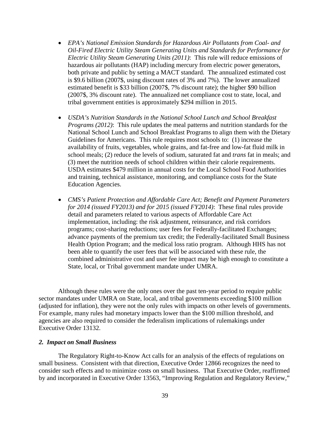- *EPA's National Emission Standards for Hazardous Air Pollutants from Coal- and Oil-Fired Electric Utility Steam Generating Units and Standards for Performance for Electric Utility Steam Generating Units (2011)*: This rule will reduce emissions of hazardous air pollutants (HAP) including mercury from electric power generators, both private and public by setting a MACT standard. The annualized estimated cost is \$9.6 billion (2007\$, using discount rates of 3% and 7%). The lower annualized estimated benefit is \$33 billion (2007\$, 7% discount rate); the higher \$90 billion (2007\$, 3% discount rate). The annualized net compliance cost to state, local, and tribal government entities is approximately \$294 million in 2015.
- *USDA's Nutrition Standards in the National School Lunch and School Breakfast Programs (2012)*: This rule updates the meal patterns and nutrition standards for the National School Lunch and School Breakfast Programs to align them with the Dietary Guidelines for Americans. This rule requires most schools to: (1) increase the availability of fruits, vegetables, whole grains, and fat-free and low-fat fluid milk in school meals; (2) reduce the levels of sodium, saturated fat and *trans* fat in meals; and (3) meet the nutrition needs of school children within their calorie requirements. USDA estimates \$479 million in annual costs for the Local School Food Authorities and training, technical assistance, monitoring, and compliance costs for the State Education Agencies.
- *CMS's Patient Protection and Affordable Care Act; Benefit and Payment Parameters for 2014 (issued FY2013) and for 2015 (issued FY2014)*: These final rules provide detail and parameters related to various aspects of Affordable Care Act implementation, including: the risk adjustment, reinsurance, and risk corridors programs; cost-sharing reductions; user fees for Federally-facilitated Exchanges; advance payments of the premium tax credit; the Federally-facilitated Small Business Health Option Program; and the medical loss ratio program. Although HHS has not been able to quantify the user fees that will be associated with these rule, the combined administrative cost and user fee impact may be high enough to constitute a State, local, or Tribal government mandate under UMRA.

Although these rules were the only ones over the past ten-year period to require public sector mandates under UMRA on State, local, and tribal governments exceeding \$100 million (adjusted for inflation), they were not the only rules with impacts on other levels of governments. For example, many rules had monetary impacts lower than the \$100 million threshold, and agencies are also required to consider the federalism implications of rulemakings under Executive Order 13132.

#### *2. Impact on Small Business*

The Regulatory Right-to-Know Act calls for an analysis of the effects of regulations on small business. Consistent with that direction, Executive Order 12866 recognizes the need to consider such effects and to minimize costs on small business. That Executive Order, reaffirmed by and incorporated in Executive Order 13563, "Improving Regulation and Regulatory Review,"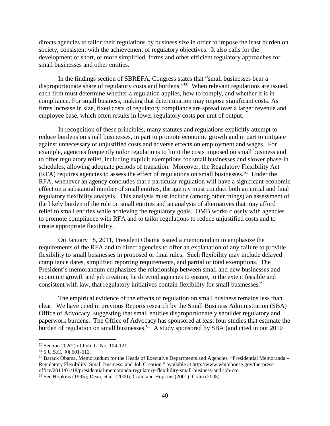directs agencies to tailor their regulations by business size in order to impose the least burden on society, consistent with the achievement of regulatory objectives. It also calls for the development of short, or more simplified, forms and other efficient regulatory approaches for small businesses and other entities.

In the findings section of SBREFA, Congress states that "small businesses bear a disproportionate share of regulatory costs and burdens."[60](#page-42-0) When relevant regulations are issued, each firm must determine whether a regulation applies, how to comply, and whether it is in compliance. For small business, making that determination may impose significant costs. As firms increase in size, fixed costs of regulatory compliance are spread over a larger revenue and employee base, which often results in lower regulatory costs per unit of output.

In recognition of these principles, many statutes and regulations explicitly attempt to reduce burdens on small businesses, in part to promote economic growth and in part to mitigate against unnecessary or unjustified costs and adverse effects on employment and wages. For example, agencies frequently tailor regulations to limit the costs imposed on small business and to offer regulatory relief, including explicit exemptions for small businesses and slower phase-in schedules, allowing adequate periods of transition. Moreover, the Regulatory Flexibility Act  $(RFA)$  requires agencies to assess the effect of regulations on small businesses.<sup>61</sup> Under the RFA, whenever an agency concludes that a particular regulation will have a significant economic effect on a substantial number of small entities, the agency must conduct both an initial and final regulatory flexibility analysis. This analysis must include (among other things) an assessment of the likely burden of the rule on small entities and an analysis of alternatives that may afford relief to small entities while achieving the regulatory goals. OMB works closely with agencies to promote compliance with RFA and to tailor regulations to reduce unjustified costs and to create appropriate flexibility.

On January 18, 2011, President Obama issued a memorandum to emphasize the requirements of the RFA and to direct agencies to offer an explanation of any failure to provide flexibility to small businesses in proposed or final rules. Such flexibility may include delayed compliance dates, simplified reporting requirements, and partial or total exemptions. The President's memorandum emphasizes the relationship between small and new businesses and economic growth and job creation; he directed agencies to ensure, to the extent feasible and consistent with law, that regulatory initiatives contain flexibility for small businesses.<sup>[62](#page-42-2)</sup>

The empirical evidence of the effects of regulation on small business remains less than clear. We have cited in previous Reports research by the Small Business Administration (SBA) Office of Advocacy, suggesting that small entities disproportionately shoulder regulatory and paperwork burdens. The Office of Advocacy has sponsored at least four studies that estimate the burden of regulation on small businesses.<sup>[63](#page-42-3)</sup> A study sponsored by SBA (and cited in our 2010)

<span id="page-42-0"></span> <sup>60</sup> Section 202(2) of Pub. L. No. 104-121.

<span id="page-42-1"></span><sup>61</sup> 5 U.S.C. §§ 601-612.

<span id="page-42-2"></span> $62$  Barack Obama, Memorandum for the Heads of Executive Departments and Agencies, "Presidential Memoranda – Regulatory Flexibility, Small Business, and Job Creation," available at http://www.whitehouse.gov/the-pressoffice/2011/01/18/presidential-memoranda-regulatory-flexibility-small-business-and-job-cre.

<span id="page-42-3"></span><sup>63</sup> See Hopkins (1995); Dean, et al. (2000); Crain and Hopkins (2001); Crain (2005).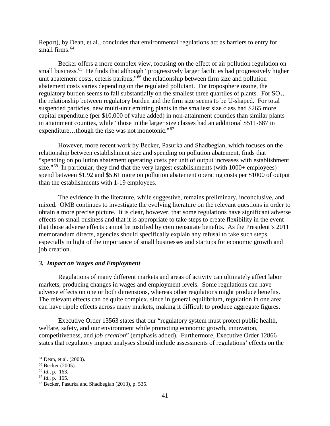Report), by Dean, et al., concludes that environmental regulations act as barriers to entry for small firms.  $64$ 

Becker offers a more complex view, focusing on the effect of air pollution regulation on small business.<sup>[65](#page-43-1)</sup> He finds that although "progressively larger facilities had progressively higher unit abatement costs, ceteris paribus,"<sup>[66](#page-43-2)</sup> the relationship between firm size and pollution abatement costs varies depending on the regulated pollutant. For troposphere ozone, the regulatory burden seems to fall substantially on the smallest three quartiles of plants. For  $SO_{x}$ , the relationship between regulatory burden and the firm size seems to be U-shaped. For total suspended particles, new multi-unit emitting plants in the smallest size class had \$265 more capital expenditure (per \$10,000 of value added) in non-attainment counties than similar plants in attainment counties, while "those in the larger size classes had an additional \$511-687 in expenditure…though the rise was not monotonic."<sup>[67](#page-43-3)</sup>

However, more recent work by Becker, Pasurka and Shadbegian, which focuses on the relationship between establishment size and spending on pollution abatement, finds that "spending on pollution abatement operating costs per unit of output increases with establishment size."<sup>68</sup> In particular, they find that the very largest establishments (with  $1000+$  employees) spend between \$1.92 and \$5.61 more on pollution abatement operating costs per \$1000 of output than the establishments with 1-19 employees.

The evidence in the literature, while suggestive, remains preliminary, inconclusive, and mixed. OMB continues to investigate the evolving literature on the relevant questions in order to obtain a more precise picture. It is clear, however, that some regulations have significant adverse effects on small business and that it is appropriate to take steps to create flexibility in the event that those adverse effects cannot be justified by commensurate benefits. As the President's 2011 memorandum directs, agencies should specifically explain any refusal to take such steps, especially in light of the importance of small businesses and startups for economic growth and job creation.

## *3. Impact on Wages and Employment*

Regulations of many different markets and areas of activity can ultimately affect labor markets, producing changes in wages and employment levels. Some regulations can have adverse effects on one or both dimensions, whereas other regulations might produce benefits. The relevant effects can be quite complex, since in general equilibrium, regulation in one area can have ripple effects across many markets, making it difficult to produce aggregate figures.

Executive Order 13563 states that our "regulatory system must protect public health, welfare, safety, and our environment while promoting economic growth, innovation, competitiveness, and *job creation*" (emphasis added). Furthermore, Executive Order 12866 states that regulatory impact analyses should include assessments of regulations' effects on the

<span id="page-43-0"></span> <sup>64</sup> Dean, et al. (2000).

<span id="page-43-1"></span><sup>65</sup> Becker (2005).

<span id="page-43-2"></span><sup>66</sup> *Id*., p. 163.

<span id="page-43-3"></span><sup>67</sup> *Id*., p. 165.

<span id="page-43-4"></span><sup>68</sup> Becker, Pasurka and Shadbegian (2013), p. 535.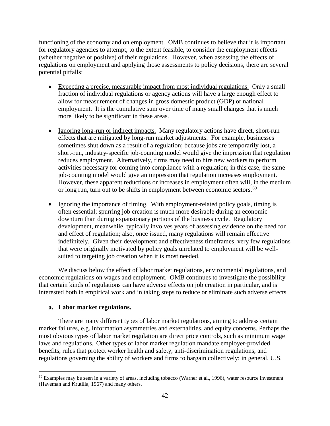functioning of the economy and on employment. OMB continues to believe that it is important for regulatory agencies to attempt, to the extent feasible, to consider the employment effects (whether negative or positive) of their regulations. However, when assessing the effects of regulations on employment and applying those assessments to policy decisions, there are several potential pitfalls:

- Expecting a precise, measurable impact from most individual regulations. Only a small fraction of individual regulations or agency actions will have a large enough effect to allow for measurement of changes in gross domestic product (GDP) or national employment. It is the cumulative sum over time of many small changes that is much more likely to be significant in these areas.
- Ignoring long-run or indirect impacts. Many regulatory actions have direct, short-run effects that are mitigated by long-run market adjustments. For example, businesses sometimes shut down as a result of a regulation; because jobs are temporarily lost, a short-run, industry-specific job-counting model would give the impression that regulation reduces employment. Alternatively, firms may need to hire new workers to perform activities necessary for coming into compliance with a regulation; in this case, the same job-counting model would give an impression that regulation increases employment. However, these apparent reductions or increases in employment often will, in the medium or long run, turn out to be shifts in employment between economic sectors.<sup>[69](#page-44-0)</sup>
- Ignoring the importance of timing. With employment-related policy goals, timing is often essential; spurring job creation is much more desirable during an economic downturn than during expansionary portions of the business cycle. Regulatory development, meanwhile, typically involves years of assessing evidence on the need for and effect of regulation; also, once issued, many regulations will remain effective indefinitely. Given their development and effectiveness timeframes, very few regulations that were originally motivated by policy goals unrelated to employment will be wellsuited to targeting job creation when it is most needed.

We discuss below the effect of labor market regulations, environmental regulations, and economic regulations on wages and employment. OMB continues to investigate the possibility that certain kinds of regulations can have adverse effects on job creation in particular, and is interested both in empirical work and in taking steps to reduce or eliminate such adverse effects.

## **a. Labor market regulations.**

There are many different types of labor market regulations, aiming to address certain market failures, e.g. information asymmetries and externalities, and equity concerns. Perhaps the most obvious types of labor market regulation are direct price controls, such as minimum wage laws and regulations. Other types of labor market regulation mandate employer-provided benefits, rules that protect worker health and safety, anti-discrimination regulations, and regulations governing the ability of workers and firms to bargain collectively; in general, U.S.

<span id="page-44-0"></span> $69$  Examples may be seen in a variety of areas, including tobacco (Warner et al., 1996), water resource investment (Haveman and Krutilla, 1967) and many others.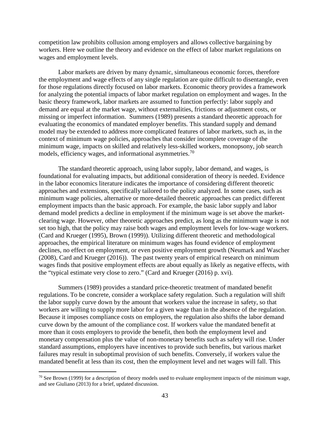competition law prohibits collusion among employers and allows collective bargaining by workers. Here we outline the theory and evidence on the effect of labor market regulations on wages and employment levels.

Labor markets are driven by many dynamic, simultaneous economic forces, therefore the employment and wage effects of any single regulation are quite difficult to disentangle, even for those regulations directly focused on labor markets. Economic theory provides a framework for analyzing the potential impacts of labor market regulation on employment and wages. In the basic theory framework, labor markets are assumed to function perfectly: labor supply and demand are equal at the market wage, without externalities, frictions or adjustment costs, or missing or imperfect information. Summers (1989) presents a standard theoretic approach for evaluating the economics of mandated employer benefits. This standard supply and demand model may be extended to address more complicated features of labor markets, such as, in the context of minimum wage policies, approaches that consider incomplete coverage of the minimum wage, impacts on skilled and relatively less-skilled workers, monopsony, job search models, efficiency wages, and informational asymmetries.<sup>[70](#page-45-0)</sup>

The standard theoretic approach, using labor supply, labor demand, and wages, is foundational for evaluating impacts, but additional consideration of theory is needed. Evidence in the labor economics literature indicates the importance of considering different theoretic approaches and extensions, specifically tailored to the policy analyzed. In some cases, such as minimum wage policies, alternative or more-detailed theoretic approaches can predict different employment impacts than the basic approach. For example, the basic labor supply and labor demand model predicts a decline in employment if the minimum wage is set above the marketclearing wage. However, other theoretic approaches predict, as long as the minimum wage is not set too high, that the policy may raise both wages and employment levels for low-wage workers. (Card and Krueger (1995), Brown (1999)). Utilizing different theoretic and methodological approaches, the empirical literature on minimum wages has found evidence of employment declines, no effect on employment, or even positive employment growth (Neumark and Wascher (2008), Card and Krueger (2016)). The past twenty years of empirical research on minimum wages finds that positive employment effects are about equally as likely as negative effects, with the "typical estimate very close to zero." (Card and Krueger (2016) p. xvi).

Summers (1989) provides a standard price-theoretic treatment of mandated benefit regulations. To be concrete, consider a workplace safety regulation. Such a regulation will shift the labor supply curve down by the amount that workers value the increase in safety, so that workers are willing to supply more labor for a given wage than in the absence of the regulation. Because it imposes compliance costs on employers, the regulation also shifts the labor demand curve down by the amount of the compliance cost. If workers value the mandated benefit at more than it costs employers to provide the benefit, then both the employment level and monetary compensation plus the value of non-monetary benefits such as safety will rise. Under standard assumptions, employers have incentives to provide such benefits, but various market failures may result in suboptimal provision of such benefits. Conversely, if workers value the mandated benefit at less than its cost, then the employment level and net wages will fall. This

<span id="page-45-0"></span><sup>&</sup>lt;sup>70</sup> See Brown (1999) for a description of theory models used to evaluate employment impacts of the minimum wage, and see Giuliano (2013) for a brief, updated discussion.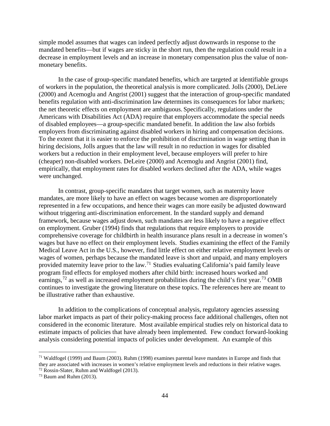simple model assumes that wages can indeed perfectly adjust downwards in response to the mandated benefits—but if wages are sticky in the short run, then the regulation could result in a decrease in employment levels and an increase in monetary compensation plus the value of nonmonetary benefits.

In the case of group-specific mandated benefits, which are targeted at identifiable groups of workers in the population, the theoretical analysis is more complicated. Jolls (2000), DeLiere (2000) and Acemoglu and Angrist (2001) suggest that the interaction of group-specific mandated benefits regulation with anti-discrimination law determines its consequences for labor markets; the net theoretic effects on employment are ambiguous. Specifically, regulations under the Americans with Disabilities Act (ADA) require that employers accommodate the special needs of disabled employees—a group-specific mandated benefit. In addition the law also forbids employers from discriminating against disabled workers in hiring and compensation decisions. To the extent that it is easier to enforce the prohibition of discrimination in wage setting than in hiring decisions, Jolls argues that the law will result in no reduction in wages for disabled workers but a reduction in their employment level, because employers will prefer to hire (cheaper) non-disabled workers. DeLeire (2000) and Acemoglu and Angrist (2001) find, empirically, that employment rates for disabled workers declined after the ADA, while wages were unchanged.

In contrast, group-specific mandates that target women, such as maternity leave mandates, are more likely to have an effect on wages because women are disproportionately represented in a few occupations, and hence their wages can more easily be adjusted downward without triggering anti-discrimination enforcement. In the standard supply and demand framework, because wages adjust down, such mandates are less likely to have a negative effect on employment. Gruber (1994) finds that regulations that require employers to provide comprehensive coverage for childbirth in health insurance plans result in a decrease in women's wages but have no effect on their employment levels. Studies examining the effect of the Family Medical Leave Act in the U.S., however, find little effect on either relative employment levels or wages of women, perhaps because the mandated leave is short and unpaid, and many employers provided maternity leave prior to the law.<sup>[71](#page-46-0)</sup> Studies evaluating California's paid family leave program find effects for employed mothers after child birth: increased hours worked and earnings,  $^{72}$  $^{72}$  $^{72}$  as well as increased employment probabilities during the child's first year.<sup>[73](#page-46-2)</sup> OMB continues to investigate the growing literature on these topics. The references here are meant to be illustrative rather than exhaustive.

In addition to the complications of conceptual analysis, regulatory agencies assessing labor market impacts as part of their policy-making process face additional challenges, often not considered in the economic literature. Most available empirical studies rely on historical data to estimate impacts of policies that have already been implemented. Few conduct forward-looking analysis considering potential impacts of policies under development. An example of this

<span id="page-46-0"></span> $71$  Waldfogel (1999) and Baum (2003). Ruhm (1998) examines parental leave mandates in Europe and finds that they are associated with increases in women's relative employment levels and reductions in their relative wages. <sup>72</sup> Rossin-Slater, Ruhm and Waldfogel (2013).

<span id="page-46-2"></span><span id="page-46-1"></span> $73$  Baum and Ruhm (2013).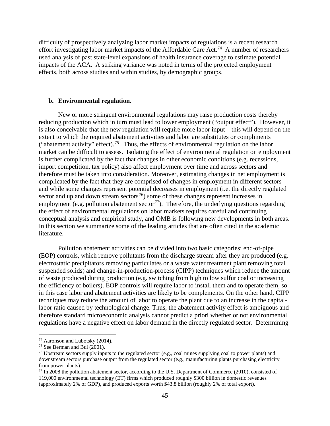difficulty of prospectively analyzing labor market impacts of regulations is a recent research effort investigating labor market impacts of the Affordable Care Act.<sup>74</sup> A number of researchers used analysis of past state-level expansions of health insurance coverage to estimate potential impacts of the ACA. A striking variance was noted in terms of the projected employment effects, both across studies and within studies, by demographic groups.

#### **b. Environmental regulation.**

New or more stringent environmental regulations may raise production costs thereby reducing production which in turn must lead to lower employment ("output effect"). However, it is also conceivable that the new regulation will require more labor input – this will depend on the extent to which the required abatement activities and labor are substitutes or compliments ("abatement activity" effect).<sup>75</sup> Thus, the effects of environmental regulation on the labor market can be difficult to assess. Isolating the effect of environmental regulation on employment is further complicated by the fact that changes in other economic conditions (e.g. recessions, import competition, tax policy) also affect employment over time and across sectors and therefore must be taken into consideration. Moreover, estimating changes in net employment is complicated by the fact that they are comprised of changes in employment in different sectors and while some changes represent potential decreases in employment (i.e. the directly regulated sector and up and down stream sectors<sup>[76](#page-47-2)</sup>) some of these changes represent increases in employment (e.g. pollution abatement sector<sup>[77](#page-47-3)</sup>). Therefore, the underlying questions regarding the effect of environmental regulations on labor markets requires careful and continuing conceptual analysis and empirical study, and OMB is following new developments in both areas. In this section we summarize some of the leading articles that are often cited in the academic literature.

Pollution abatement activities can be divided into two basic categories: end-of-pipe (EOP) controls, which remove pollutants from the discharge stream after they are produced (e.g. electrostatic precipitators removing particulates or a waste water treatment plant removing total suspended solids) and change-in-production-process (CIPP) techniques which reduce the amount of waste produced during production (e.g. switching from high to low sulfur coal or increasing the efficiency of boilers). EOP controls will require labor to install them and to operate them, so in this case labor and abatement activities are likely to be complements. On the other hand, CIPP techniques may reduce the amount of labor to operate the plant due to an increase in the capitallabor ratio caused by technological change. Thus, the abatement activity effect is ambiguous and therefore standard microeconomic analysis cannot predict a priori whether or not environmental regulations have a negative effect on labor demand in the directly regulated sector. Determining

<span id="page-47-0"></span> <sup>74</sup> Aaronson and Lubotsky (2014).

<span id="page-47-1"></span><sup>75</sup> See Berman and Bui (2001).

<span id="page-47-2"></span><sup>&</sup>lt;sup>76</sup> Upstream sectors supply inputs to the regulated sector (e.g., coal mines supplying coal to power plants) and downstream sectors purchase output from the regulated sector (e.g., manufacturing plants purchasing electricity from power plants).

<span id="page-47-3"></span> $77$  In 2008 the pollution abatement sector, according to the U.S. Department of Commerce (2010), consisted of 119,000 environmental technology (ET) firms which produced roughly \$300 billion in domestic revenues (approximately 2% of GDP), and produced exports worth \$43.8 billion (roughly 2% of total export).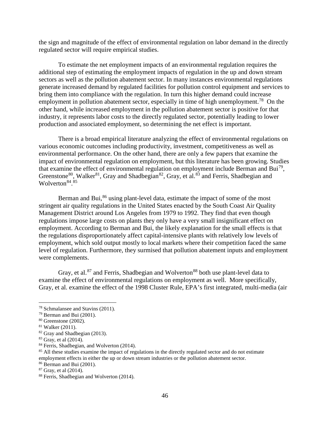the sign and magnitude of the effect of environmental regulation on labor demand in the directly regulated sector will require empirical studies.

To estimate the net employment impacts of an environmental regulation requires the additional step of estimating the employment impacts of regulation in the up and down stream sectors as well as the pollution abatement sector. In many instances environmental regulations generate increased demand by regulated facilities for pollution control equipment and services to bring them into compliance with the regulation. In turn this higher demand could increase employment in pollution abatement sector, especially in time of high unemployment.<sup>[78](#page-48-0)</sup> On the other hand, while increased employment in the pollution abatement sector is positive for that industry, it represents labor costs to the directly regulated sector, potentially leading to lower production and associated employment, so determining the net effect is important.

There is a broad empirical literature analyzing the effect of environmental regulations on various economic outcomes including productivity, investment, competitiveness as well as environmental performance. On the other hand, there are only a few papers that examine the impact of environmental regulation on employment, but this literature has been growing. Studies that examine the effect of environmental regulation on employment include Berman and Bui<sup>[79](#page-48-1)</sup>, Greenstone<sup>[80](#page-48-2)</sup>, Walker<sup>[81](#page-48-3)</sup>, Gray and Shadbegian<sup>[82](#page-48-4)</sup>, Gray, et al.<sup>[83](#page-48-5)</sup> and Ferris, Shadbegian and Wolverton<sup>[84](#page-48-6)</sup>.<sup>[85](#page-48-7)</sup>

Berman and Bui, $^{86}$  $^{86}$  $^{86}$  using plant-level data, estimate the impact of some of the most stringent air quality regulations in the United States enacted by the South Coast Air Quality Management District around Los Angeles from 1979 to 1992. They find that even though regulations impose large costs on plants they only have a very small insignificant effect on employment. According to Berman and Bui, the likely explanation for the small effects is that the regulations disproportionately affect capital-intensive plants with relatively low levels of employment, which sold output mostly to local markets where their competition faced the same level of regulation. Furthermore, they surmised that pollution abatement inputs and employment were complements.

Gray, et al. $87$  and Ferris, Shadbegian and Wolverton<sup>[88](#page-48-10)</sup> both use plant-level data to examine the effect of environmental regulations on employment as well. More specifically, Gray, et al. examine the effect of the 1998 Cluster Rule, EPA's first integrated, multi-media (air

<span id="page-48-0"></span> <sup>78</sup> Schmalansee and Stavins (2011).

<span id="page-48-1"></span><sup>79</sup> Berman and Bui (2001).

<span id="page-48-2"></span><sup>80</sup> Greenstone (2002).

<span id="page-48-3"></span><sup>81</sup> Walker (2011).

<span id="page-48-4"></span><sup>82</sup> Gray and Shadbegian (2013).

<span id="page-48-5"></span><sup>83</sup> Gray, et al (2014).

<span id="page-48-6"></span><sup>&</sup>lt;sup>84</sup> Ferris, Shadbegian, and Wolverton (2014).

<span id="page-48-7"></span><sup>&</sup>lt;sup>85</sup> All these studies examine the impact of regulations in the directly regulated sector and do not estimate employment effects in either the up or down stream industries or the pollution abatement sector.

<span id="page-48-8"></span><sup>86</sup> Berman and Bui (2001).

<span id="page-48-9"></span><sup>87</sup> Gray, et al (2014).

<span id="page-48-10"></span><sup>88</sup> Ferris, Shadbegian and Wolverton (2014).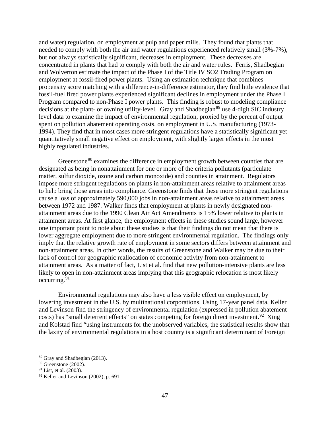and water) regulation, on employment at pulp and paper mills. They found that plants that needed to comply with both the air and water regulations experienced relatively small (3%-7%), but not always statistically significant, decreases in employment. These decreases are concentrated in plants that had to comply with both the air and water rules. Ferris, Shadbegian and Wolverton estimate the impact of the Phase I of the Title IV SO2 Trading Program on employment at fossil-fired power plants. Using an estimation technique that combines propensity score matching with a difference-in-difference estimator, they find little evidence that fossil-fuel fired power plants experienced significant declines in employment under the Phase I Program compared to non-Phase I power plants. This finding is robust to modeling compliance decisions at the plant- or owning utility-level. Gray and Shadbegian<sup>[89](#page-49-0)</sup> use 4-digit SIC industry level data to examine the impact of environmental regulation, proxied by the percent of output spent on pollution abatement operating costs, on employment in U.S. manufacturing (1973- 1994). They find that in most cases more stringent regulations have a statistically significant yet quantitatively small negative effect on employment, with slightly larger effects in the most highly regulated industries.

Greenstone<sup>[90](#page-49-1)</sup> examines the difference in employment growth between counties that are designated as being in nonattainment for one or more of the criteria pollutants (particulate matter, sulfur dioxide, ozone and carbon monoxide) and counties in attainment. Regulators impose more stringent regulations on plants in non-attainment areas relative to attainment areas to help bring those areas into compliance. Greenstone finds that these more stringent regulations cause a loss of approximately 590,000 jobs in non-attainment areas relative to attainment areas between 1972 and 1987. Walker finds that employment at plants in newly designated nonattainment areas due to the 1990 Clean Air Act Amendments is 15% lower relative to plants in attainment areas. At first glance, the employment effects in these studies sound large, however one important point to note about these studies is that their findings do not mean that there is lower aggregate employment due to more stringent environmental regulation. The findings only imply that the relative growth rate of employment in some sectors differs between attainment and non-attainment areas. In other words, the results of Greenstone and Walker may be due to their lack of control for geographic reallocation of economic activity from non-attainment to attainment areas. As a matter of fact, List et al. find that new pollution-intensive plants are less likely to open in non-attainment areas implying that this geographic relocation is most likely occurring. $91$ 

Environmental regulations may also have a less visible effect on employment, by lowering investment in the U.S. by multinational corporations. Using 17-year panel data, Keller and Levinson find the stringency of environmental regulation (expressed in pollution abatement costs) has "small deterrent effects" on states competing for foreign direct investment.<sup>92</sup> Xing and Kolstad find "using instruments for the unobserved variables, the statistical results show that the laxity of environmental regulations in a host country is a significant determinant of Foreign

<span id="page-49-0"></span> <sup>89</sup> Gray and Shadbegian (2013).

<span id="page-49-1"></span><sup>90</sup> Greenstone (2002).

<span id="page-49-2"></span> $91$  List, et al. (2003).

<span id="page-49-3"></span> $92$  Keller and Levinson (2002), p. 691.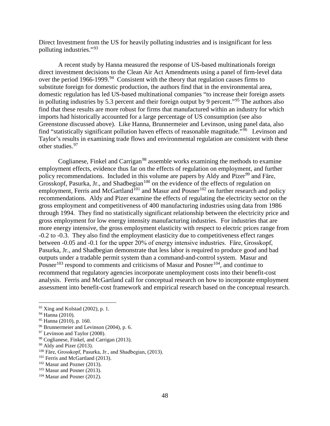Direct Investment from the US for heavily polluting industries and is insignificant for less polluting industries."[93](#page-50-0)

A recent study by Hanna measured the response of US-based multinationals foreign direct investment decisions to the Clean Air Act Amendments using a panel of firm-level data over the period 1966-1999.<sup>[94](#page-50-1)</sup> Consistent with the theory that regulation causes firms to substitute foreign for domestic production, the authors find that in the environmental area, domestic regulation has led US-based multinational companies "to increase their foreign assets in polluting industries by 5.3 percent and their foreign output by 9 percent."[95](#page-50-2) The authors also find that these results are more robust for firms that manufactured within an industry for which imports had historically accounted for a large percentage of US consumption (see also Greenstone discussed above). Like Hanna, Brunnermeier and Levinson, using panel data, also find "statistically significant pollution haven effects of reasonable magnitude."<sup>96</sup> Levinson and Taylor's results in examining trade flows and environmental regulation are consistent with these other studies.[97](#page-50-4)

Coglianese, Finkel and Carrigan<sup>[98](#page-50-5)</sup> assemble works examining the methods to examine employment effects, evidence thus far on the effects of regulation on employment, and further policy recommendations. Included in this volume are papers by Aldy and Pizer<sup>[99](#page-50-6)</sup> and Färe, Grosskopf, Pasurka, Jr., and Shadbegian<sup>[100](#page-50-7)</sup> on the evidence of the effects of regulation on employment, Ferris and McGartland<sup>[101](#page-50-8)</sup> and Masur and Posner<sup>[102](#page-50-9)</sup> on further research and policy recommendations. Aldy and Pizer examine the effects of regulating the electricity sector on the gross employment and competitiveness of 400 manufacturing industries using data from 1986 through 1994. They find no statistically significant relationship between the electricity price and gross employment for low energy intensity manufacturing industries. For industries that are more energy intensive, the gross employment elasticity with respect to electric prices range from -0.2 to -0.3. They also find the employment elasticity due to competitiveness effect ranges between -0.05 and -0.1 for the upper 20% of energy intensive industries. Färe, Grosskopf, Pasurka, Jr., and Shadbegian demonstrate that less labor is required to produce good and bad outputs under a tradable permit system than a command-and-control system. Masur and Posner<sup>[103](#page-50-10)</sup> respond to comments and criticisms of Masur and Posner<sup>[104](#page-50-11)</sup>, and continue to recommend that regulatory agencies incorporate unemployment costs into their benefit-cost analysis. Ferris and McGartland call for conceptual research on how to incorporate employment assessment into benefit-cost framework and empirical research based on the conceptual research.

<span id="page-50-0"></span> <sup>93</sup> Xing and Kolstad (2002), p. 1.

<span id="page-50-1"></span><sup>94</sup> Hanna (2010).

<span id="page-50-2"></span> $95$  Hanna (2010), p. 160.

<span id="page-50-3"></span><sup>96</sup> Brunnermeier and Levinson (2004), p. 6.

<span id="page-50-4"></span> $97$  Levinson and Taylor (2008).

<span id="page-50-5"></span><sup>98</sup> Coglianese, Finkel, and Carrigan (2013).

<span id="page-50-6"></span><sup>&</sup>lt;sup>99</sup> Aldy and Pizer (2013).

<span id="page-50-7"></span><sup>100</sup> Fӓre, Grosskopf, Pasurka, Jr., and Shadbegian, (2013).

<span id="page-50-8"></span><sup>&</sup>lt;sup>101</sup> Ferris and McGartland (2013).

<span id="page-50-9"></span><sup>102</sup> Masur and Pozner (2013).

<span id="page-50-10"></span><sup>103</sup> Masur and Posner (2013).

<span id="page-50-11"></span><sup>104</sup> Masur and Posner (2012).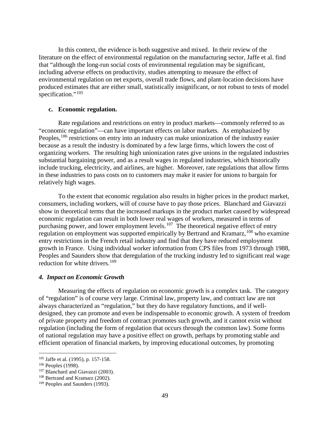In this context, the evidence is both suggestive and mixed. In their review of the literature on the effect of environmental regulation on the manufacturing sector, Jaffe et al. find that "although the long-run social costs of environmental regulation may be significant, including adverse effects on productivity, studies attempting to measure the effect of environmental regulation on net exports, overall trade flows, and plant-location decisions have produced estimates that are either small, statistically insignificant, or not robust to tests of model specification."<sup>[105](#page-51-0)</sup>

#### **c. Economic regulation.**

Rate regulations and restrictions on entry in product markets—commonly referred to as "economic regulation"—can have important effects on labor markets. As emphasized by Peoples, <sup>[106](#page-51-1)</sup> restrictions on entry into an industry can make unionization of the industry easier because as a result the industry is dominated by a few large firms, which lowers the cost of organizing workers. The resulting high unionization rates give unions in the regulated industries substantial bargaining power, and as a result wages in regulated industries, which historically include trucking, electricity, and airlines, are higher. Moreover, rate regulations that allow firms in these industries to pass costs on to customers may make it easier for unions to bargain for relatively high wages.

To the extent that economic regulation also results in higher prices in the product market, consumers, including workers, will of course have to pay those prices. Blanchard and Giavazzi show in theoretical terms that the increased markups in the product market caused by widespread economic regulation can result in both lower real wages of workers, measured in terms of purchasing power, and lower employment levels.<sup>[107](#page-51-2)</sup> The theoretical negative effect of entry regulation on employment was supported empirically by Bertrand and Kramarz,<sup>[108](#page-51-3)</sup> who examine entry restrictions in the French retail industry and find that they have reduced employment growth in France. Using individual worker information from CPS files from 1973 through 1988, Peoples and Saunders show that deregulation of the trucking industry led to significant real wage reduction for white drivers.<sup>[109](#page-51-4)</sup>

#### *4. Impact on Economic Growth*

Measuring the effects of regulation on economic growth is a complex task. The category of "regulation" is of course very large. Criminal law, property law, and contract law are not always characterized as "regulation," but they do have regulatory functions, and if welldesigned, they can promote and even be indispensable to economic growth. A system of freedom of private property and freedom of contract promotes such growth, and it cannot exist without regulation (including the form of regulation that occurs through the common law). Some forms of national regulation may have a positive effect on growth, perhaps by promoting stable and efficient operation of financial markets, by improving educational outcomes, by promoting

<span id="page-51-0"></span> <sup>105</sup> Jaffe et al. (1995), p. 157-158.

<span id="page-51-1"></span><sup>106</sup> Peoples (1998).

<span id="page-51-2"></span><sup>107</sup> Blanchard and Giavazzi (2003).

<span id="page-51-3"></span><sup>108</sup> Bertrand and Kramarz (2002).

<span id="page-51-4"></span><sup>109</sup> Peoples and Saunders (1993).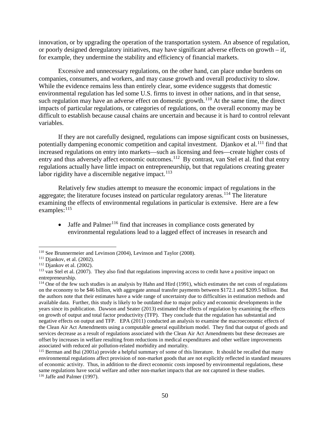innovation, or by upgrading the operation of the transportation system. An absence of regulation, or poorly designed deregulatory initiatives, may have significant adverse effects on growth – if, for example, they undermine the stability and efficiency of financial markets.

Excessive and unnecessary regulations, on the other hand, can place undue burdens on companies, consumers, and workers, and may cause growth and overall productivity to slow. While the evidence remains less than entirely clear, some evidence suggests that domestic environmental regulation has led some U.S. firms to invest in other nations, and in that sense, such regulation may have an adverse effect on domestic growth.<sup>[110](#page-52-0)</sup> At the same time, the direct impacts of particular regulations, or categories of regulations, on the overall economy may be difficult to establish because causal chains are uncertain and because it is hard to control relevant variables.

If they are not carefully designed, regulations can impose significant costs on businesses, potentially dampening economic competition and capital investment. Djankov et al.<sup>[111](#page-52-1)</sup> find that increased regulations on entry into markets—such as licensing and fees—create higher costs of entry and thus adversely affect economic outcomes.<sup>112</sup> By contrast, van Stel et al. find that entry regulations actually have little impact on entrepreneurship, but that regulations creating greater labor rigidity have a discernible negative impact.<sup>113</sup>

Relatively few studies attempt to measure the economic impact of regulations in the aggregate; the literature focuses instead on particular regulatory arenas.<sup>[114](#page-52-4)</sup> The literature examining the effects of environmental regulations in particular is extensive. Here are a few examples:  $^{115}$  $^{115}$  $^{115}$ 

• Jaffe and Palmer<sup>[116](#page-52-6)</sup> find that increases in compliance costs generated by environmental regulations lead to a lagged effect of increases in research and

<span id="page-52-0"></span> <sup>110</sup> See Brunnermeier and Levinson (2004), Levinson and Taylor (2008).

<span id="page-52-2"></span><span id="page-52-1"></span><sup>&</sup>lt;sup>111</sup> Djankov, et al. (2002).<br><sup>112</sup> Djankov et al. (2002).

<span id="page-52-3"></span> $113$  van Stel et al. (2007). They also find that regulations improving access to credit have a positive impact on entrepreneurship.<br><sup>114</sup> One of the few such studies is an analysis by Hahn and Hird (1991), which estimates the net costs of regulations

<span id="page-52-4"></span>on the economy to be \$46 billion, with aggregate annual transfer payments between \$172.1 and \$209.5 billion. But the authors note that their estimates have a wide range of uncertainty due to difficulties in estimation methods and available data. Further, this study is likely to be outdated due to major policy and economic developments in the years since its publication. Dawson and Seater (2013) estimated the effects of regulation by examining the effects on growth of output and total factor productivity (TFP). They conclude that the regulation has substantial and negative effects on output and TFP. EPA (2011) conducted an analysis to examine the macroeconomic effects of the Clean Air Act Amendments using a computable general equilibrium model. They find that output of goods and services decrease as a result of regulations associated with the Clean Air Act Amendments but these decreases are offset by increases in welfare resulting from reductions in medical expenditures and other welfare improvements

<span id="page-52-6"></span><span id="page-52-5"></span> $115$  Berman and Bui (2001a) provide a helpful summary of some of this literature. It should be recalled that many environmental regulations affect provision of non-market goods that are not explicitly reflected in standard measures of economic activity. Thus, in addition to the direct economic costs imposed by environmental regulations, these same regulations have social welfare and other non-market impacts that are not captured in these studies. <sup>116</sup> Jaffe and Palmer (1997).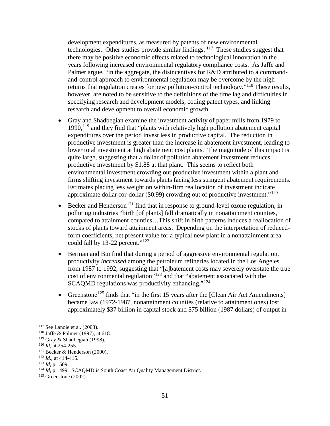development expenditures, as measured by patents of new environmental technologies. Other studies provide similar findings.  $117$  These studies suggest that there may be positive economic effects related to technological innovation in the years following increased environmental regulatory compliance costs. As Jaffe and Palmer argue, "in the aggregate, the disincentives for R&D attributed to a commandand-control approach to environmental regulation may be overcome by the high returns that regulation creates for new pollution-control technology."<sup>[118](#page-53-1)</sup> These results, however, are noted to be sensitive to the definitions of the time lag and difficulties in specifying research and development models, coding patent types, and linking research and development to overall economic growth.

- Gray and Shadbegian examine the investment activity of paper mills from 1979 to 1990,[119](#page-53-2) and they find that "plants with relatively high pollution abatement capital expenditures over the period invest less in productive capital. The reduction in productive investment is greater than the increase in abatement investment, leading to lower total investment at high abatement cost plants. The magnitude of this impact is quite large, suggesting that a dollar of pollution abatement investment reduces productive investment by \$1.88 at that plant. This seems to reflect both environmental investment crowding out productive investment within a plant and firms shifting investment towards plants facing less stringent abatement requirements. Estimates placing less weight on within-firm reallocation of investment indicate approximate dollar-for-dollar (\$0.99) crowding out of productive investment."<sup>[120](#page-53-3)</sup>
- Becker and Henderson<sup>[121](#page-53-4)</sup> find that in response to ground-level ozone regulation, in polluting industries "birth [of plants] fall dramatically in nonattainment counties, compared to attainment counties…This shift in birth patterns induces a reallocation of stocks of plants toward attainment areas. Depending on the interpretation of reducedform coefficients, net present value for a typical new plant in a nonattainment area could fall by 13-22 percent."<sup>[122](#page-53-5)</sup>
- Berman and Bui find that during a period of aggressive environmental regulation, productivity *increased* among the petroleum refineries located in the Los Angeles from 1987 to 1992, suggesting that "[a]batement costs may severely overstate the true cost of environmental regulation"[123](#page-53-6) and that "abatement associated with the SCAQMD regulations was productivity enhancing."[124](#page-53-7)
- Greenstone<sup>[125](#page-53-8)</sup> finds that "in the first 15 years after the [Clean Air Act Amendments] became law (1972-1987, nonattainment counties (relative to attainment ones) lost approximately \$37 billion in capital stock and \$75 billion (1987 dollars) of output in

<span id="page-53-1"></span><span id="page-53-0"></span><sup>&</sup>lt;sup>117</sup> See Lanoie et al. (2008).<br><sup>118</sup> Jaffe & Palmer (1997), at 618.

<span id="page-53-2"></span><sup>119</sup> Gray & Shadbegian (1998).

<span id="page-53-3"></span><sup>120</sup> *Id*, at 254-255.

<span id="page-53-4"></span><sup>121</sup> Becker & Henderson (2000).

<span id="page-53-5"></span><sup>122</sup> *Id.*, at 414-415.

<span id="page-53-6"></span><sup>123</sup> *Id,* p. 509.

<span id="page-53-7"></span><sup>&</sup>lt;sup>124</sup> *Id.* p. 499. SCAQMD is South Coast Air Quality Management District.

<span id="page-53-8"></span> $125$  Greenstone (2002).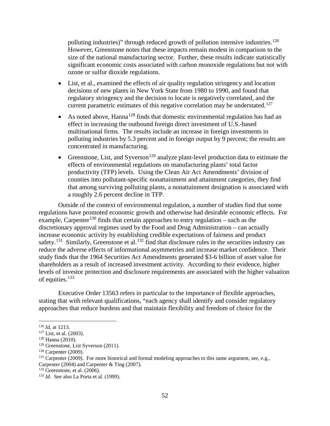polluting industries)" through reduced growth of pollution intensive industries.<sup>126</sup> However, Greenstone notes that these impacts remain modest in comparison to the size of the national manufacturing sector. Further, these results indicate statistically significant economic costs associated with carbon monoxide regulations but not with ozone or sulfur dioxide regulations.

- List, et al., examined the effects of air quality regulation stringency and location decisions of new plants in New York State from 1980 to 1990, and found that regulatory stringency and the decision to locate is negatively correlated, and the current parametric estimates of this negative correlation may be understated.<sup>[127](#page-54-1)</sup>
- As noted above, Hanna<sup>[128](#page-54-2)</sup> finds that domestic environmental regulation has had an effect in increasing the outbound foreign direct investment of U.S.-based multinational firms. The results include an increase in foreign investments in polluting industries by 5.3 percent and in foreign output by 9 percent; the results are concentrated in manufacturing.
- Greenstone, List, and Syverson<sup>[129](#page-54-3)</sup> analyze plant-level production data to estimate the effects of environmental regulations on manufacturing plants' total factor productivity (TFP) levels. Using the Clean Air Act Amendments' division of counties into pollutant-specific nonattainment and attainment categories, they find that among surviving polluting plants, a nonattainment designation is associated with a roughly 2.6 percent decline in TFP.

Outside of the context of environmental regulation, a number of studies find that some regulations have promoted economic growth and otherwise had desirable economic effects. For example, Carpenter<sup>[130](#page-54-4)</sup> finds that certain approaches to entry regulation – such as the discretionary approval regimes used by the Food and Drug Administration – can actually increase economic activity by establishing credible expectations of fairness and product safety.<sup>[131](#page-54-5)</sup> Similarly, Greenstone et al.<sup>[132](#page-54-6)</sup> find that disclosure rules in the securities industry can reduce the adverse effects of informational asymmetries and increase market confidence. Their study finds that the 1964 Securities Act Amendments generated \$3-6 billion of asset value for shareholders as a result of increased investment activity. According to their evidence, higher levels of investor protection and disclosure requirements are associated with the higher valuation of equities.<sup>[133](#page-54-7)</sup>

Executive Order 13563 refers in particular to the importance of flexible approaches, stating that with relevant qualifications, "each agency shall identify and consider regulatory approaches that reduce burdens and that maintain flexibility and freedom of choice for the

<span id="page-54-0"></span> <sup>126</sup> *Id*, at 1213.

<span id="page-54-2"></span><span id="page-54-1"></span><sup>&</sup>lt;sup>127</sup> List, et al. (2003).<br><sup>128</sup> Hanna (2010).

<span id="page-54-3"></span><sup>129</sup> Greenstone, List Syverson (2011).

<span id="page-54-4"></span><sup>130</sup> Carpenter (2009).

<span id="page-54-5"></span><sup>&</sup>lt;sup>131</sup> Carpenter (2009). For more historical and formal modeling approaches to this same argument, see, e.g.,

Carpenter (2004) and Carpenter & Ting (2007). 132 Greenstone, et al. (2006).

<span id="page-54-7"></span><span id="page-54-6"></span><sup>133</sup> *Id.* See also La Porta et al. (1999).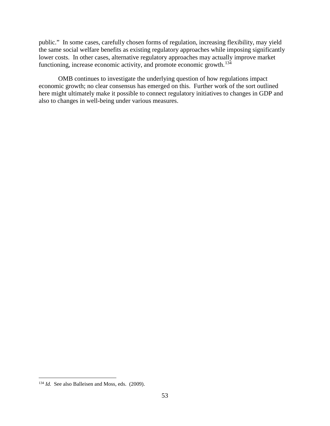public." In some cases, carefully chosen forms of regulation, increasing flexibility, may yield the same social welfare benefits as existing regulatory approaches while imposing significantly lower costs. In other cases, alternative regulatory approaches may actually improve market functioning, increase economic activity, and promote economic growth.<sup>134</sup>

OMB continues to investigate the underlying question of how regulations impact economic growth; no clear consensus has emerged on this. Further work of the sort outlined here might ultimately make it possible to connect regulatory initiatives to changes in GDP and also to changes in well-being under various measures.

<span id="page-55-0"></span><sup>&</sup>lt;sup>134</sup> *Id.* See also Balleisen and Moss, eds. (2009).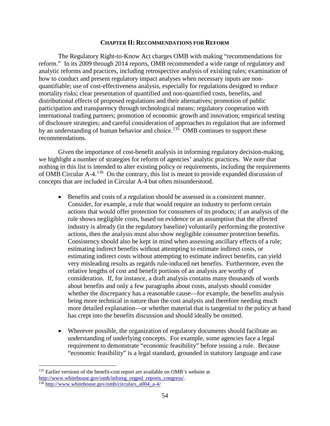#### **CHAPTER II: RECOMMENDATIONS FOR REFORM**

The Regulatory Right-to-Know Act charges OMB with making "recommendations for reform." In its 2009 through 2014 reports, OMB recommended a wide range of regulatory and analytic reforms and practices, including retrospective analysis of existing rules; examination of how to conduct and present regulatory impact analyses when necessary inputs are nonquantifiable; use of cost-effectiveness analysis, especially for regulations designed to reduce mortality risks; clear presentation of quantified and non-quantified costs, benefits, and distributional effects of proposed regulations and their alternatives; promotion of public participation and transparency through technological means; regulatory cooperation with international trading partners; promotion of economic growth and innovation; empirical testing of disclosure strategies; and careful consideration of approaches to regulation that are informed by an understanding of human behavior and choice.<sup>[135](#page-56-0)</sup> OMB continues to support these recommendations.

Given the importance of cost-benefit analysis in informing regulatory decision-making, we highlight a number of strategies for reform of agencies' analytic practices. We note that nothing in this list is intended to alter existing policy or requirements, including the requirements of OMB Circular A-4.[136](#page-56-1) On the contrary, this list is meant to provide expanded discussion of concepts that are included in Circular A-4 but often misunderstood.

- Benefits and costs of a regulation should be assessed in a consistent manner. Consider, for example, a rule that would require an industry to perform certain actions that would offer protection for consumers of its products; if an analysis of the rule shows negligible costs, based on evidence or an assumption that the affected industry is already (in the regulatory baseline) voluntarily performing the protective actions, then the analysis must also show negligible consumer protection benefits. Consistency should also be kept in mind when assessing ancillary effects of a rule; estimating indirect benefits without attempting to estimate indirect costs, or estimating indirect costs without attempting to estimate indirect benefits, can yield very misleading results as regards rule-induced net benefits. Furthermore, even the relative lengths of cost and benefit portions of an analysis are worthy of consideration. If, for instance, a draft analysis contains many thousands of words about benefits and only a few paragraphs about costs, analysts should consider whether the discrepancy has a reasonable cause—for example, the benefits analysis being more technical in nature than the cost analysis and therefore needing much more detailed explanation—or whether material that is tangential to the policy at hand has crept into the benefits discussion and should ideally be omitted.
- Wherever possible, the organization of regulatory documents should facilitate an understanding of underlying concepts. For example, some agencies face a legal requirement to demonstrate "economic feasibility" before issuing a rule. Because "economic feasibility" is a legal standard, grounded in statutory language and case

<span id="page-56-0"></span><sup>&</sup>lt;sup>135</sup> Earlier versions of the benefit-cost report are available on OMB's website at [http://www.whitehouse.gov/omb/inforeg\\_regpol\\_reports\\_congress/.](http://www.whitehouse.gov/omb/inforeg_regpol_reports_congress/)

<span id="page-56-1"></span><sup>136</sup> [http://www.whitehouse.gov/omb/circulars\\_a004\\_a-4/](http://www.whitehouse.gov/omb/circulars_a004_a-4/)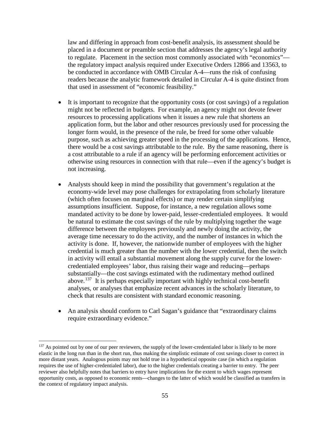law and differing in approach from cost-benefit analysis, its assessment should be placed in a document or preamble section that addresses the agency's legal authority to regulate. Placement in the section most commonly associated with "economics" the regulatory impact analysis required under Executive Orders 12866 and 13563, to be conducted in accordance with OMB Circular A-4—runs the risk of confusing readers because the analytic framework detailed in Circular A-4 is quite distinct from that used in assessment of "economic feasibility."

- It is important to recognize that the opportunity costs (or cost savings) of a regulation might not be reflected in budgets. For example, an agency might not devote fewer resources to processing applications when it issues a new rule that shortens an application form, but the labor and other resources previously used for processing the longer form would, in the presence of the rule, be freed for some other valuable purpose, such as achieving greater speed in the processing of the applications. Hence, there would be a cost savings attributable to the rule. By the same reasoning, there is a cost attributable to a rule if an agency will be performing enforcement activities or otherwise using resources in connection with that rule—even if the agency's budget is not increasing.
- Analysts should keep in mind the possibility that government's regulation at the economy-wide level may pose challenges for extrapolating from scholarly literature (which often focuses on marginal effects) or may render certain simplifying assumptions insufficient. Suppose, for instance, a new regulation allows some mandated activity to be done by lower-paid, lesser-credentialed employees. It would be natural to estimate the cost savings of the rule by multiplying together the wage difference between the employees previously and newly doing the activity, the average time necessary to do the activity, and the number of instances in which the activity is done. If, however, the nationwide number of employees with the higher credential is much greater than the number with the lower credential, then the switch in activity will entail a substantial movement along the supply curve for the lowercredentialed employees' labor, thus raising their wage and reducing—perhaps substantially—the cost savings estimated with the rudimentary method outlined above.<sup>[137](#page-57-0)</sup> It is perhaps especially important with highly technical cost-benefit analyses, or analyses that emphasize recent advances in the scholarly literature, to check that results are consistent with standard economic reasoning.
- An analysis should conform to Carl Sagan's guidance that "extraordinary claims" require extraordinary evidence."

<span id="page-57-0"></span><sup>&</sup>lt;sup>137</sup> As pointed out by one of our peer reviewers, the supply of the lower-credentialed labor is likely to be more elastic in the long run than in the short run, thus making the simplistic estimate of cost savings closer to correct in more distant years. Analogous points may not hold true in a hypothetical opposite case (in which a regulation requires the use of higher-credentialed labor), due to the higher credentials creating a barrier to entry. The peer reviewer also helpfully notes that barriers to entry have implications for the extent to which wages represent opportunity costs, as opposed to economic rents—changes to the latter of which would be classified as transfers in the context of regulatory impact analysis.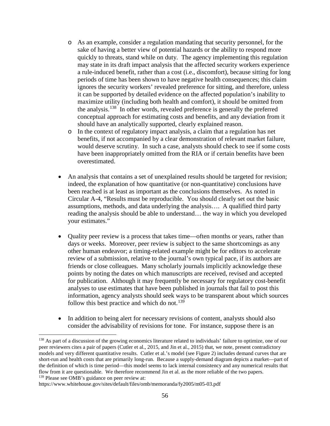- o As an example, consider a regulation mandating that security personnel, for the sake of having a better view of potential hazards or the ability to respond more quickly to threats, stand while on duty. The agency implementing this regulation may state in its draft impact analysis that the affected security workers experience a rule-induced benefit, rather than a cost (i.e., discomfort), because sitting for long periods of time has been shown to have negative health consequences; this claim ignores the security workers' revealed preference for sitting, and therefore, unless it can be supported by detailed evidence on the affected population's inability to maximize utility (including both health and comfort), it should be omitted from the analysis.[138](#page-58-0) In other words, revealed preference is generally the preferred conceptual approach for estimating costs and benefits, and any deviation from it should have an analytically supported, clearly explained reason.
- o In the context of regulatory impact analysis, a claim that a regulation has net benefits, if not accompanied by a clear demonstration of relevant market failure, would deserve scrutiny. In such a case, analysts should check to see if some costs have been inappropriately omitted from the RIA or if certain benefits have been overestimated.
- An analysis that contains a set of unexplained results should be targeted for revision; indeed, the explanation of how quantitative (or non-quantitative) conclusions have been reached is at least as important as the conclusions themselves. As noted in Circular A-4, "Results must be reproducible. You should clearly set out the basic assumptions, methods, and data underlying the analysis…. A qualified third party reading the analysis should be able to understand… the way in which you developed your estimates."
- Quality peer review is a process that takes time—often months or years, rather than days or weeks. Moreover, peer review is subject to the same shortcomings as any other human endeavor; a timing-related example might be for editors to accelerate review of a submission, relative to the journal's own typical pace, if its authors are friends or close colleagues. Many scholarly journals implicitly acknowledge these points by noting the dates on which manuscripts are received, revised and accepted for publication. Although it may frequently be necessary for regulatory cost-benefit analyses to use estimates that have been published in journals that fail to post this information, agency analysts should seek ways to be transparent about which sources follow this best practice and which do not.<sup>[139](#page-58-1)</sup>
- In addition to being alert for necessary revisions of content, analysts should also consider the advisability of revisions for tone. For instance, suppose there is an

<span id="page-58-0"></span><sup>&</sup>lt;sup>138</sup> As part of a discussion of the growing economics literature related to individuals' failure to optimize, one of our peer reviewers cites a pair of papers (Cutler et al., 2015, and Jin et al., 2015) that, we note, present contradictory models and very different quantitative results. Cutler et al.'s model (see Figure 2) includes demand curves that are short-run and health costs that are primarily long-run. Because a supply-demand diagram depicts a market—part of the definition of which is time period—this model seems to lack internal consistency and any numerical results that flow from it are questionable. We therefore recommend Jin et al. as the more reliable of the two papers. <sup>139</sup> Please see OMB's guidance on peer review at:

<span id="page-58-1"></span>https://www.whitehouse.gov/sites/default/files/omb/memoranda/fy2005/m05-03.pdf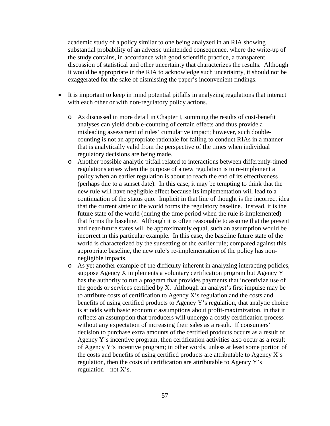academic study of a policy similar to one being analyzed in an RIA showing substantial probability of an adverse unintended consequence, where the write-up of the study contains, in accordance with good scientific practice, a transparent discussion of statistical and other uncertainty that characterizes the results. Although it would be appropriate in the RIA to acknowledge such uncertainty, it should not be exaggerated for the sake of dismissing the paper's inconvenient findings.

- It is important to keep in mind potential pitfalls in analyzing regulations that interact with each other or with non-regulatory policy actions.
	- o As discussed in more detail in Chapter I, summing the results of cost-benefit analyses can yield double-counting of certain effects and thus provide a misleading assessment of rules' cumulative impact; however, such doublecounting is not an appropriate rationale for failing to conduct RIAs in a manner that is analytically valid from the perspective of the times when individual regulatory decisions are being made.
	- o Another possible analytic pitfall related to interactions between differently-timed regulations arises when the purpose of a new regulation is to re-implement a policy when an earlier regulation is about to reach the end of its effectiveness (perhaps due to a sunset date). In this case, it may be tempting to think that the new rule will have negligible effect because its implementation will lead to a continuation of the status quo. Implicit in that line of thought is the incorrect idea that the current state of the world forms the regulatory baseline. Instead, it is the future state of the world (during the time period when the rule is implemented) that forms the baseline. Although it is often reasonable to assume that the present and near-future states will be approximately equal, such an assumption would be incorrect in this particular example. In this case, the baseline future state of the world is characterized by the sunsetting of the earlier rule; compared against this appropriate baseline, the new rule's re-implementation of the policy has nonnegligible impacts.
	- o As yet another example of the difficulty inherent in analyzing interacting policies, suppose Agency X implements a voluntary certification program but Agency Y has the authority to run a program that provides payments that incentivize use of the goods or services certified by X. Although an analyst's first impulse may be to attribute costs of certification to Agency X's regulation and the costs and benefits of using certified products to Agency Y's regulation, that analytic choice is at odds with basic economic assumptions about profit-maximization, in that it reflects an assumption that producers will undergo a costly certification process without any expectation of increasing their sales as a result. If consumers' decision to purchase extra amounts of the certified products occurs as a result of Agency Y's incentive program, then certification activities also occur as a result of Agency Y's incentive program; in other words, unless at least some portion of the costs and benefits of using certified products are attributable to Agency  $X$ 's regulation, then the costs of certification are attributable to Agency Y's regulation—not X's.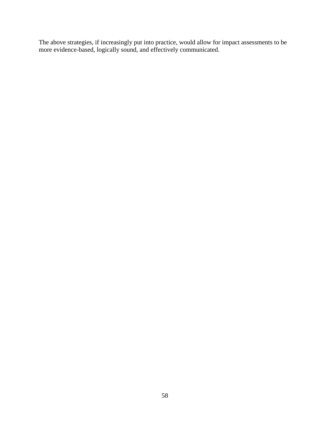The above strategies, if increasingly put into practice, would allow for impact assessments to be more evidence-based, logically sound, and effectively communicated.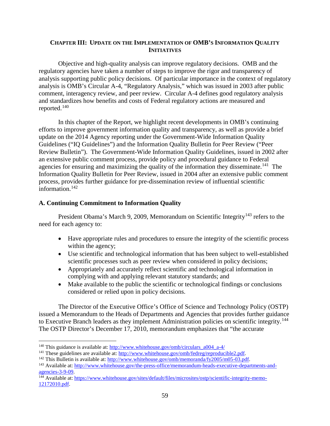## **CHAPTER III: UPDATE ON THE IMPLEMENTATION OF OMB'S INFORMATION QUALITY INITIATIVES**

Objective and high-quality analysis can improve regulatory decisions. OMB and the regulatory agencies have taken a number of steps to improve the rigor and transparency of analysis supporting public policy decisions. Of particular importance in the context of regulatory analysis is OMB's Circular A-4, "Regulatory Analysis," which was issued in 2003 after public comment, interagency review, and peer review. Circular A-4 defines good regulatory analysis and standardizes how benefits and costs of Federal regulatory actions are measured and reported.[140](#page-61-0) 

In this chapter of the Report, we highlight recent developments in OMB's continuing efforts to improve government information quality and transparency, as well as provide a brief update on the 2014 Agency reporting under the Government-Wide Information Quality Guidelines ("IQ Guidelines") and the Information Quality Bulletin for Peer Review ("Peer Review Bulletin"). The Government-Wide Information Quality Guidelines, issued in 2002 after an extensive public comment process, provide policy and procedural guidance to Federal agencies for ensuring and maximizing the quality of the information they disseminate.<sup>141</sup> The Information Quality Bulletin for Peer Review, issued in 2004 after an extensive public comment process, provides further guidance for pre-dissemination review of influential scientific information. $142$ 

## **A. Continuing Commitment to Information Quality**

President Obama's March 9, 2009, Memorandum on Scientific Integrity<sup>[143](#page-61-3)</sup> refers to the need for each agency to:

- Have appropriate rules and procedures to ensure the integrity of the scientific process within the agency;
- Use scientific and technological information that has been subject to well-established scientific processes such as peer review when considered in policy decisions;
- Appropriately and accurately reflect scientific and technological information in complying with and applying relevant statutory standards; and
- Make available to the public the scientific or technological findings or conclusions considered or relied upon in policy decisions.

The Director of the Executive Office's Office of Science and Technology Policy (OSTP) issued a Memorandum to the Heads of Departments and Agencies that provides further guidance to Executive Branch leaders as they implement Administration policies on scientific integrity.<sup>[144](#page-61-4)</sup> The OSTP Director's December 17, 2010, memorandum emphasizes that "the accurate

<span id="page-61-0"></span><sup>&</sup>lt;sup>140</sup> This guidance is available at: [http://www.whitehouse.gov/omb/circulars\\_a004\\_a-4/](http://www.whitehouse.gov/omb/circulars_a004_a-4/)

<span id="page-61-1"></span><sup>&</sup>lt;sup>141</sup> These guidelines are available at: [http://www.whitehouse.gov/omb/fedreg/reproducible2.pdf.](http://www.whitehouse.gov/omb/fedreg/reproducible2.pdf)

<span id="page-61-2"></span><sup>&</sup>lt;sup>142</sup> This Bulletin is available at: [http://www.whitehouse.gov/omb/memoranda/fy2005/m05-03.pdf.](http://www.whitehouse.gov/omb/memoranda/fy2005/m05-03.pdf)

<span id="page-61-3"></span><sup>143</sup> Available at: [http://www.whitehouse.gov/the-press-office/memorandum-heads-executive-departments-and](http://www.whitehouse.gov/the-press-office/memorandum-heads-executive-departments-and-agencies-3-9-09)[agencies-3-9-09.](http://www.whitehouse.gov/the-press-office/memorandum-heads-executive-departments-and-agencies-3-9-09)

<span id="page-61-4"></span><sup>144</sup> Available at: [https://www.whitehouse.gov/sites/default/files/microsites/ostp/scientific-integrity-memo-](https://www.whitehouse.gov/sites/default/files/microsites/ostp/scientific-integrity-memo-12172010.pdf)[12172010.pdf.](https://www.whitehouse.gov/sites/default/files/microsites/ostp/scientific-integrity-memo-12172010.pdf)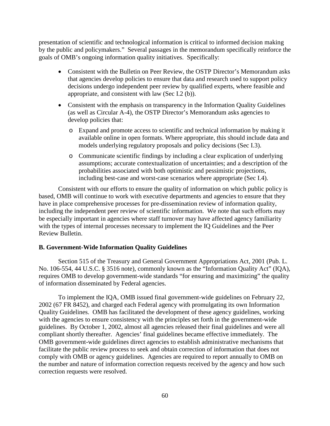presentation of scientific and technological information is critical to informed decision making by the public and policymakers." Several passages in the memorandum specifically reinforce the goals of OMB's ongoing information quality initiatives. Specifically:

- Consistent with the Bulletin on Peer Review, the OSTP Director's Memorandum asks that agencies develop policies to ensure that data and research used to support policy decisions undergo independent peer review by qualified experts, where feasible and appropriate, and consistent with law (Sec I.2 (b)).
- Consistent with the emphasis on transparency in the Information Quality Guidelines (as well as Circular A-4), the OSTP Director's Memorandum asks agencies to develop policies that:
	- o Expand and promote access to scientific and technical information by making it available online in open formats. Where appropriate, this should include data and models underlying regulatory proposals and policy decisions (Sec I.3).
	- o Communicate scientific findings by including a clear explication of underlying assumptions; accurate contextualization of uncertainties; and a description of the probabilities associated with both optimistic and pessimistic projections, including best-case and worst-case scenarios where appropriate (Sec I.4).

Consistent with our efforts to ensure the quality of information on which public policy is based, OMB will continue to work with executive departments and agencies to ensure that they have in place comprehensive processes for pre-dissemination review of information quality, including the independent peer review of scientific information. We note that such efforts may be especially important in agencies where staff turnover may have affected agency familiarity with the types of internal processes necessary to implement the IQ Guidelines and the Peer Review Bulletin.

## **B. Government-Wide Information Quality Guidelines**

Section 515 of the Treasury and General Government Appropriations Act, 2001 (Pub. L. No. 106-554, 44 U.S.C. § 3516 note), commonly known as the "Information Quality Act" (IQA), requires OMB to develop government-wide standards "for ensuring and maximizing" the quality of information disseminated by Federal agencies.

To implement the IQA, OMB issued final government-wide guidelines on February 22, 2002 (67 FR 8452), and charged each Federal agency with promulgating its own Information Quality Guidelines. OMB has facilitated the development of these agency guidelines, working with the agencies to ensure consistency with the principles set forth in the government-wide guidelines. By October 1, 2002, almost all agencies released their final guidelines and were all compliant shortly thereafter. Agencies' final guidelines became effective immediately. The OMB government-wide guidelines direct agencies to establish administrative mechanisms that facilitate the public review process to seek and obtain correction of information that does not comply with OMB or agency guidelines. Agencies are required to report annually to OMB on the number and nature of information correction requests received by the agency and how such correction requests were resolved.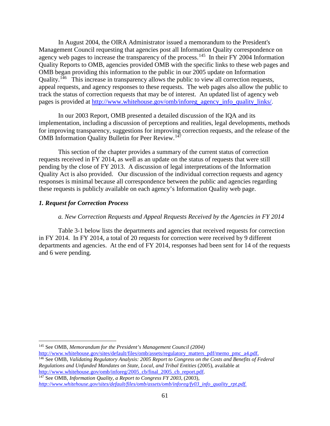In August 2004, the OIRA Administrator issued a memorandum to the President's Management Council requesting that agencies post all Information Quality correspondence on agency web pages to increase the transparency of the process.<sup>[145](#page-63-0)</sup> In their FY 2004 Information Quality Reports to OMB, agencies provided OMB with the specific links to these web pages and OMB began providing this information to the public in our 2005 update on Information Quality.<sup>146</sup> This increase in transparency allows the public to view all correction requests, appeal requests, and agency responses to these requests. The web pages also allow the public to track the status of correction requests that may be of interest. An updated list of agency web pages is provided at [http://www.whitehouse.gov/omb/inforeg\\_agency\\_info\\_quality\\_links/.](http://www.whitehouse.gov/omb/inforeg_agency_info_quality_links/)

In our 2003 Report, OMB presented a detailed discussion of the IQA and its implementation, including a discussion of perceptions and realities, legal developments, methods for improving transparency, suggestions for improving correction requests, and the release of the OMB Information Quality Bulletin for Peer Review.<sup>147</sup>

This section of the chapter provides a summary of the current status of correction requests received in FY 2014, as well as an update on the status of requests that were still pending by the close of FY 2013. A discussion of legal interpretations of the Information Quality Act is also provided. Our discussion of the individual correction requests and agency responses is minimal because all correspondence between the public and agencies regarding these requests is publicly available on each agency's Information Quality web page.

## *1. Request for Correction Process*

## *a. New Correction Requests and Appeal Requests Received by the Agencies in FY 2014*

Table 3-1 below lists the departments and agencies that received requests for correction in FY 2014. In FY 2014, a total of 20 requests for correction were received by 9 different departments and agencies. At the end of FY 2014, responses had been sent for 14 of the requests and 6 were pending.

<span id="page-63-2"></span><sup>147</sup> See OMB, *Information Quality, a Report to Congress FY 2003,* (2003)*, [http://www.whitehouse.gov/sites/default/files/omb/assets/omb/inforeg/fy03\\_info\\_quality\\_rpt.pdf.](http://www.whitehouse.gov/sites/default/files/omb/assets/omb/inforeg/fy03_info_quality_rpt.pdf)*

<span id="page-63-0"></span> <sup>145</sup> See OMB, *Memorandum for the President's Management Council (2004)*

[http://www.whitehouse.gov/sites/default/files/omb/assets/regulatory\\_matters\\_pdf/memo\\_pmc\\_a4.pdf.](http://www.whitehouse.gov/sites/default/files/omb/assets/regulatory_matters_pdf/memo_pmc_a4.pdf)

<span id="page-63-1"></span><sup>146</sup> See OMB, *Validating Regulatory Analysis: 2005 Report to Congress on the Costs and Benefits of Federal Regulations and Unfunded Mandates on State, Local, and Tribal Entities* (2005)*,* available at http://www.whitehouse.gov/omb/inforeg/2005 cb/final 2005 cb report.pdf.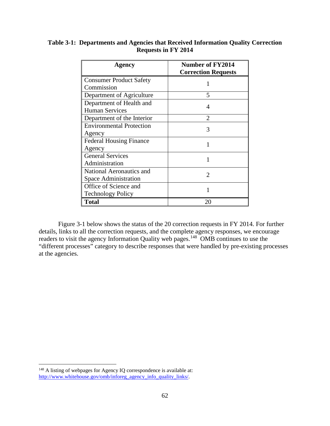| Agency                          | <b>Number of FY2014</b>    |  |  |
|---------------------------------|----------------------------|--|--|
|                                 | <b>Correction Requests</b> |  |  |
| <b>Consumer Product Safety</b>  |                            |  |  |
| Commission                      |                            |  |  |
| Department of Agriculture       | 5                          |  |  |
| Department of Health and        | 4                          |  |  |
| <b>Human Services</b>           |                            |  |  |
| Department of the Interior      | $\overline{2}$             |  |  |
| <b>Environmental Protection</b> | 3                          |  |  |
| Agency                          |                            |  |  |
| <b>Federal Housing Finance</b>  |                            |  |  |
| Agency                          |                            |  |  |
| <b>General Services</b>         | 1                          |  |  |
| Administration                  |                            |  |  |
| National Aeronautics and        | $\mathfrak{D}$             |  |  |
| Space Administration            |                            |  |  |
| Office of Science and           |                            |  |  |
| <b>Technology Policy</b>        |                            |  |  |
| <b>Total</b>                    | 20                         |  |  |

# **Table 3-1: Departments and Agencies that Received Information Quality Correction Requests in FY 2014**

Figure 3-1 below shows the status of the 20 correction requests in FY 2014. For further details, links to all the correction requests, and the complete agency responses, we encourage readers to visit the agency Information Quality web pages.<sup>148</sup> OMB continues to use the "different processes" category to describe responses that were handled by pre-existing processes at the agencies.

<span id="page-64-0"></span><sup>&</sup>lt;sup>148</sup> A listing of webpages for Agency IQ correspondence is available at: [http://www.whitehouse.gov/omb/inforeg\\_agency\\_info\\_quality\\_links/.](http://www.whitehouse.gov/omb/inforeg_agency_info_quality_links/)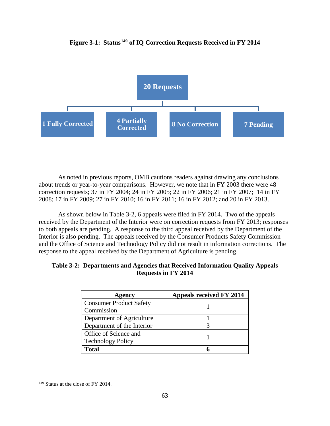

# **Figure 3-1: Status[149](#page-65-0) of IQ Correction Requests Received in FY 2014**

As noted in previous reports, OMB cautions readers against drawing any conclusions about trends or year-to-year comparisons. However, we note that in FY 2003 there were 48 correction requests; 37 in FY 2004; 24 in FY 2005; 22 in FY 2006; 21 in FY 2007; 14 in FY 2008; 17 in FY 2009; 27 in FY 2010; 16 in FY 2011; 16 in FY 2012; and 20 in FY 2013.

As shown below in Table 3-2, 6 appeals were filed in FY 2014. Two of the appeals received by the Department of the Interior were on correction requests from FY 2013; responses to both appeals are pending. A response to the third appeal received by the Department of the Interior is also pending. The appeals received by the Consumer Products Safety Commission and the Office of Science and Technology Policy did not result in information corrections. The response to the appeal received by the Department of Agriculture is pending.

| Agency                         | <b>Appeals received FY 2014</b> |
|--------------------------------|---------------------------------|
| <b>Consumer Product Safety</b> |                                 |
| Commission                     |                                 |
| Department of Agriculture      |                                 |
| Department of the Interior     |                                 |
| Office of Science and          |                                 |
| <b>Technology Policy</b>       |                                 |
| <b>Total</b>                   |                                 |

| Table 3-2: Departments and Agencies that Received Information Quality Appeals |  |
|-------------------------------------------------------------------------------|--|
| Requests in FY 2014                                                           |  |

<span id="page-65-0"></span><sup>&</sup>lt;sup>149</sup> Status at the close of FY 2014.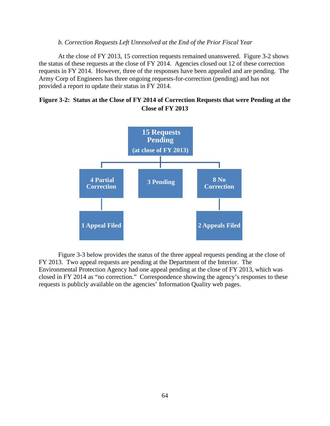#### *b. Correction Requests Left Unresolved at the End of the Prior Fiscal Year*

At the close of FY 2013, 15 correction requests remained unanswered. Figure 3-2 shows the status of these requests at the close of FY 2014. Agencies closed out 12 of these correction requests in FY 2014. However, three of the responses have been appealed and are pending. The Army Corp of Engineers has three ongoing requests-for-correction (pending) and has not provided a report to update their status in FY 2014.





Figure 3-3 below provides the status of the three appeal requests pending at the close of FY 2013. Two appeal requests are pending at the Department of the Interior. The Environmental Protection Agency had one appeal pending at the close of FY 2013, which was closed in FY 2014 as "no correction." Correspondence showing the agency's responses to these requests is publicly available on the agencies' Information Quality web pages.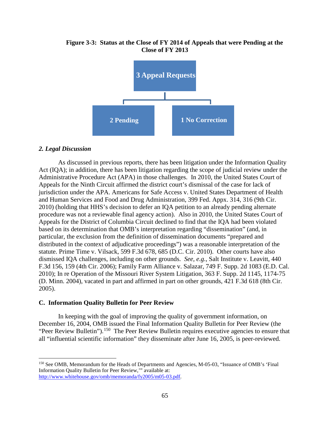

## **Figure 3-3: Status at the Close of FY 2014 of Appeals that were Pending at the Close of FY 2013**

#### *2. Legal Discussion*

As discussed in previous reports, there has been litigation under the Information Quality Act (IQA); in addition, there has been litigation regarding the scope of judicial review under the Administrative Procedure Act (APA) in those challenges. In 2010, the United States Court of Appeals for the Ninth Circuit affirmed the district court's dismissal of the case for lack of jurisdiction under the APA. Americans for Safe Access v. United States Department of Health and Human Services and Food and Drug Administration, 399 Fed. Appx. 314, 316 (9th Cir. 2010) (holding that HHS's decision to defer an IQA petition to an already pending alternate procedure was not a reviewable final agency action). Also in 2010, the United States Court of Appeals for the District of Columbia Circuit declined to find that the IQA had been violated based on its determination that OMB's interpretation regarding "dissemination" (and, in particular, the exclusion from the definition of dissemination documents "prepared and distributed in the context of adjudicative proceedings") was a reasonable interpretation of the statute. Prime Time v. Vilsack, 599 F.3d 678, 685 (D.C. Cir. 2010). Other courts have also dismissed IQA challenges, including on other grounds. *See, e.g.*, Salt Institute v. Leavitt, 440 F.3d 156, 159 (4th Cir. 2006); Family Farm Alliance v. Salazar, 749 F. Supp. 2d 1083 (E.D. Cal. 2010); In re Operation of the Missouri River System Litigation, 363 F. Supp. 2d 1145, 1174-75 (D. Minn. 2004), vacated in part and affirmed in part on other grounds, 421 F.3d 618 (8th Cir. 2005).

#### **C. Information Quality Bulletin for Peer Review**

In keeping with the goal of improving the quality of government information, on December 16, 2004, OMB issued the Final Information Quality Bulletin for Peer Review (the "Peer Review Bulletin").<sup>[150](#page-67-0)</sup> The Peer Review Bulletin requires executive agencies to ensure that all "influential scientific information" they disseminate after June 16, 2005, is peer-reviewed.

<span id="page-67-0"></span> <sup>150</sup> See OMB, Memorandum for the Heads of Departments and Agencies, M-05-03, "Issuance of OMB's 'Final Information Quality Bulletin for Peer Review,'" available at: [http://www.whitehouse.gov/omb/memoranda/fy2005/m05-03.pdf.](http://www.whitehouse.gov/omb/memoranda/fy2005/m05-03.pdf)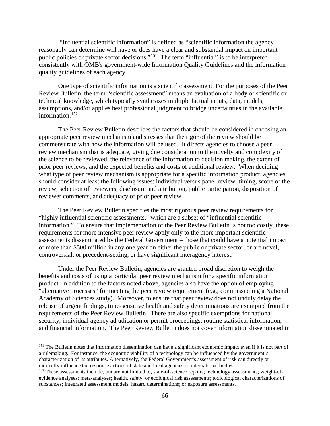"Influential scientific information" is defined as "scientific information the agency reasonably can determine will have or does have a clear and substantial impact on important public policies or private sector decisions."[151](#page-68-0) The term "influential" is to be interpreted consistently with OMB's government-wide Information Quality Guidelines and the information quality guidelines of each agency.

One type of scientific information is a scientific assessment. For the purposes of the Peer Review Bulletin, the term "scientific assessment" means an evaluation of a body of scientific or technical knowledge, which typically synthesizes multiple factual inputs, data, models, assumptions, and/or applies best professional judgment to bridge uncertainties in the available information.[152](#page-68-1)

The Peer Review Bulletin describes the factors that should be considered in choosing an appropriate peer review mechanism and stresses that the rigor of the review should be commensurate with how the information will be used. It directs agencies to choose a peer review mechanism that is adequate, giving due consideration to the novelty and complexity of the science to be reviewed, the relevance of the information to decision making, the extent of prior peer reviews, and the expected benefits and costs of additional review. When deciding what type of peer review mechanism is appropriate for a specific information product, agencies should consider at least the following issues: individual versus panel review, timing, scope of the review, selection of reviewers, disclosure and attribution, public participation, disposition of reviewer comments, and adequacy of prior peer review.

The Peer Review Bulletin specifies the most rigorous peer review requirements for "highly influential scientific assessments," which are a subset of "influential scientific information." To ensure that implementation of the Peer Review Bulletin is not too costly, these requirements for more intensive peer review apply only to the more important scientific assessments disseminated by the Federal Government – those that could have a potential impact of more than \$500 million in any one year on either the public or private sector, or are novel, controversial, or precedent-setting, or have significant interagency interest.

Under the Peer Review Bulletin, agencies are granted broad discretion to weigh the benefits and costs of using a particular peer review mechanism for a specific information product. In addition to the factors noted above, agencies also have the option of employing "alternative processes" for meeting the peer review requirement (e.g., commissioning a National Academy of Sciences study). Moreover, to ensure that peer review does not unduly delay the release of urgent findings, time-sensitive health and safety determinations are exempted from the requirements of the Peer Review Bulletin. There are also specific exemptions for national security, individual agency adjudication or permit proceedings, routine statistical information, and financial information. The Peer Review Bulletin does not cover information disseminated in

<span id="page-68-0"></span><sup>&</sup>lt;sup>151</sup> The Bulletin notes that information dissemination can have a significant economic impact even if it is not part of a rulemaking. For instance, the economic viability of a technology can be influenced by the government's characterization of its attributes. Alternatively, the Federal Government's assessment of risk can directly or indirectly influence the response actions of state and local agencies or international bodies.

<span id="page-68-1"></span><sup>&</sup>lt;sup>152</sup> These assessments include, but are not limited to, state-of-science reports; technology assessments; weight-ofevidence analyses; meta-analyses; health, safety, or ecological risk assessments; toxicological characterizations of substances; integrated assessment models; hazard determinations; or exposure assessments.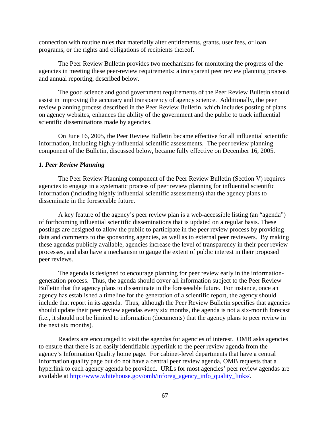connection with routine rules that materially alter entitlements, grants, user fees, or loan programs, or the rights and obligations of recipients thereof.

The Peer Review Bulletin provides two mechanisms for monitoring the progress of the agencies in meeting these peer-review requirements: a transparent peer review planning process and annual reporting, described below.

The good science and good government requirements of the Peer Review Bulletin should assist in improving the accuracy and transparency of agency science. Additionally, the peer review planning process described in the Peer Review Bulletin, which includes posting of plans on agency websites, enhances the ability of the government and the public to track influential scientific disseminations made by agencies.

On June 16, 2005, the Peer Review Bulletin became effective for all influential scientific information, including highly-influential scientific assessments. The peer review planning component of the Bulletin, discussed below, became fully effective on December 16, 2005.

#### *1. Peer Review Planning*

The Peer Review Planning component of the Peer Review Bulletin (Section V) requires agencies to engage in a systematic process of peer review planning for influential scientific information (including highly influential scientific assessments) that the agency plans to disseminate in the foreseeable future.

A key feature of the agency's peer review plan is a web-accessible listing (an "agenda") of forthcoming influential scientific disseminations that is updated on a regular basis. These postings are designed to allow the public to participate in the peer review process by providing data and comments to the sponsoring agencies, as well as to external peer reviewers. By making these agendas publicly available, agencies increase the level of transparency in their peer review processes, and also have a mechanism to gauge the extent of public interest in their proposed peer reviews.

The agenda is designed to encourage planning for peer review early in the informationgeneration process. Thus, the agenda should cover all information subject to the Peer Review Bulletin that the agency plans to disseminate in the foreseeable future*.* For instance, once an agency has established a timeline for the generation of a scientific report, the agency should include that report in its agenda. Thus, although the Peer Review Bulletin specifies that agencies should update their peer review agendas every six months, the agenda is not a six-month forecast (i.e., it should not be limited to information (documents) that the agency plans to peer review in the next six months).

Readers are encouraged to visit the agendas for agencies of interest. OMB asks agencies to ensure that there is an easily identifiable hyperlink to the peer review agenda from the agency's Information Quality home page. For cabinet-level departments that have a central information quality page but do not have a central peer review agenda, OMB requests that a hyperlink to each agency agenda be provided. URLs for most agencies' peer review agendas are available at [http://www.whitehouse.gov/omb/inforeg\\_agency\\_info\\_quality\\_links/.](http://www.whitehouse.gov/omb/inforeg_agency_info_quality_links/)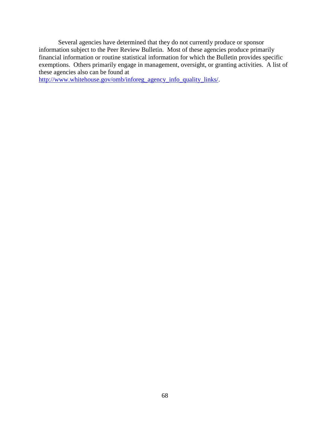Several agencies have determined that they do not currently produce or sponsor information subject to the Peer Review Bulletin. Most of these agencies produce primarily financial information or routine statistical information for which the Bulletin provides specific exemptions. Others primarily engage in management, oversight, or granting activities. A list of these agencies also can be found at

[http://www.whitehouse.gov/omb/inforeg\\_agency\\_info\\_quality\\_links/.](http://www.whitehouse.gov/omb/inforeg_agency_info_quality_links/)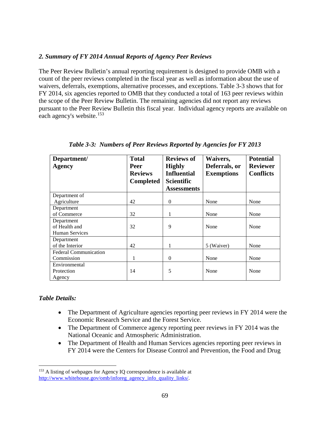## *2. Summary of FY 2014 Annual Reports of Agency Peer Reviews*

The Peer Review Bulletin's annual reporting requirement is designed to provide OMB with a count of the peer reviews completed in the fiscal year as well as information about the use of waivers, deferrals, exemptions, alternative processes, and exceptions. Table 3-3 shows that for FY 2014, six agencies reported to OMB that they conducted a total of 163 peer reviews within the scope of the Peer Review Bulletin. The remaining agencies did not report any reviews pursuant to the Peer Review Bulletin this fiscal year. Individual agency reports are available on each agency's website.<sup>[153](#page-71-0)</sup>

| Department/                  | <b>Total</b>     | <b>Reviews of</b>  | Waivers,          | <b>Potential</b> |
|------------------------------|------------------|--------------------|-------------------|------------------|
| <b>Agency</b>                | Peer             | <b>Highly</b>      | Deferrals, or     | <b>Reviewer</b>  |
|                              | <b>Reviews</b>   | <b>Influential</b> | <b>Exemptions</b> | <b>Conflicts</b> |
|                              | <b>Completed</b> | <b>Scientific</b>  |                   |                  |
|                              |                  | <b>Assessments</b> |                   |                  |
| Department of                |                  |                    |                   |                  |
| Agriculture                  | 42               | $\Omega$           | None              | None             |
| Department                   |                  |                    |                   |                  |
| of Commerce                  | 32               | 1                  | None              | None             |
| Department                   |                  |                    |                   |                  |
| of Health and                | 32               | 9                  | None              | None             |
| <b>Human Services</b>        |                  |                    |                   |                  |
| Department                   |                  |                    |                   |                  |
| of the Interior              | 42               | 1                  | 5 (Waiver)        | None             |
| <b>Federal Communication</b> |                  |                    |                   |                  |
| Commission                   | 1                | $\Omega$           | None              | None             |
| Environmental                |                  |                    |                   |                  |
| Protection                   | 14               | 5                  | None              | None             |
| Agency                       |                  |                    |                   |                  |

*Table 3-3: Numbers of Peer Reviews Reported by Agencies for FY 2013*

## *Table Details:*

- The Department of Agriculture agencies reporting peer reviews in FY 2014 were the Economic Research Service and the Forest Service.
- The Department of Commerce agency reporting peer reviews in FY 2014 was the National Oceanic and Atmospheric Administration.
- The Department of Health and Human Services agencies reporting peer reviews in FY 2014 were the Centers for Disease Control and Prevention, the Food and Drug

<span id="page-71-0"></span><sup>&</sup>lt;sup>153</sup> A listing of webpages for Agency IQ correspondence is available at [http://www.whitehouse.gov/omb/inforeg\\_agency\\_info\\_quality\\_links/.](http://www.whitehouse.gov/omb/inforeg_agency_info_quality_links/)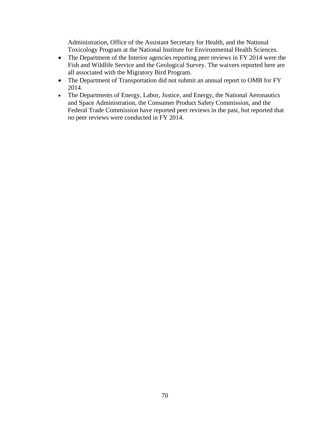Administration, Office of the Assistant Secretary for Health, and the National Toxicology Program at the National Institute for Environmental Health Sciences.

- The Department of the Interior agencies reporting peer reviews in FY 2014 were the Fish and Wildlife Service and the Geological Survey. The waivers reported here are all associated with the Migratory Bird Program.
- The Department of Transportation did not submit an annual report to OMB for FY 2014.
- The Departments of Energy, Labor, Justice, and Energy, the National Aeronautics and Space Administration, the Consumer Product Safety Commission, and the Federal Trade Commission have reported peer reviews in the past, but reported that no peer reviews were conducted in FY 2014.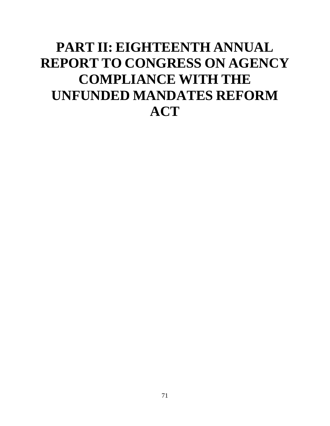# **PART II: EIGHTEENTH ANNUAL REPORT TO CONGRESS ON AGENCY COMPLIANCE WITH THE UNFUNDED MANDATES REFORM ACT**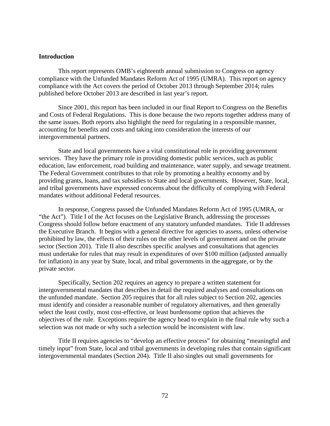#### **Introduction**

This report represents OMB's eighteenth annual submission to Congress on agency compliance with the Unfunded Mandates Reform Act of 1995 (UMRA). This report on agency compliance with the Act covers the period of October 2013 through September 2014; rules published before October 2013 are described in last year's report.

Since 2001, this report has been included in our final Report to Congress on the Benefits and Costs of Federal Regulations. This is done because the two reports together address many of the same issues. Both reports also highlight the need for regulating in a responsible manner, accounting for benefits and costs and taking into consideration the interests of our intergovernmental partners.

State and local governments have a vital constitutional role in providing government services. They have the primary role in providing domestic public services, such as public education, law enforcement, road building and maintenance, water supply, and sewage treatment. The Federal Government contributes to that role by promoting a healthy economy and by providing grants, loans, and tax subsidies to State and local governments. However, State, local, and tribal governments have expressed concerns about the difficulty of complying with Federal mandates without additional Federal resources.

In response, Congress passed the Unfunded Mandates Reform Act of 1995 (UMRA, or "the Act"). Title I of the Act focuses on the Legislative Branch, addressing the processes Congress should follow before enactment of any statutory unfunded mandates. Title II addresses the Executive Branch. It begins with a general directive for agencies to assess, unless otherwise prohibited by law, the effects of their rules on the other levels of government and on the private sector (Section 201). Title II also describes specific analyses and consultations that agencies must undertake for rules that may result in expenditures of over \$100 million (adjusted annually for inflation) in any year by State, local, and tribal governments in the aggregate, or by the private sector.

Specifically, Section 202 requires an agency to prepare a written statement for intergovernmental mandates that describes in detail the required analyses and consultations on the unfunded mandate. Section 205 requires that for all rules subject to Section 202, agencies must identify and consider a reasonable number of regulatory alternatives, and then generally select the least costly, most cost-effective, or least burdensome option that achieves the objectives of the rule. Exceptions require the agency head to explain in the final rule why such a selection was not made or why such a selection would be inconsistent with law.

Title II requires agencies to "develop an effective process" for obtaining "meaningful and timely input" from State, local and tribal governments in developing rules that contain significant intergovernmental mandates (Section 204). Title II also singles out small governments for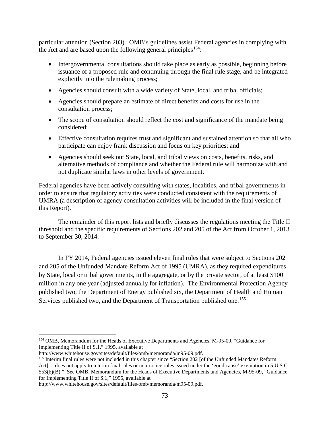particular attention (Section 203). OMB's guidelines assist Federal agencies in complying with the Act and are based upon the following general principles<sup>[154](#page-75-0)</sup>:

- Intergovernmental consultations should take place as early as possible, beginning before issuance of a proposed rule and continuing through the final rule stage, and be integrated explicitly into the rulemaking process;
- Agencies should consult with a wide variety of State, local, and tribal officials;
- Agencies should prepare an estimate of direct benefits and costs for use in the consultation process;
- The scope of consultation should reflect the cost and significance of the mandate being considered;
- Effective consultation requires trust and significant and sustained attention so that all who participate can enjoy frank discussion and focus on key priorities; and
- Agencies should seek out State, local, and tribal views on costs, benefits, risks, and alternative methods of compliance and whether the Federal rule will harmonize with and not duplicate similar laws in other levels of government.

Federal agencies have been actively consulting with states, localities, and tribal governments in order to ensure that regulatory activities were conducted consistent with the requirements of UMRA (a description of agency consultation activities will be included in the final version of this Report).

The remainder of this report lists and briefly discusses the regulations meeting the Title II threshold and the specific requirements of Sections 202 and 205 of the Act from October 1, 2013 to September 30, 2014.

In FY 2014, Federal agencies issued eleven final rules that were subject to Sections 202 and 205 of the Unfunded Mandate Reform Act of 1995 (UMRA), as they required expenditures by State, local or tribal governments, in the aggregate, or by the private sector, of at least \$100 million in any one year (adjusted annually for inflation). The Environmental Protection Agency published two, the Department of Energy published six, the Department of Health and Human Services published two, and the Department of Transportation published one.<sup>[155](#page-75-1)</sup>

<span id="page-75-0"></span><sup>&</sup>lt;sup>154</sup> OMB, Memorandum for the Heads of Executive Departments and Agencies, M-95-09, "Guidance for Implementing Title II of S.1," 1995, available at http://www.whitehouse.gov/sites/default/files/omb/memoranda/m95-09.pdf.

<span id="page-75-1"></span><sup>&</sup>lt;sup>155</sup> Interim final rules were not included in this chapter since "Section 202 [of the Unfunded Mandates Reform Act]... does not apply to interim final rules or non-notice rules issued under the 'good cause' exemption in 5 U.S.C. 553(b)(B)." See OMB, Memorandum for the Heads of Executive Departments and Agencies, M-95-09, "Guidance for Implementing Title II of S.1," 1995, available at

http://www.whitehouse.gov/sites/default/files/omb/memoranda/m95-09.pdf.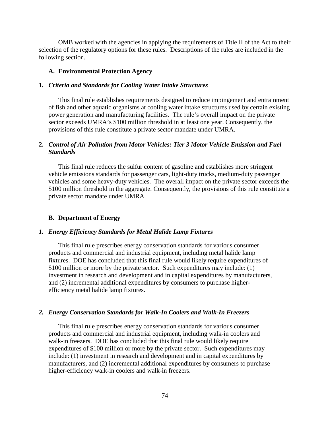OMB worked with the agencies in applying the requirements of Title II of the Act to their selection of the regulatory options for these rules. Descriptions of the rules are included in the following section.

## **A. Environmental Protection Agency**

## **1.** *Criteria and Standards for Cooling Water Intake Structures*

This final rule establishes requirements designed to reduce impingement and entrainment of fish and other aquatic organisms at cooling water intake structures used by certain existing power generation and manufacturing facilities. The rule's overall impact on the private sector exceeds UMRA's \$100 million threshold in at least one year. Consequently, the provisions of this rule constitute a private sector mandate under UMRA.

## **2.** *Control of Air Pollution from Motor Vehicles: Tier 3 Motor Vehicle Emission and Fuel Standards*

This final rule reduces the sulfur content of gasoline and establishes more stringent vehicle emissions standards for passenger cars, light-duty trucks, medium-duty passenger vehicles and some heavy-duty vehicles. The overall impact on the private sector exceeds the \$100 million threshold in the aggregate. Consequently, the provisions of this rule constitute a private sector mandate under UMRA.

## **B. Department of Energy**

## *1. Energy Efficiency Standards for Metal Halide Lamp Fixtures*

This final rule prescribes energy conservation standards for various consumer products and commercial and industrial equipment, including metal halide lamp fixtures. DOE has concluded that this final rule would likely require expenditures of \$100 million or more by the private sector. Such expenditures may include: (1) investment in research and development and in capital expenditures by manufacturers, and (2) incremental additional expenditures by consumers to purchase higherefficiency metal halide lamp fixtures.

## *2. Energy Conservation Standards for Walk-In Coolers and Walk-In Freezers*

This final rule prescribes energy conservation standards for various consumer products and commercial and industrial equipment, including walk-in coolers and walk-in freezers. DOE has concluded that this final rule would likely require expenditures of \$100 million or more by the private sector. Such expenditures may include: (1) investment in research and development and in capital expenditures by manufacturers, and (2) incremental additional expenditures by consumers to purchase higher-efficiency walk-in coolers and walk-in freezers.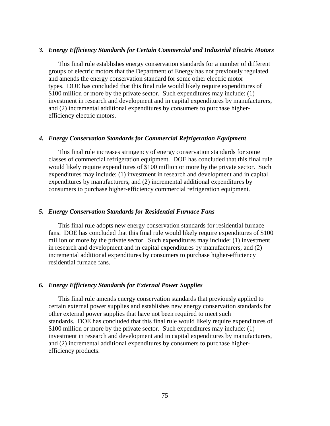### *3. Energy Efficiency Standards for Certain Commercial and Industrial Electric Motors*

This final rule establishes energy conservation standards for a number of different groups of electric motors that the Department of Energy has not previously regulated and amends the energy conservation standard for some other electric motor types. DOE has concluded that this final rule would likely require expenditures of \$100 million or more by the private sector. Such expenditures may include: (1) investment in research and development and in capital expenditures by manufacturers, and (2) incremental additional expenditures by consumers to purchase higherefficiency electric motors.

## *4. Energy Conservation Standards for Commercial Refrigeration Equipment*

This final rule increases stringency of energy conservation standards for some classes of commercial refrigeration equipment. DOE has concluded that this final rule would likely require expenditures of \$100 million or more by the private sector. Such expenditures may include: (1) investment in research and development and in capital expenditures by manufacturers, and (2) incremental additional expenditures by consumers to purchase higher-efficiency commercial refrigeration equipment.

#### *5. Energy Conservation Standards for Residential Furnace Fans*

This final rule adopts new energy conservation standards for residential furnace fans. DOE has concluded that this final rule would likely require expenditures of \$100 million or more by the private sector. Such expenditures may include: (1) investment in research and development and in capital expenditures by manufacturers, and (2) incremental additional expenditures by consumers to purchase higher-efficiency residential furnace fans.

## *6. Energy Efficiency Standards for External Power Supplies*

This final rule amends energy conservation standards that previously applied to certain external power supplies and establishes new energy conservation standards for other external power supplies that have not been required to meet such standards. DOE has concluded that this final rule would likely require expenditures of \$100 million or more by the private sector. Such expenditures may include: (1) investment in research and development and in capital expenditures by manufacturers, and (2) incremental additional expenditures by consumers to purchase higherefficiency products.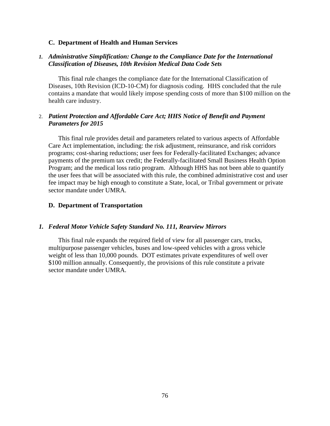## **C. Department of Health and Human Services**

## *1. Administrative Simplification: Change to the Compliance Date for the International Classification of Diseases, 10th Revision Medical Data Code Sets*

This final rule changes the compliance date for the International Classification of Diseases, 10th Revision (ICD-10-CM) for diagnosis coding. HHS concluded that the rule contains a mandate that would likely impose spending costs of more than \$100 million on the health care industry.

## 2. *Patient Protection and Affordable Care Act; HHS Notice of Benefit and Payment Parameters for 2015*

This final rule provides detail and parameters related to various aspects of Affordable Care Act implementation, including: the risk adjustment, reinsurance, and risk corridors programs; cost-sharing reductions; user fees for Federally-facilitated Exchanges; advance payments of the premium tax credit; the Federally-facilitated Small Business Health Option Program; and the medical loss ratio program. Although HHS has not been able to quantify the user fees that will be associated with this rule, the combined administrative cost and user fee impact may be high enough to constitute a State, local, or Tribal government or private sector mandate under UMRA.

## **D. Department of Transportation**

## *1. Federal Motor Vehicle Safety Standard No. 111, Rearview Mirrors*

This final rule expands the required field of view for all passenger cars, trucks, multipurpose passenger vehicles, buses and low-speed vehicles with a gross vehicle weight of less than 10,000 pounds. DOT estimates private expenditures of well over \$100 million annually. Consequently, the provisions of this rule constitute a private sector mandate under UMRA.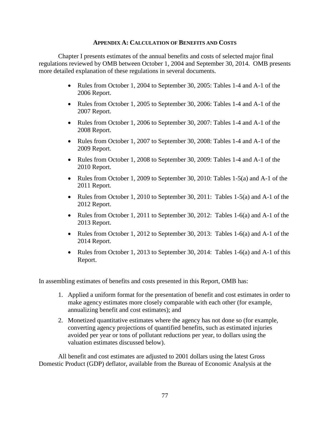## **APPENDIX A: CALCULATION OF BENEFITS AND COSTS**

Chapter I presents estimates of the annual benefits and costs of selected major final regulations reviewed by OMB between October 1, 2004 and September 30, 2014. OMB presents more detailed explanation of these regulations in several documents.

- Rules from October 1, 2004 to September 30, 2005: Tables 1-4 and A-1 of the 2006 Report.
- Rules from October 1, 2005 to September 30, 2006: Tables 1-4 and A-1 of the 2007 Report.
- Rules from October 1, 2006 to September 30, 2007: Tables 1-4 and A-1 of the 2008 Report.
- Rules from October 1, 2007 to September 30, 2008: Tables 1-4 and A-1 of the 2009 Report.
- Rules from October 1, 2008 to September 30, 2009: Tables 1-4 and A-1 of the 2010 Report.
- Rules from October 1, 2009 to September 30, 2010: Tables 1-5(a) and A-1 of the 2011 Report.
- Rules from October 1, 2010 to September 30, 2011: Tables 1-5(a) and A-1 of the 2012 Report.
- Rules from October 1, 2011 to September 30, 2012: Tables 1-6(a) and A-1 of the 2013 Report.
- Rules from October 1, 2012 to September 30, 2013: Tables 1-6(a) and A-1 of the 2014 Report.
- Rules from October 1, 2013 to September 30, 2014: Tables 1-6(a) and A-1 of this Report.

In assembling estimates of benefits and costs presented in this Report, OMB has:

- 1. Applied a uniform format for the presentation of benefit and cost estimates in order to make agency estimates more closely comparable with each other (for example, annualizing benefit and cost estimates); and
- 2. Monetized quantitative estimates where the agency has not done so (for example, converting agency projections of quantified benefits, such as estimated injuries avoided per year or tons of pollutant reductions per year, to dollars using the valuation estimates discussed below).

All benefit and cost estimates are adjusted to 2001 dollars using the latest Gross Domestic Product (GDP) deflator, available from the Bureau of Economic Analysis at the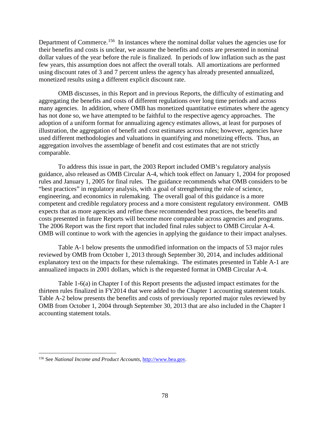Department of Commerce.<sup>[156](#page-80-0)</sup> In instances where the nominal dollar values the agencies use for their benefits and costs is unclear, we assume the benefits and costs are presented in nominal dollar values of the year before the rule is finalized. In periods of low inflation such as the past few years, this assumption does not affect the overall totals. All amortizations are performed using discount rates of 3 and 7 percent unless the agency has already presented annualized, monetized results using a different explicit discount rate.

OMB discusses, in this Report and in previous Reports, the difficulty of estimating and aggregating the benefits and costs of different regulations over long time periods and across many agencies. In addition, where OMB has monetized quantitative estimates where the agency has not done so, we have attempted to be faithful to the respective agency approaches. The adoption of a uniform format for annualizing agency estimates allows, at least for purposes of illustration, the aggregation of benefit and cost estimates across rules; however, agencies have used different methodologies and valuations in quantifying and monetizing effects. Thus, an aggregation involves the assemblage of benefit and cost estimates that are not strictly comparable.

To address this issue in part, the 2003 Report included OMB's regulatory analysis guidance, also released as OMB Circular A-4, which took effect on January 1, 2004 for proposed rules and January 1, 2005 for final rules. The guidance recommends what OMB considers to be "best practices" in regulatory analysis, with a goal of strengthening the role of science, engineering, and economics in rulemaking. The overall goal of this guidance is a more competent and credible regulatory process and a more consistent regulatory environment. OMB expects that as more agencies and refine these recommended best practices, the benefits and costs presented in future Reports will become more comparable across agencies and programs. The 2006 Report was the first report that included final rules subject to OMB Circular A-4. OMB will continue to work with the agencies in applying the guidance to their impact analyses.

Table A-1 below presents the unmodified information on the impacts of 53 major rules reviewed by OMB from October 1, 2013 through September 30, 2014, and includes additional explanatory text on the impacts for these rulemakings. The estimates presented in Table A-1 are annualized impacts in 2001 dollars, which is the requested format in OMB Circular A-4.

Table 1-6(a) in Chapter I of this Report presents the adjusted impact estimates for the thirteen rules finalized in FY2014 that were added to the Chapter 1 accounting statement totals. Table A-2 below presents the benefits and costs of previously reported major rules reviewed by OMB from October 1, 2004 through September 30, 2013 that are also included in the Chapter I accounting statement totals.

<span id="page-80-0"></span> <sup>156</sup> See *National Income and Product Accounts*[, http://www.bea.gov.](http://www.bea.gov/)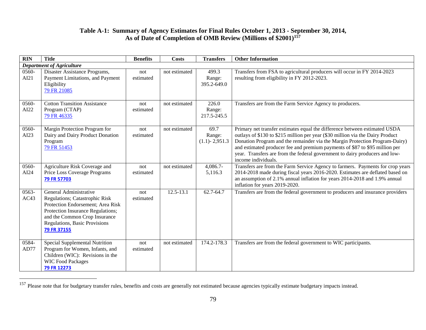# <span id="page-81-0"></span>**Table A-1: Summary of Agency Estimates for Final Rules October 1, 2013 - September 30, 2014, As of Date of Completion of OMB Review (Millions of \$2001)[157](#page-81-0)**

| $\overline{RIN}$ | <b>Title</b>                                                                                                                                                                                                        | <b>Benefits</b>  | <b>Costs</b>  | <b>Transfers</b>                    | <b>Other Information</b>                                                                                                                                                                                                                                                                                                                                                                                                         |
|------------------|---------------------------------------------------------------------------------------------------------------------------------------------------------------------------------------------------------------------|------------------|---------------|-------------------------------------|----------------------------------------------------------------------------------------------------------------------------------------------------------------------------------------------------------------------------------------------------------------------------------------------------------------------------------------------------------------------------------------------------------------------------------|
|                  | <b>Department of Agriculture</b>                                                                                                                                                                                    |                  |               |                                     |                                                                                                                                                                                                                                                                                                                                                                                                                                  |
| $0560 -$<br>AI21 | Disaster Assistance Programs,<br>Payment Limitations, and Payment<br>Eligibility<br>79 FR 21085                                                                                                                     | not<br>estimated | not estimated | 499.3<br>Range:<br>395.2-649.0      | Transfers from FSA to agricultural producers will occur in FY 2014-2023<br>resulting from eligibility in FY 2012-2023.                                                                                                                                                                                                                                                                                                           |
| 0560-<br>AI22    | <b>Cotton Transition Assistance</b><br>Program (CTAP)<br>79 FR 46335                                                                                                                                                | not<br>estimated | not estimated | 226.0<br>Range:<br>217.5-245.5      | Transfers are from the Farm Service Agency to producers.                                                                                                                                                                                                                                                                                                                                                                         |
| 0560-<br>AI23    | Margin Protection Program for<br>Dairy and Dairy Product Donation<br>Program<br>79 FR 51453                                                                                                                         | not<br>estimated | not estimated | 69.7<br>Range:<br>$(1.1) - 2,951.3$ | Primary net transfer estimates equal the difference between estimated USDA<br>outlays of \$130 to \$215 million per year (\$30 million via the Dairy Product<br>Donation Program and the remainder via the Margin Protection Program-Dairy)<br>and estimated producer fee and premium payments of \$87 to \$95 million per<br>year. Transfers are from the federal government to dairy producers and low-<br>income individuals. |
| 0560-<br>AI24    | Agriculture Risk Coverage and<br>Price Loss Coverage Programs<br>79 FR 57703                                                                                                                                        | not<br>estimated | not estimated | $4,086.7-$<br>5,116.3               | Transfers are from the Farm Service Agency to farmers. Payments for crop years<br>2014-2018 made during fiscal years 2016-2020. Estimates are deflated based on<br>an assumption of 2.1% annual inflation for years 2014-2018 and 1.9% annual<br>inflation for years 2019-2020.                                                                                                                                                  |
| 0563-<br>AC43    | General Administrative<br>Regulations; Catastrophic Risk<br>Protection Endorsement; Area Risk<br>Protection Insurance Regulations;<br>and the Common Crop Insurance<br>Regulations, Basic Provisions<br>79 FR 37155 | not<br>estimated | $12.5 - 13.1$ | 62.7-64.7                           | Transfers are from the federal government to producers and insurance providers                                                                                                                                                                                                                                                                                                                                                   |
| 0584-<br>AD77    | Special Supplemental Nutrition<br>Program for Women, Infants, and<br>Children (WIC): Revisions in the<br><b>WIC Food Packages</b><br>79 FR 12273                                                                    | not<br>estimated | not estimated | 174.2-178.3                         | Transfers are from the federal government to WIC participants.                                                                                                                                                                                                                                                                                                                                                                   |

<sup>&</sup>lt;sup>157</sup> Please note that for budgetary transfer rules, benefits and costs are generally not estimated because agencies typically estimate budgetary impacts instead.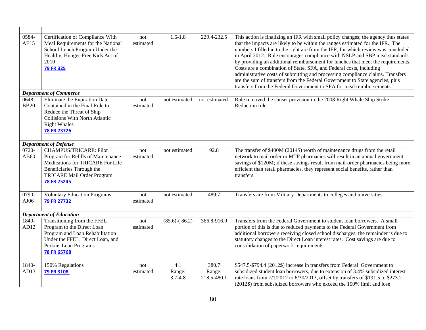| 0584-<br>AE15        | Certification of Compliance With<br>Meal Requirements for the National<br>School Lunch Program Under the<br>Healthy, Hunger-Free Kids Act of<br>2010<br>79 FR 325                 | not<br>estimated | $1.6 - 1.8$                  | 229.4-232.5                    | This action is finalizing an IFR with small policy changes; the agency thus states<br>that the impacts are likely to be within the ranges estimated for the IFR. The<br>numbers I filled in to the right are from the IFR, for which review was concluded<br>in April 2012. Rule encourages compliance with NSLP and SBP meal standards<br>by providing an additional reimbursement for lunches that meet the requirements.<br>Costs are a combination of State. SFA, and Federal costs, including<br>administrative costs of submitting and processing compliance claims. Transfers<br>are the sum of transfers from the Federal Government to State agencies, plus<br>transfers from the Federal Government to SFA for meal reimbursements. |
|----------------------|-----------------------------------------------------------------------------------------------------------------------------------------------------------------------------------|------------------|------------------------------|--------------------------------|-----------------------------------------------------------------------------------------------------------------------------------------------------------------------------------------------------------------------------------------------------------------------------------------------------------------------------------------------------------------------------------------------------------------------------------------------------------------------------------------------------------------------------------------------------------------------------------------------------------------------------------------------------------------------------------------------------------------------------------------------|
|                      | <b>Department of Commerce</b>                                                                                                                                                     |                  |                              |                                |                                                                                                                                                                                                                                                                                                                                                                                                                                                                                                                                                                                                                                                                                                                                               |
| 0648-<br><b>BB20</b> | Eliminate the Expiration Date<br>Contained in the Final Rule to<br>Reduce the Threat of Ship<br><b>Collisions With North Atlantic</b><br><b>Right Whales</b><br>78 FR 73726       | not<br>estimated | not estimated                | not estimated                  | Rule removed the sunset provision in the 2008 Right Whale Ship Strike<br>Reduction rule.                                                                                                                                                                                                                                                                                                                                                                                                                                                                                                                                                                                                                                                      |
|                      | <b>Department of Defense</b>                                                                                                                                                      |                  |                              |                                |                                                                                                                                                                                                                                                                                                                                                                                                                                                                                                                                                                                                                                                                                                                                               |
| 0720-<br>AB60        | <b>CHAMPUS/TRICARE: Pilot</b><br>Program for Refills of Maintenance<br>Medications for TRICARE For Life<br>Beneficiaries Through the<br>TRICARE Mail Order Program<br>78 FR 75245 | not<br>estimated | not estimated                | 92.8                           | The transfer of \$400M (2014\$) worth of maintenance drugs from the retail<br>network to mail order or MTF pharmacies will result in an annual government<br>savings of \$120M; if these savings result from mail-order pharmacies being more<br>efficient than retail pharmacies, they represent social benefits, rather than<br>transfers.                                                                                                                                                                                                                                                                                                                                                                                                  |
| 0790-<br>AJ06        | <b>Voluntary Education Programs</b><br>79 FR 27732                                                                                                                                | not<br>estimated | not estimated                | 489.7                          | Transfers are from Military Departments to colleges and universities.                                                                                                                                                                                                                                                                                                                                                                                                                                                                                                                                                                                                                                                                         |
|                      | <b>Department of Education</b>                                                                                                                                                    |                  |                              |                                |                                                                                                                                                                                                                                                                                                                                                                                                                                                                                                                                                                                                                                                                                                                                               |
| 1840-<br>AD12        | Transitioning from the FFEL<br>Program to the Direct Loan<br>Program and Loan Rehabilitation<br>Under the FFEL, Direct Loan, and<br>Perkins Loan Programs<br><b>78 FR 65768</b>   | not<br>estimated | $(85.6)-(86.2)$              | 366.8-916.9                    | Transfers from the Federal Government to student loan borrowers. A small<br>portion of this is due to reduced payments to the Federal Government from<br>additional borrowers receiving closed school discharges; the remainder is due to<br>statutory changes to the Direct Loan interest rates. Cost savings are due to<br>consolidation of paperwork requirements.                                                                                                                                                                                                                                                                                                                                                                         |
| 1840-<br>AD13        | 150% Regulations<br><b>79 FR 3108</b>                                                                                                                                             | not<br>estimated | 4.1<br>Range:<br>$3.7 - 4.8$ | 380.7<br>Range:<br>218.5-480.1 | \$547.5-\$794.4 (2012\$) increase in transfers from Federal Government to<br>subsidized student loan borrowers, due to extension of 3.4% subsidized interest<br>rate loans from 7/1/2012 to 6/30/2013, offset by transfers of \$191.5 to \$273.2<br>(2012\$) from subsidized borrowers who exceed the 150% limit and lose                                                                                                                                                                                                                                                                                                                                                                                                                     |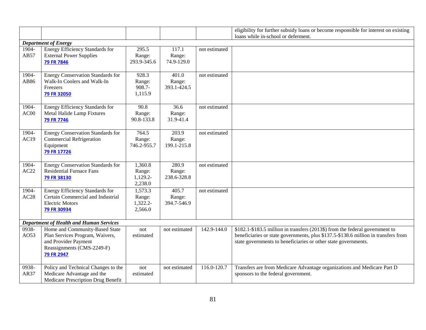|               |                                                                                                                                       |                                          |                                             |               | eligibility for further subsidy loans or become responsible for interest on existing                                                                                                                                                 |
|---------------|---------------------------------------------------------------------------------------------------------------------------------------|------------------------------------------|---------------------------------------------|---------------|--------------------------------------------------------------------------------------------------------------------------------------------------------------------------------------------------------------------------------------|
|               |                                                                                                                                       |                                          |                                             |               | loans while in-school or deferment.                                                                                                                                                                                                  |
|               | <b>Department of Energy</b>                                                                                                           |                                          |                                             |               |                                                                                                                                                                                                                                      |
| 1904-<br>AB57 | <b>Energy Efficiency Standards for</b><br><b>External Power Supplies</b><br>79 FR 7846                                                | 295.5<br>Range:<br>293.9-345.6           | 117.1<br>Range:<br>74.9-129.0               | not estimated |                                                                                                                                                                                                                                      |
| 1904-<br>AB86 | <b>Energy Conservation Standards for</b><br>Walk-In Coolers and Walk-In<br>Freezers<br>79 FR 32050                                    | 928.3<br>Range:<br>908.7-<br>1,115.9     | $\overline{401.0}$<br>Range:<br>393.1-424.5 | not estimated |                                                                                                                                                                                                                                      |
| 1904-<br>AC00 | Energy Efficiency Standards for<br>Metal Halide Lamp Fixtures<br>79 FR 7746                                                           | 90.8<br>Range:<br>90.8-133.8             | 36.6<br>Range:<br>31.9-41.4                 | not estimated |                                                                                                                                                                                                                                      |
| 1904-<br>AC19 | <b>Energy Conservation Standards for</b><br><b>Commercial Refrigeration</b><br>Equipment<br>79 FR 17726                               | 764.5<br>Range:<br>746.2-955.7           | 203.9<br>Range:<br>199.1-215.8              | not estimated |                                                                                                                                                                                                                                      |
| 1904-<br>AC22 | <b>Energy Conservation Standards for</b><br><b>Residential Furnace Fans</b><br>79 FR 38130                                            | 1,360.8<br>Range:<br>1,129.2-<br>2,238.0 | 280.9<br>Range:<br>238.6-328.8              | not estimated |                                                                                                                                                                                                                                      |
| 1904-<br>AC28 | <b>Energy Efficiency Standards for</b><br>Certain Commercial and Industrial<br><b>Electric Motors</b><br>79 FR 30934                  | 1,573.3<br>Range:<br>1,322.2-<br>2,566.0 | 405.7<br>Range:<br>394.7-546.9              | not estimated |                                                                                                                                                                                                                                      |
|               | <b>Department of Health and Human Services</b>                                                                                        |                                          |                                             |               |                                                                                                                                                                                                                                      |
| 0938-<br>AO53 | Home and Community-Based State<br>Plan Services Program, Waivers,<br>and Provider Payment<br>Reassignments (CMS-2249-F)<br>79 FR 2947 | not<br>estimated                         | not estimated                               | 142.9-144.0   | \$182.1-\$183.5 million in transfers (2013\$) from the federal government to<br>beneficiaries or state governments, plus \$137.5-\$138.6 million in transfers from<br>state governments to beneficiaries or other state governments. |
| 0938-<br>AR37 | Policy and Technical Changes to the<br>Medicare Advantage and the<br>Medicare Prescription Drug Benefit                               | not<br>estimated                         | not estimated                               | 116.0-120.7   | Transfers are from Medicare Advantage organizations and Medicare Part D<br>sponsors to the federal government.                                                                                                                       |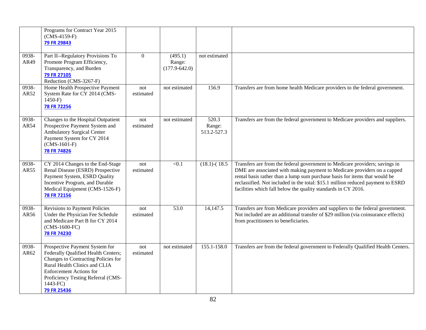|                            | Programs for Contract Year 2015<br>$(CMS-4159-F)$<br><b>79 FR 29843</b>                                                                                                                                                                          |                  |                                        |                                |                                                                                                                                                                                                                                                                                                                                                                                           |
|----------------------------|--------------------------------------------------------------------------------------------------------------------------------------------------------------------------------------------------------------------------------------------------|------------------|----------------------------------------|--------------------------------|-------------------------------------------------------------------------------------------------------------------------------------------------------------------------------------------------------------------------------------------------------------------------------------------------------------------------------------------------------------------------------------------|
| 0938-<br>AR49              | Part II--Regulatory Provisions To<br>Promote Program Efficiency,<br>Transparency, and Burden<br><b>79 FR 27105</b><br>Reduction (CMS-3267-F)                                                                                                     | $\boldsymbol{0}$ | (495.1)<br>Range:<br>$(177.9 - 642.0)$ | not estimated                  |                                                                                                                                                                                                                                                                                                                                                                                           |
| 0938-<br>AR52              | Home Health Prospective Payment<br>System Rate for CY 2014 (CMS-<br>$1450-F$<br><b>78 FR 72256</b>                                                                                                                                               | not<br>estimated | not estimated                          | 156.9                          | Transfers are from home health Medicare providers to the federal government.                                                                                                                                                                                                                                                                                                              |
| 0938-<br>AR54              | Changes to the Hospital Outpatient<br>Prospective Payment System and<br><b>Ambulatory Surgical Center</b><br>Payment System for CY 2014<br>$(CMS-1601-F)$<br><b>78 FR 74826</b>                                                                  | not<br>estimated | not estimated                          | 520.3<br>Range:<br>513.2-527.3 | Transfers are from the federal government to Medicare providers and suppliers.                                                                                                                                                                                                                                                                                                            |
| 0938-<br>AR55              | CY 2014 Changes to the End-Stage<br>Renal Disease (ESRD) Prospective<br>Payment System, ESRD Quality<br>Incentive Program, and Durable<br>Medical Equipment (CMS-1526-F)<br>78 FR 72156                                                          | not<br>estimated | < 0.1                                  | $(18.1)$ - $(18.5)$            | Transfers are from the federal government to Medicare providers; savings in<br>DME are associated with making payment to Medicare providers on a capped<br>rental basis rather than a lump sum purchase basis for items that would be<br>reclassified. Not included in the total: \$15.1 million reduced payment to ESRD<br>facilities which fall below the quality standards in CY 2016. |
| $\overline{0}938-$<br>AR56 | Revisions to Payment Policies<br>Under the Physician Fee Schedule<br>and Medicare Part B for CY 2014<br>$(CMS-1600-FC)$<br><b>78 FR 74230</b>                                                                                                    | not<br>estimated | 53.0                                   | 14,147.5                       | Transfers are from Medicare providers and suppliers to the federal government.<br>Not included are an additional transfer of \$29 million (via coinsurance effects)<br>from practitioners to beneficiaries.                                                                                                                                                                               |
| 0938-<br>AR62              | Prospective Payment System for<br>Federally Qualified Health Centers;<br>Changes to Contracting Policies for<br>Rural Health Clinics and CLIA<br><b>Enforcement Actions for</b><br>Proficiency Testing Referral (CMS-<br>1443-FC)<br>79 FR 25436 | not<br>estimated | not estimated                          | 155.1-158.0                    | Transfers are from the federal government to Federally Qualified Health Centers.                                                                                                                                                                                                                                                                                                          |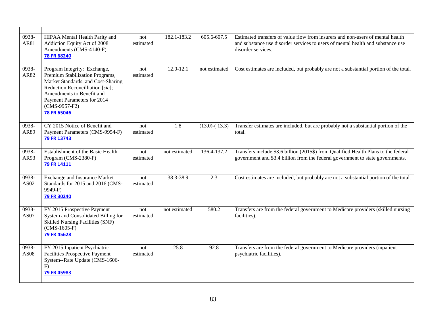| 0938-<br>AR81        | HIPAA Mental Health Parity and<br>Addiction Equity Act of 2008<br>Amendments (CMS-4140-F)<br>78 FR 68240                                                                                                                                | not<br>estimated | 182.1-183.2   | 605.6-607.5         | Estimated transfers of value flow from insurers and non-users of mental health<br>and substance use disorder services to users of mental health and substance use<br>disorder services. |
|----------------------|-----------------------------------------------------------------------------------------------------------------------------------------------------------------------------------------------------------------------------------------|------------------|---------------|---------------------|-----------------------------------------------------------------------------------------------------------------------------------------------------------------------------------------|
| 0938-<br>AR82        | Program Integrity: Exchange,<br>Premium Stabilization Programs,<br>Market Standards, and Cost-Sharing<br>Reduction Reconcilliation [sic];<br>Amendments to Benefit and<br>Payment Parameters for 2014<br>$(CMS-9957-F2)$<br>78 FR 65046 | not<br>estimated | $12.0 - 12.1$ | not estimated       | Cost estimates are included, but probably are not a substantial portion of the total.                                                                                                   |
| 0938-<br>AR89        | CY 2015 Notice of Benefit and<br>Payment Parameters (CMS-9954-F)<br>79 FR 13743                                                                                                                                                         | not<br>estimated | 1.8           | $(13.0)$ - $(13.3)$ | Transfer estimates are included, but are probably not a substantial portion of the<br>total.                                                                                            |
| 0938-<br>AR93        | Establishment of the Basic Health<br>Program (CMS-2380-F)<br>79 FR 14111                                                                                                                                                                | not<br>estimated | not estimated | 136.4-137.2         | Transfers include \$3.6 billion (2015\$) from Qualified Health Plans to the federal<br>government and \$3.4 billion from the federal government to state governments.                   |
| 0938-<br>AS02        | <b>Exchange and Insurance Market</b><br>Standards for 2015 and 2016 (CMS-<br>9949-P)<br>79 FR 30240                                                                                                                                     | not<br>estimated | 38.3-38.9     | 2.3                 | Cost estimates are included, but probably are not a substantial portion of the total.                                                                                                   |
| 0938-<br><b>AS07</b> | FY 2015 Prospective Payment<br>System and Consolidated Billing for<br><b>Skilled Nursing Facilities (SNF)</b><br>$(CMS-1605-F)$<br>79 FR 45628                                                                                          | not<br>estimated | not estimated | 580.2               | Transfers are from the federal government to Medicare providers (skilled nursing<br>facilities).                                                                                        |
| 0938-<br><b>AS08</b> | FY 2015 Inpatient Psychiatric<br><b>Facilities Prospective Payment</b><br>System--Rate Update (CMS-1606-<br>F)<br>79 FR 45983                                                                                                           | not<br>estimated | 25.8          | 92.8                | Transfers are from the federal government to Medicare providers (inpatient<br>psychiatric facilities).                                                                                  |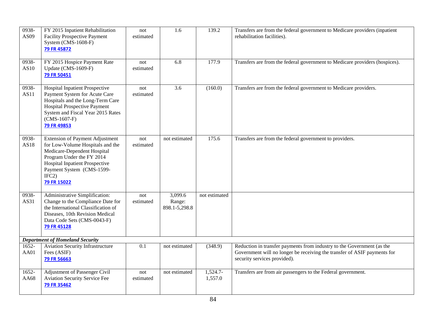| 0938-<br>AS09   | FY 2015 Inpatient Rehabilitation<br><b>Facility Prospective Payment</b><br>System $(CMS-1608-F)$<br>79 FR 45872                                                                                                                      | not<br>estimated | 1.6                                | 139.2                 | Transfers are from the federal government to Medicare providers (inpatient<br>rehabilitation facilities).                                                                          |
|-----------------|--------------------------------------------------------------------------------------------------------------------------------------------------------------------------------------------------------------------------------------|------------------|------------------------------------|-----------------------|------------------------------------------------------------------------------------------------------------------------------------------------------------------------------------|
| 0938-<br>AS10   | FY 2015 Hospice Payment Rate<br>Update (CMS-1609-F)<br>79 FR 50451                                                                                                                                                                   | not<br>estimated | 6.8                                | 177.9                 | Transfers are from the federal government to Medicare providers (hospices).                                                                                                        |
| 0938-<br>AS11   | <b>Hospital Inpatient Prospective</b><br>Payment System for Acute Care<br>Hospitals and the Long-Term Care<br><b>Hospital Prospective Payment</b><br>System and Fiscal Year 2015 Rates<br>$(CMS-1607-F)$<br>79 FR 49853              | not<br>estimated | 3.6                                | (160.0)               | Transfers are from the federal government to Medicare providers.                                                                                                                   |
| 0938-<br>AS18   | <b>Extension of Payment Adjustment</b><br>for Low-Volume Hospitals and the<br>Medicare-Dependent Hospital<br>Program Under the FY 2014<br><b>Hospital Inpatient Prospective</b><br>Payment System (CMS-1599-<br>IFC2)<br>79 FR 15022 | not<br>estimated | not estimated                      | 175.6                 | Transfers are from the federal government to providers.                                                                                                                            |
| 0938-<br>AS31   | Administrative Simplification:<br>Change to the Compliance Date for<br>the International Classification of<br>Diseases, 10th Revision Medical<br>Data Code Sets (CMS-0043-F)<br>79 FR 45128                                          | not<br>estimated | 3,099.6<br>Range:<br>898.1-5,298.8 | not estimated         |                                                                                                                                                                                    |
|                 | <b>Department of Homeland Security</b>                                                                                                                                                                                               |                  |                                    |                       |                                                                                                                                                                                    |
| 1652-<br>AA01   | <b>Aviation Security Infrastructure</b><br>Fees (ASIF)<br>79 FR 56663                                                                                                                                                                | 0.1              | not estimated                      | (348.9)               | Reduction in transfer payments from industry to the Government (as the<br>Government will no longer be receiving the transfer of ASIF payments for<br>security services provided). |
| $1652-$<br>AA68 | <b>Adjustment of Passenger Civil</b><br><b>Aviation Security Service Fee</b><br>79 FR 35462                                                                                                                                          | not<br>estimated | not estimated                      | $1,524.7-$<br>1,557.0 | Transfers are from air passengers to the Federal government.                                                                                                                       |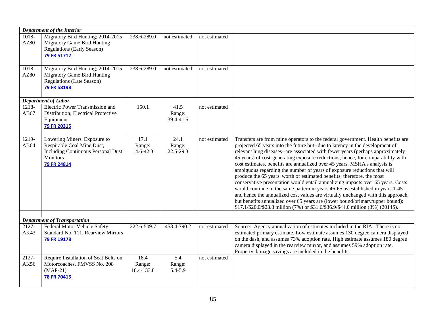|                                    | Department of the Interior                                                                                                         |                              |                                          |               |                                                                                                                                                                                                                                                                                                                                                                                                                                                                                                                                                                                                                                                                                                                                                                                                                                                                                                                                                                                                       |
|------------------------------------|------------------------------------------------------------------------------------------------------------------------------------|------------------------------|------------------------------------------|---------------|-------------------------------------------------------------------------------------------------------------------------------------------------------------------------------------------------------------------------------------------------------------------------------------------------------------------------------------------------------------------------------------------------------------------------------------------------------------------------------------------------------------------------------------------------------------------------------------------------------------------------------------------------------------------------------------------------------------------------------------------------------------------------------------------------------------------------------------------------------------------------------------------------------------------------------------------------------------------------------------------------------|
| $\overline{1018}$ -<br><b>AZ80</b> | Migratory Bird Hunting; 2014-2015<br><b>Migratory Game Bird Hunting</b><br><b>Regulations (Early Season)</b><br>79 FR 51712        | 238.6-289.0                  | not estimated                            | not estimated |                                                                                                                                                                                                                                                                                                                                                                                                                                                                                                                                                                                                                                                                                                                                                                                                                                                                                                                                                                                                       |
| 1018-<br><b>AZ80</b>               | Migratory Bird Hunting; 2014-2015<br><b>Migratory Game Bird Hunting</b><br>Regulations (Late Season)<br>79 FR 58198                | 238.6-289.0                  | not estimated                            | not estimated |                                                                                                                                                                                                                                                                                                                                                                                                                                                                                                                                                                                                                                                                                                                                                                                                                                                                                                                                                                                                       |
|                                    | <b>Department of Labor</b>                                                                                                         |                              |                                          |               |                                                                                                                                                                                                                                                                                                                                                                                                                                                                                                                                                                                                                                                                                                                                                                                                                                                                                                                                                                                                       |
| 1218-<br>AB67                      | <b>Electric Power Transmission and</b><br>Distribution; Electrical Protective<br>Equipment<br>79 FR 20315                          | 150.1                        | 41.5<br>Range:<br>39.4-41.5              | not estimated |                                                                                                                                                                                                                                                                                                                                                                                                                                                                                                                                                                                                                                                                                                                                                                                                                                                                                                                                                                                                       |
| 1219-<br>AB64                      | Lowering Miners' Exposure to<br>Respirable Coal Mine Dust,<br><b>Including Continuous Personal Dust</b><br>Monitors<br>79 FR 24814 | 17.1<br>Range:<br>14.6-42.3  | $\overline{24.1}$<br>Range:<br>22.5-29.3 | not estimated | Transfers are from mine operators to the federal government. Health benefits are<br>projected 65 years into the future but--due to latency in the development of<br>relevant lung diseases--are associated with fewer years (perhaps approximately<br>45 years) of cost-generating exposure reductions; hence, for comparability with<br>cost estimates, benefits are annualized over 45 years. MSHA's analysis is<br>ambiguous regarding the number of years of exposure reductions that will<br>produce the 65 years' worth of estimated benefits; therefore, the most<br>conservative presentation would entail annualizing impacts over 65 years. Costs<br>would continue in the same pattern in years 46-65 as established in years 1-45<br>and hence the annualized cost values are virtually unchanged with this approach,<br>but benefits annualized over 65 years are (lower bound/primary/upper bound):<br>\$17.1/\$20.0/\$23.8 million (7%) or \$31.6/\$36.9/\$44.0 million (3%) (2014\$). |
|                                    | <b>Department of Transportation</b>                                                                                                |                              |                                          |               |                                                                                                                                                                                                                                                                                                                                                                                                                                                                                                                                                                                                                                                                                                                                                                                                                                                                                                                                                                                                       |
| 2127-<br>AK43                      | Federal Motor Vehicle Safety<br>Standard No. 111, Rearview Mirrors<br>79 FR 19178                                                  | 222.6-509.7                  | 458.4-790.2                              | not estimated | Source: Agency annualization of estimates included in the RIA. There is no<br>estimated primary estimate. Low estimate assumes 130 degree camera displayed<br>on the dash, and assumes 73% adoption rate. High estimate assumes 180 degree<br>camera displayed in the rearview mirror, and assumes 59% adoption rate.<br>Property damage savings are included in the benefits.                                                                                                                                                                                                                                                                                                                                                                                                                                                                                                                                                                                                                        |
| 2127-<br>AK56                      | Require Installation of Seat Belts on<br>Motorcoaches, FMVSS No. 208<br>$(MAP-21)$<br>78 FR 70415                                  | 18.4<br>Range:<br>18.4-133.8 | 5.4<br>Range:<br>5.4-5.9                 | not estimated |                                                                                                                                                                                                                                                                                                                                                                                                                                                                                                                                                                                                                                                                                                                                                                                                                                                                                                                                                                                                       |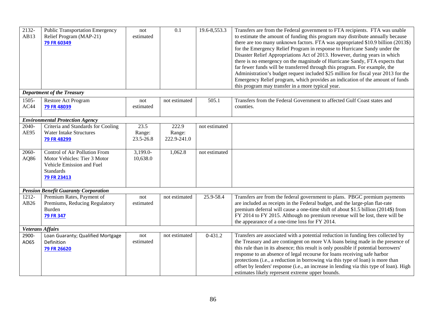| 2132-<br>AB13           | <b>Public Transportation Emergency</b><br>Relief Program (MAP-21)<br>79 FR 60349                                              | not<br>estimated            | 0.1                            | 19.6-8,553.3  | Transfers are from the Federal government to FTA recipients. FTA was unable<br>to estimate the amount of funding this program may distribute annually because<br>there are too many unknown factors. FTA was appropriated \$10.9 billion (2013\$)<br>for the Emergency Relief Program in response to Hurricane Sandy under the<br>Disaster Relief Appropriations Act of 2013. However, during years in which<br>there is no emergency on the magnitude of Hurricane Sandy, FTA expects that<br>far fewer funds will be transferred through this program. For example, the<br>Administration's budget request included \$25 million for fiscal year 2013 for the<br>Emergency Relief program, which provides an indication of the amount of funds<br>this program may transfer in a more typical year. |
|-------------------------|-------------------------------------------------------------------------------------------------------------------------------|-----------------------------|--------------------------------|---------------|-------------------------------------------------------------------------------------------------------------------------------------------------------------------------------------------------------------------------------------------------------------------------------------------------------------------------------------------------------------------------------------------------------------------------------------------------------------------------------------------------------------------------------------------------------------------------------------------------------------------------------------------------------------------------------------------------------------------------------------------------------------------------------------------------------|
|                         | <b>Department of the Treasury</b>                                                                                             |                             |                                |               |                                                                                                                                                                                                                                                                                                                                                                                                                                                                                                                                                                                                                                                                                                                                                                                                       |
| 1505-<br>AC44           | Restore Act Program<br>79 FR 48039                                                                                            | not<br>estimated            | not estimated                  | 505.1         | Transfers from the Federal Government to affected Gulf Coast states and<br>counties.                                                                                                                                                                                                                                                                                                                                                                                                                                                                                                                                                                                                                                                                                                                  |
|                         | <b>Environmental Protection Agency</b>                                                                                        |                             |                                |               |                                                                                                                                                                                                                                                                                                                                                                                                                                                                                                                                                                                                                                                                                                                                                                                                       |
| 2040-<br>AE95           | Criteria and Standards for Cooling<br><b>Water Intake Structures</b><br>79 FR 48299                                           | 23.5<br>Range:<br>23.5-26.8 | 222.9<br>Range:<br>222.9-241.0 | not estimated |                                                                                                                                                                                                                                                                                                                                                                                                                                                                                                                                                                                                                                                                                                                                                                                                       |
| 2060-<br>AQ86           | Control of Air Pollution From<br>Motor Vehicles: Tier 3 Motor<br>Vehicle Emission and Fuel<br><b>Standards</b><br>79 FR 23413 | 3,199.0-<br>10,638.0        | 1,062.8                        | not estimated |                                                                                                                                                                                                                                                                                                                                                                                                                                                                                                                                                                                                                                                                                                                                                                                                       |
|                         | <b>Pension Benefit Guaranty Corporation</b>                                                                                   |                             |                                |               |                                                                                                                                                                                                                                                                                                                                                                                                                                                                                                                                                                                                                                                                                                                                                                                                       |
| 1212-<br>AB26           | Premium Rates, Payment of<br>Premiums, Reducing Regulatory<br><b>Burden</b><br><b>79 FR 347</b>                               | not<br>estimated            | not estimated                  | 25.9-58.4     | Transfers are from the federal government to plans. PBGC premium payments<br>are included as receipts in the Federal budget, and the large-plan flat-rate<br>premium deferral will cause a one-time shift of about \$1.5 billion (2014\$) from<br>FY 2014 to FY 2015. Although no premium revenue will be lost, there will be<br>the appearance of a one-time loss for FY 2014.                                                                                                                                                                                                                                                                                                                                                                                                                       |
| <b>Veterans Affairs</b> |                                                                                                                               |                             |                                |               |                                                                                                                                                                                                                                                                                                                                                                                                                                                                                                                                                                                                                                                                                                                                                                                                       |
| 2900-<br>AO65           | Loan Guaranty; Qualified Mortgage<br>Definition<br>79 FR 26620                                                                | not<br>estimated            | not estimated                  | $0 - 431.2$   | Transfers are associated with a potential reduction in funding fees collected by<br>the Treasury and are contingent on more VA loans being made in the presence of<br>this rule than in its absence; this result is only possible if potential borrowers'<br>response to an absence of legal recourse for loans receiving safe harbor<br>protections (i.e., a reduction in borrowing via this type of loan) is more than<br>offset by lenders' response (i.e., an increase in lending via this type of loan). High<br>estimates likely represent extreme upper bounds.                                                                                                                                                                                                                                |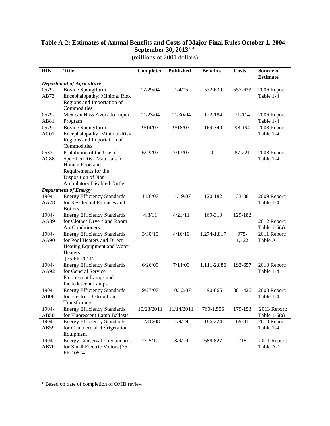# **Table A-2: Estimates of Annual Benefits and Costs of Major Final Rules October 1, 2004 - September 30, 2013**[158](#page-89-0)

(millions of 2001 dollars)

| <b>RIN</b>    | <b>Title</b>                                                        | Completed  | <b>Published</b> | <b>Benefits</b> | <b>Costs</b> | Source of<br><b>Estimate</b>   |
|---------------|---------------------------------------------------------------------|------------|------------------|-----------------|--------------|--------------------------------|
|               | <b>Department of Agriculture</b>                                    |            |                  |                 |              |                                |
| 0579-         | <b>Bovine Spongiform</b>                                            | 12/29/04   | 1/4/05           | 572-639         | 557-623      | 2006 Report:                   |
| AB73          | Encephalopathy: Minimal Risk                                        |            |                  |                 |              | Table 1-4                      |
|               | Regions and Importation of                                          |            |                  |                 |              |                                |
|               | Commodities                                                         |            |                  |                 |              |                                |
| 0579-         | Mexican Hass Avocado Import                                         | 11/23/04   | 11/30/04         | 122-184         | 71-114       | 2006 Report:                   |
| AB81          | Program                                                             |            |                  |                 |              | Table 1-4                      |
| 0579-         | <b>Bovine Spongiform</b>                                            | 9/14/07    | 9/18/07          | 169-340         | 98-194       | 2008 Report:                   |
| AC01          | Encephalopathy; Minimal-Risk                                        |            |                  |                 |              | Table 1-4                      |
|               | Regions and Importation of                                          |            |                  |                 |              |                                |
|               | Commodities                                                         |            |                  |                 |              |                                |
| 0583-         | Prohibition of the Use of                                           | 6/29/07    | 7/13/07          | $\overline{0}$  | 87-221       | 2008 Report:                   |
| <b>AC88</b>   | Specified Risk Materials for                                        |            |                  |                 |              | Table 1-4                      |
|               | Human Food and<br>Requirements for the                              |            |                  |                 |              |                                |
|               | Disposition of Non-                                                 |            |                  |                 |              |                                |
|               | <b>Ambulatory Disabled Cattle</b>                                   |            |                  |                 |              |                                |
|               | <b>Department of Energy</b>                                         |            |                  |                 |              |                                |
| 1904-         | <b>Energy Efficiency Standards</b>                                  | 11/6/07    | 11/19/07         | 120-182         | 33-38        | 2009 Report:                   |
| <b>AA78</b>   | for Residential Furnaces and                                        |            |                  |                 |              | Table 1-4                      |
|               | <b>Boilers</b>                                                      |            |                  |                 |              |                                |
| 1904-         | <b>Energy Efficiency Standards</b>                                  | 4/8/11     | 4/21/11          | 169-310         | 129-182      |                                |
| AA89          | for Clothes Dryers and Room                                         |            |                  |                 |              | 2012 Report:                   |
|               | Air Conditioners                                                    |            |                  |                 |              | Table $1-5(a)$                 |
| 1904-         | <b>Energy Efficiency Standards</b>                                  | 3/30/10    | 4/16/10          | 1,274-1,817     | $975 -$      | 2011 Report:                   |
| AA90          | for Pool Heaters and Direct                                         |            |                  |                 | 1,122        | Table A-1                      |
|               | Heating Equipment and Water                                         |            |                  |                 |              |                                |
|               | Heaters                                                             |            |                  |                 |              |                                |
|               | [75 FR 20112]                                                       |            |                  |                 |              |                                |
| $1904 -$      | <b>Energy Efficiency Standards</b>                                  | 6/26/09    | 7/14/09          | 1,111-2,886     | 192-657      | 2010 Report:                   |
| AA92          | for General Service                                                 |            |                  |                 |              | Table 1-4                      |
|               | Fluorescent Lamps and                                               |            |                  |                 |              |                                |
|               | <b>Incandescent Lamps</b>                                           |            |                  |                 |              |                                |
| 1904-         | <b>Energy Efficiency Standards</b>                                  | 9/27/07    | 10/12/07         | 490-865         | 381-426      | 2008 Report:                   |
| <b>AB08</b>   | for Electric Distribution                                           |            |                  |                 |              | Table 1-4                      |
|               | Transformers                                                        | 10/28/2011 |                  |                 |              |                                |
| 1904-<br>AB50 | <b>Energy Efficiency Standards</b>                                  |            | 11/14/2011       | 760-1,556       | 179-153      | 2013 Report:                   |
| 1904-         | for Fluorescent Lamp Ballasts<br><b>Energy Efficiency Standards</b> | 12/18/08   | 1/9/09           | 186-224         | 69-81        | Table $1-6(a)$<br>2010 Report: |
| AB59          | for Commercial Refrigeration                                        |            |                  |                 |              | Table 1-4                      |
|               | Equipment                                                           |            |                  |                 |              |                                |
| 1904-         | <b>Energy Conservation Standards</b>                                | 2/25/10    | 3/9/10           | 688-827         | 218          | 2011 Report:                   |
| AB70          | for Small Electric Motors [75                                       |            |                  |                 |              | Table A-1                      |
|               | FR 10874]                                                           |            |                  |                 |              |                                |

 $\overline{a}$ 

<span id="page-89-0"></span><sup>&</sup>lt;sup>158</sup> Based on date of completion of OMB review.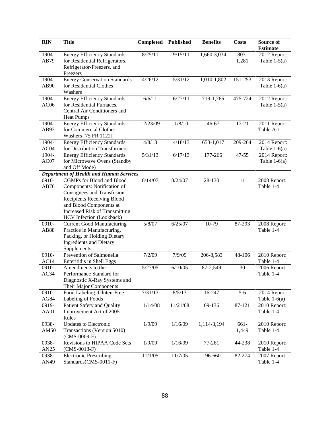| <b>RIN</b>    | <b>Title</b>                                                                                                                                                                                                                       | Completed | <b>Published</b> | <b>Benefits</b> | <b>Costs</b>     | Source of<br><b>Estimate</b>   |
|---------------|------------------------------------------------------------------------------------------------------------------------------------------------------------------------------------------------------------------------------------|-----------|------------------|-----------------|------------------|--------------------------------|
| 1904-<br>AB79 | <b>Energy Efficiency Standards</b><br>for Residential Refrigerators,<br>Refrigerator-Freezers, and<br>Freezers                                                                                                                     | 8/25/11   | 9/15/11          | 1,660-3,034     | 803-<br>1.281    | 2012 Report:<br>Table $1-5(a)$ |
| 1904-<br>AB90 | <b>Energy Conservation Standards</b><br>for Residential Clothes<br>Washers                                                                                                                                                         | 4/26/12   | 5/31/12          | 1,010-1,802     | 151-253          | 2013 Report:<br>Table $1-6(a)$ |
| 1904-<br>AC06 | <b>Energy Efficiency Standards</b><br>for Residential Furnaces,<br>Central Air Conditioners and<br><b>Heat Pumps</b>                                                                                                               | 6/6/11    | 6/27/11          | 719-1,766       | 475-724          | 2012 Report:<br>Table $1-5(a)$ |
| 1904-<br>AB93 | <b>Energy Efficiency Standards</b><br>for Commercial Clothes<br>Washers [75 FR 1122]                                                                                                                                               | 12/23/09  | 1/8/10           | 46-67           | $17 - 21$        | 2011 Report:<br>Table A-1      |
| 1904-<br>AC04 | <b>Energy Efficiency Standards</b><br>for Distribution Transformers                                                                                                                                                                | 4/8/13    | 4/18/13          | 653-1,017       | 209-264          | 2014 Report:<br>Table $1-6(a)$ |
| 1904-<br>AC07 | <b>Energy Efficiency Standards</b><br>for Microwave Ovens (Standby<br>and Off Mode)                                                                                                                                                | 5/31/13   | 6/17/13          | 177-266         | 47-55            | 2014 Report:<br>Table $1-6(a)$ |
|               | <b>Department of Health and Human Services</b>                                                                                                                                                                                     |           |                  |                 |                  |                                |
| 0910-<br>AB76 | <b>CGMPs for Blood and Blood</b><br>Components: Notification of<br>Consignees and Transfusion<br><b>Recipients Receiving Blood</b><br>and Blood Components at<br><b>Increased Risk of Transmitting</b><br>HCV Infection (Lookback) | 8/14/07   | 8/24/07          | 28-130          | 11               | 2008 Report:<br>Table 1-4      |
| 0910-<br>AB88 | <b>Current Good Manufacturing</b><br>Practice in Manufacturing,<br>Packing, or Holding Dietary<br><b>Ingredients and Dietary</b><br>Supplements                                                                                    | 5/8/07    | 6/25/07          | 10-79           | 87-293           | 2008 Report:<br>Table 1-4      |
| 0910-<br>AC14 | Prevention of Salmonella<br>Enteritidis in Shell Eggs                                                                                                                                                                              | 7/2/09    | 7/9/09           | 206-8,583       | 48-106           | 2010 Report:<br>Table 1-4      |
| 0910-<br>AC34 | Amendments to the<br>Performance Standard for<br>Diagnostic X-Ray Systems and<br>Their Major Components                                                                                                                            | 5/27/05   | 6/10/05          | 87-2,549        | 30               | 2006 Report:<br>Table 1-4      |
| 0910-<br>AG84 | Food Labeling; Gluten-Free<br>Labeling of Foods                                                                                                                                                                                    | 7/31/13   | 8/5/13           | 16-247          | $5 - 6$          | 2014 Report:<br>Table $1-6(a)$ |
| 0919-<br>AA01 | Patient Safety and Quality<br>Improvement Act of 2005<br>Rules                                                                                                                                                                     | 11/14/08  | 11/21/08         | 69-136          | 87-121           | 2010 Report:<br>Table 1-4      |
| 0938-<br>AM50 | <b>Updates to Electronic</b><br>Transactions (Version 5010)<br>$(CMS-0009-F)$                                                                                                                                                      | 1/9/09    | 1/16/09          | 1,114-3,194     | $661 -$<br>1,449 | 2010 Report:<br>Table 1-4      |
| 0938-<br>AN25 | Revisions to HIPAA Code Sets<br>$(CMS-0013-F)$                                                                                                                                                                                     | 1/9/09    | 1/16/09          | 77-261          | 44-238           | 2010 Report:<br>Table 1-4      |
| 0938-<br>AN49 | <b>Electronic Prescribing</b><br>Standards(CMS-0011-F)                                                                                                                                                                             | 11/1/05   | 11/7/05          | 196-660         | 82-274           | 2007 Report:<br>Table 1-4      |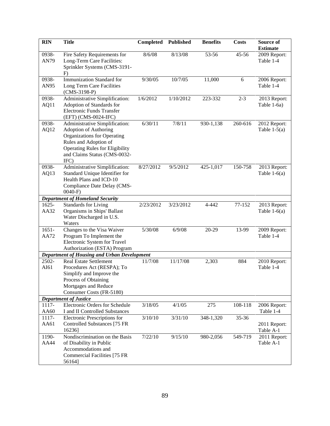| <b>RIN</b>    | <b>Title</b>                                                                                                                                                    | Completed | <b>Published</b> | <b>Benefits</b> | <b>Costs</b> | Source of<br><b>Estimate</b> |
|---------------|-----------------------------------------------------------------------------------------------------------------------------------------------------------------|-----------|------------------|-----------------|--------------|------------------------------|
| 0938-<br>AN79 | Fire Safety Requirements for<br>Long-Term Care Facilities:<br>Sprinkler Systems (CMS-3191-<br>F)                                                                | 8/6/08    | 8/13/08          | 53-56           | $45 - 56$    | 2009 Report:<br>Table 1-4    |
| 0938-         | Immunization Standard for                                                                                                                                       | 9/30/05   | 10/7/05          | 11,000          | 6            | 2006 Report:                 |
| AN95          | Long Term Care Facilities<br>$(CMS-3198-P)$                                                                                                                     |           |                  |                 |              | Table 1-4                    |
| 0938-         | Administrative Simplification:                                                                                                                                  | 1/6/2012  | 1/10/2012        | 223-332         | $2 - 3$      | 2013 Report:                 |
| AQ11          | Adoption of Standards for                                                                                                                                       |           |                  |                 |              | Table 1-6a)                  |
|               | Electronic Funds Transfer<br>(EFT) (CMS-0024-IFC)                                                                                                               |           |                  |                 |              |                              |
| 0938-         | Administrative Simplification:                                                                                                                                  | 6/30/11   | 7/8/11           | 930-1,138       | 260-616      | 2012 Report:                 |
| AQ12          | Adoption of Authoring<br>Organizations for Operating<br>Rules and Adoption of<br><b>Operating Rules for Eligibility</b><br>and Claims Status (CMS-0032-<br>IFC) |           |                  |                 |              | Table $1-5(a)$               |
| 0938-         | Administrative Simplification:                                                                                                                                  | 8/27/2012 | 9/5/2012         | 425-1,017       | 150-758      | 2013 Report:                 |
| AQ13          | Standard Unique Identifier for                                                                                                                                  |           |                  |                 |              | Table $1-6(a)$               |
|               | Health Plans and ICD-10                                                                                                                                         |           |                  |                 |              |                              |
|               | Compliance Date Delay (CMS-                                                                                                                                     |           |                  |                 |              |                              |
|               | $0040-F$                                                                                                                                                        |           |                  |                 |              |                              |
|               | <b>Department of Homeland Security</b>                                                                                                                          |           |                  |                 |              |                              |
| 1625-         | <b>Standards for Living</b>                                                                                                                                     | 2/23/2012 | 3/23/2012        | 4-442           | 77-152       | 2013 Report:                 |
| AA32          | Organisms in Ships' Ballast<br>Water Discharged in U.S.                                                                                                         |           |                  |                 |              | Table $1-6(a)$               |
|               | Waters                                                                                                                                                          |           |                  |                 |              |                              |
| $1651 -$      | Changes to the Visa Waiver                                                                                                                                      | 5/30/08   | 6/9/08           | 20-29           | 13-99        | 2009 Report:                 |
| AA72          | Program To Implement the                                                                                                                                        |           |                  |                 |              | Table 1-4                    |
|               | Electronic System for Travel                                                                                                                                    |           |                  |                 |              |                              |
|               | Authorization (ESTA) Program                                                                                                                                    |           |                  |                 |              |                              |
|               | <b>Department of Housing and Urban Development</b>                                                                                                              |           |                  |                 |              |                              |
| 2502-         | <b>Real Estate Settlement</b>                                                                                                                                   | 11/7/08   | 11/17/08         | 2,303           | 884          | 2010 Report:                 |
| AI61          | Procedures Act (RESPA); To                                                                                                                                      |           |                  |                 |              | Table 1-4                    |
|               | Simplify and Improve the                                                                                                                                        |           |                  |                 |              |                              |
|               | Process of Obtaining                                                                                                                                            |           |                  |                 |              |                              |
|               | Mortgages and Reduce                                                                                                                                            |           |                  |                 |              |                              |
|               | Consumer Costs (FR-5180)<br><b>Department of Justice</b>                                                                                                        |           |                  |                 |              |                              |
| 1117-         | Electronic Orders for Schedule                                                                                                                                  | 3/18/05   | 4/1/05           | 275             | 108-118      | 2006 Report:                 |
| AA60          | I and II Controlled Substances                                                                                                                                  |           |                  |                 |              | Table 1-4                    |
| 1117-         | Electronic Prescriptions for                                                                                                                                    | 3/10/10   | 3/31/10          | 348-1,320       | 35-36        |                              |
| AA61          | Controlled Substances [75 FR                                                                                                                                    |           |                  |                 |              | 2011 Report:                 |
|               | 16236]                                                                                                                                                          |           |                  |                 |              | Table A-1                    |
| 1190-         | Nondiscrimination on the Basis                                                                                                                                  | 7/22/10   | 9/15/10          | 980-2,056       | 549-719      | 2011 Report:                 |
| AA44          | of Disability in Public                                                                                                                                         |           |                  |                 |              | Table A-1                    |
|               | Accommodations and                                                                                                                                              |           |                  |                 |              |                              |
|               | <b>Commercial Facilities [75 FR</b>                                                                                                                             |           |                  |                 |              |                              |
|               | 56164]                                                                                                                                                          |           |                  |                 |              |                              |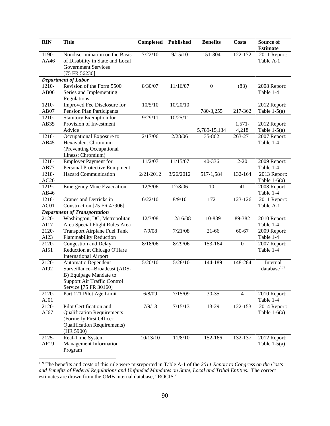| <b>RIN</b>    | <b>Title</b>                                                 | Completed | <b>Published</b> | <b>Benefits</b>  | <b>Costs</b>     | Source of<br><b>Estimate</b> |
|---------------|--------------------------------------------------------------|-----------|------------------|------------------|------------------|------------------------------|
| 1190-         | Nondiscrimination on the Basis                               | 7/22/10   | 9/15/10          | 151-304          | 122-172          | 2011 Report:                 |
| AA46          | of Disability in State and Local                             |           |                  |                  |                  | Table A-1                    |
|               | <b>Government Services</b>                                   |           |                  |                  |                  |                              |
|               | [75 FR 56236]                                                |           |                  |                  |                  |                              |
|               | <b>Department of Labor</b>                                   |           |                  |                  |                  |                              |
| 1210-         | Revision of the Form 5500                                    | 8/30/07   | 11/16/07         | $\boldsymbol{0}$ | (83)             | 2008 Report:                 |
| AB06          | Series and Implementing<br>Regulations                       |           |                  |                  |                  | Table 1-4                    |
| 1210-         | Improved Fee Disclosure for                                  | 10/5/10   | 10/20/10         |                  |                  | 2012 Report:                 |
| AB07          | <b>Pension Plan Participants</b>                             |           |                  | 780-3,255        | 217-362          | Table $1-5(a)$               |
| 1210-         | <b>Statutory Exemption for</b>                               | 9/29/11   | 10/25/11         |                  |                  |                              |
| AB35          | Provision of Investment                                      |           |                  |                  | $1,571-$         | 2012 Report:                 |
|               | Advice                                                       |           |                  | 5,789-15,134     | 4,218            | Table $1-5(a)$               |
| 1218-         | Occupational Exposure to                                     | 2/17/06   | 2/28/06          | 35-862           | 263-271          | 2007 Report:                 |
| AB45          | <b>Hexavalent Chromium</b>                                   |           |                  |                  |                  | Table 1-4                    |
|               | (Preventing Occupational                                     |           |                  |                  |                  |                              |
|               | Illness: Chromium)                                           |           |                  |                  |                  |                              |
| 1218-         | <b>Employer Payment for</b>                                  | 11/2/07   | 11/15/07         | 40-336           | $2 - 20$         | 2009 Report:                 |
| AB77<br>1218- | Personal Protective Equipment<br><b>Hazard Communication</b> | 2/21/2012 | 3/26/2012        | 517-1,584        | 132-164          | Table 1-4<br>2013 Report:    |
| AC20          |                                                              |           |                  |                  |                  | Table $1-6(a)$               |
| 1219-         | <b>Emergency Mine Evacuation</b>                             | 12/5/06   | 12/8/06          | 10               | 41               | 2008 Report:                 |
| AB46          |                                                              |           |                  |                  |                  | Table 1-4                    |
| 1218-         | Cranes and Derricks in                                       | 6/22/10   | 8/9/10           | 172              | 123-126          | 2011 Report:                 |
| AC01          | Construction [75 FR 47906]                                   |           |                  |                  |                  | Table A-1                    |
|               | <b>Department of Transportation</b>                          |           |                  |                  |                  |                              |
| 2120-         | Washington, DC, Metropolitan                                 | 12/3/08   | 12/16/08         | 10-839           | 89-382           | 2010 Report:                 |
| AI17          | Area Special Flight Rules Area                               |           |                  |                  |                  | Table 1-4                    |
| 2120-         | <b>Transport Airplane Fuel Tank</b>                          | 7/9/08    | 7/21/08          | $21 - 66$        | 60-67            | 2009 Report:                 |
| AI23          | <b>Flammability Reduction</b>                                |           |                  |                  |                  | Table 1-4                    |
| 2120-<br>AI51 | Congestion and Delay                                         | 8/18/06   | 8/29/06          | 153-164          | $\boldsymbol{0}$ | 2007 Report:<br>Table 1-4    |
|               | Reduction at Chicago O'Hare<br><b>International Airport</b>  |           |                  |                  |                  |                              |
| 2120-         | <b>Automatic Dependent</b>                                   | 5/20/10   | 5/28/10          | 144-189          | 148-284          | Internal                     |
| AI92          | Surveillance--Broadcast (ADS-                                |           |                  |                  |                  | database <sup>159</sup>      |
|               | B) Equipage Mandate to                                       |           |                  |                  |                  |                              |
|               | <b>Support Air Traffic Control</b>                           |           |                  |                  |                  |                              |
|               | Service [75 FR 30160]                                        |           |                  |                  |                  |                              |
| 2120-         | Part 121 Pilot Age Limit                                     | 6/8/09    | 7/15/09          | 30-35            | $\overline{4}$   | 2010 Report:                 |
| AJ01          |                                                              |           |                  |                  |                  | Table 1-4                    |
| 2120-         | Pilot Certification and                                      | 7/9/13    | 7/15/13          | 13-29            | 122-153          | 2014 Report:                 |
| AJ67          | <b>Qualification Requirements</b><br>(Formerly First Officer |           |                  |                  |                  | Table $1-6(a)$               |
|               | <b>Qualification Requirements)</b>                           |           |                  |                  |                  |                              |
|               | (HR 5900)                                                    |           |                  |                  |                  |                              |
| 2125-         | Real-Time System                                             | 10/13/10  | 11/8/10          | 152-166          | 132-137          | 2012 Report:                 |
| AF19          | Management Information                                       |           |                  |                  |                  | Table $1-5(a)$               |
|               | Program                                                      |           |                  |                  |                  |                              |

<span id="page-92-0"></span> <sup>159</sup> The benefits and costs of this rule were misreported in Table A-1 of the *2011 Report to Congress on the Costs and Benefits of Federal Regulations and Unfunded Mandates on State, Local and Tribal Entities.* The correct estimates are drawn from the OMB internal database, "ROCIS."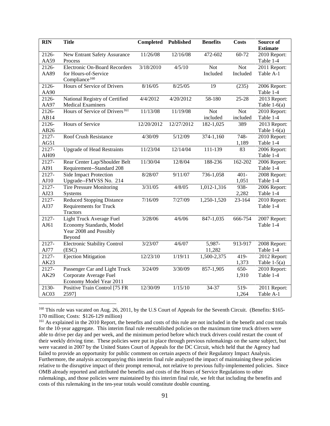| <b>RIN</b> | <b>Title</b><br><b>Benefits</b><br><b>Completed</b><br><b>Published</b> |                      |            | <b>Costs</b>  | Source of  |                                 |
|------------|-------------------------------------------------------------------------|----------------------|------------|---------------|------------|---------------------------------|
| 2126-      | New Entrant Safety Assurance                                            | 11/26/08             | 12/16/08   | 472-602       | 60-72      | <b>Estimate</b><br>2010 Report: |
| AA59       | Process                                                                 |                      |            |               |            | Table 1-4                       |
| 2126-      | <b>Electronic On-Board Recorders</b>                                    | $\frac{3}{18}$ /2010 | 4/5/10     | Not           | Not        | 2011 Report:                    |
| AA89       | for Hours-of-Service                                                    |                      |            | Included      | Included   | Table A-1                       |
|            | Compliance <sup>160</sup>                                               |                      |            |               |            |                                 |
| 2126-      | Hours of Service of Drivers                                             | 8/16/05              | 8/25/05    | 19            | (235)      | 2006 Report:                    |
| AA90       |                                                                         |                      |            |               |            | Table 1-4                       |
| 2126-      | National Registry of Certified                                          | 4/4/2012             | 4/20/2012  | 58-180        | $25 - 28$  | 2013 Report:                    |
| AA97       | <b>Medical Examiners</b>                                                |                      |            |               |            | Table $1-6(a)$                  |
| 2126-      | Hours of Service of Drivers <sup>161</sup>                              | 11/13/08             | 11/19/08   | <b>Not</b>    | <b>Not</b> | 2010 Report:                    |
| AB14       |                                                                         |                      |            | included      | included   | Table 1-4                       |
| 2126-      | Hours of Service                                                        | 12/20/2012           | 12/27/2012 | 182-1,025     | 389        | 2013 Report:                    |
| AB26       |                                                                         |                      |            |               |            | Table $1-6(a)$                  |
| 2127-      | Roof Crush Resistance                                                   | 4/30/09              | 5/12/09    | $374 - 1,160$ | $748-$     | 2010 Report:                    |
| AG51       |                                                                         |                      |            |               | 1,189      | Table 1-4                       |
| 2127-      | <b>Upgrade of Head Restraints</b>                                       | 11/23/04             | 12/14/04   | 111-139       | 83         | 2006 Report:                    |
| AH09       |                                                                         |                      |            |               |            | Table 1-4                       |
| 2127-      | Rear Center Lap/Shoulder Belt                                           | 11/30/04             | 12/8/04    | 188-236       | 162-202    | 2006 Report:                    |
| AI91       | Requirement--Standard 208                                               |                      |            |               |            | Table 1-4                       |
| 2127-      | Side Impact Protection                                                  | 8/28/07              | 9/11/07    | 736-1,058     | $401 -$    | 2008 Report:                    |
| AJ10       | Upgrade--FMVSS No. 214                                                  |                      |            |               | 1,051      | Table 1-4                       |
| 2127-      | <b>Tire Pressure Monitoring</b>                                         | 3/31/05              | 4/8/05     | $1,012-1,316$ | 938-       | 2006 Report:                    |
| AJ23       | Systems                                                                 |                      |            |               | 2,282      | Table 1-4                       |
| 2127-      | <b>Reduced Stopping Distance</b>                                        | 7/16/09              | 7/27/09    | 1,250-1,520   | 23-164     | 2010 Report:                    |
| AJ37       | <b>Requirements for Truck</b><br><b>Tractors</b>                        |                      |            |               |            | Table 1-4                       |
| 2127-      | Light Truck Average Fuel                                                | 3/28/06              | 4/6/06     | 847-1,035     | 666-754    | 2007 Report:                    |
| AJ61       | Economy Standards, Model                                                |                      |            |               |            | Table 1-4                       |
|            | Year 2008 and Possibly                                                  |                      |            |               |            |                                 |
|            | Beyond                                                                  |                      |            |               |            |                                 |
| 2127-      | <b>Electronic Stability Control</b>                                     | 3/23/07              | 4/6/07     | 5,987-        | 913-917    | 2008 Report:                    |
| AJ77       | (ESC)                                                                   |                      |            | 11,282        |            | Table 1-4                       |
| 2127-      | <b>Ejection Mitigation</b>                                              | 12/23/10             | 1/19/11    | 1,500-2,375   | $419-$     | 2012 Report:                    |
| AK23       |                                                                         |                      |            |               | 1,373      | Table $1-5(a)$                  |
| 2127-      | Passenger Car and Light Truck                                           | 3/24/09              | 3/30/09    | $857-1,905$   | 650-       | 2010 Report:                    |
| AK29       | Corporate Average Fuel                                                  |                      |            |               | 1,910      | Table 1-4                       |
|            | Economy Model Year 2011                                                 |                      |            |               |            |                                 |
| 2130-      | Positive Train Control [75 FR                                           | 12/30/09             | 1/15/10    | 34-37         | 519-       | 2011 Report:                    |
| AC03       | 2597]                                                                   |                      |            |               | 1,264      | Table A-1                       |

<span id="page-93-0"></span><sup>&</sup>lt;sup>160</sup> This rule was vacated on Aug. 26, 2011, by the U.S Court of Appeals for the Seventh Circuit. (Benefits: \$165-170 million; Costs: \$126-129 million)

<span id="page-93-1"></span><sup>&</sup>lt;sup>161</sup> As explained in the 2010 Report, the benefits and costs of this rule are not included in the benefit and cost totals for the 10-year aggregate. This interim final rule reestablished policies on the maximum time truck drivers were able to drive per day and per week, and the minimum period before which truck drivers could restart the count of their weekly driving time. These policies were put in place through previous rulemakings on the same subject, but were vacated in 2007 by the United States Court of Appeals for the DC Circuit, which held that the Agency had failed to provide an opportunity for public comment on certain aspects of their Regulatory Impact Analysis. Furthermore, the analysis accompanying this interim final rule analyzed the impact of maintaining these policies relative to the disruptive impact of their prompt removal, not relative to previous fully-implemented policies. Since OMB already reported and attributed the benefits and costs of the Hours of Service Regulations to other rulemakings, and those policies were maintained by this interim final rule, we felt that including the benefits and costs of this rulemaking in the ten-year totals would constitute double counting.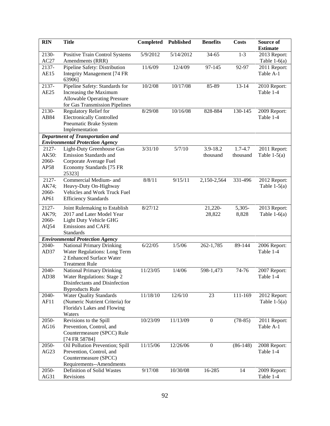| <b>RIN</b>                      | <b>Title</b>                                                                                                                          | <b>Completed</b> | <b>Published</b> | <b>Benefits</b>      | <b>Costs</b>        | Source of<br><b>Estimate</b>   |
|---------------------------------|---------------------------------------------------------------------------------------------------------------------------------------|------------------|------------------|----------------------|---------------------|--------------------------------|
| 2130-<br>AC27                   | Positive Train Control Systems<br>Amendments (RRR)                                                                                    | 5/9/2012         | 5/14/2012        | 34-65                | $1 - 3$             | 2013 Report:<br>Table $1-6(a)$ |
| 2137-<br><b>AE15</b>            | Pipeline Safety: Distribution<br><b>Integrity Management</b> [74 FR<br>63906]                                                         | 11/6/09          | 12/4/09          | 97-145               | 92-97               | 2011 Report:<br>Table A-1      |
| 2137-<br>AE25                   | Pipeline Safety: Standards for<br>Increasing the Maximum<br><b>Allowable Operating Pressure</b><br>for Gas Transmission Pipelines     | 10/2/08          | 10/17/08         | 85-89                | 13-14               | 2010 Report:<br>Table 1-4      |
| 2130-<br>AB84                   | Regulatory Relief for<br><b>Electronically Controlled</b><br>Pneumatic Brake System<br>Implementation                                 | 8/29/08          | 10/16/08         | 828-884              | 130-145             | 2009 Report:<br>Table 1-4      |
|                                 | <b>Department of Transportation and</b>                                                                                               |                  |                  |                      |                     |                                |
|                                 | <b>Environmental Protection Agency</b>                                                                                                |                  |                  |                      |                     |                                |
| 2127-<br>AK50:<br>2060-<br>AP58 | Light-Duty Greenhouse Gas<br>Emission Standards and<br>Corporate Average Fuel<br>Economy Standards [75 FR<br>25323]                   | 3/31/10          | 5/7/10           | 3.9-18.2<br>thousand | 1.7-4.7<br>thousand | 2011 Report:<br>Table $1-5(a)$ |
| 2127-<br>AK74;<br>2060-<br>AP61 | Commercial Medium- and<br>Heavy-Duty On-Highway<br>Vehicles and Work Truck Fuel<br><b>Efficiency Standards</b>                        | 8/8/11           | 9/15/11          | 2,150-2,564          | 331-496             | 2012 Report:<br>Table $1-5(a)$ |
| 2127-<br>AK79;<br>2060-<br>AQ54 | Joint Rulemaking to Establish<br>2017 and Later Model Year<br>Light Duty Vehicle GHG<br><b>Emissions and CAFE</b><br><b>Standards</b> | 8/27/12          |                  | 21,220-<br>28,822    | 5,305-<br>8,828     | 2013 Report:<br>Table $1-6(a)$ |
|                                 | <b>Environmental Protection Agency</b>                                                                                                |                  |                  |                      |                     |                                |
| 2040-<br>AD37                   | <b>National Primary Drinking</b><br>Water Regulations: Long Term<br>2 Enhanced Surface Water<br><b>Treatment Rule</b>                 | 6/22/05          | 1/5/06           | 262-1,785            | 89-144              | 2006 Report:<br>Table 1-4      |
| 2040-<br>AD <sub>38</sub>       | National Primary Drinking<br>Water Regulations: Stage 2<br>Disinfectants and Disinfection<br><b>Byproducts Rule</b>                   | 11/23/05         | 1/4/06           | 598-1,473            | 74-76               | 2007 Report:<br>Table 1-4      |
| 2040-<br>AF11                   | <b>Water Quality Standards</b><br>(Numeric Nutrient Criteria) for<br>Florida's Lakes and Flowing<br>Waters                            | 11/18/10         | 12/6/10          | 23                   | 111-169             | 2012 Report:<br>Table $1-5(a)$ |
| 2050-<br>AG16                   | Revisions to the Spill<br>Prevention, Control, and<br>Countermeasure (SPCC) Rule<br>[74 FR 58784]                                     | 10/23/09         | 11/13/09         | $\boldsymbol{0}$     | $(78-85)$           | 2011 Report:<br>Table A-1      |
| 2050-<br>AG23                   | Oil Pollution Prevention; Spill<br>Prevention, Control, and<br>Countermeasure (SPCC)<br>Requirements--Amendments                      | 11/15/06         | 12/26/06         | $\boldsymbol{0}$     | $(86-148)$          | 2008 Report:<br>Table 1-4      |
| 2050-<br>AG31                   | Definition of Solid Wastes<br>Revisions                                                                                               | 9/17/08          | 10/30/08         | 16-285               | 14                  | 2009 Report:<br>Table 1-4      |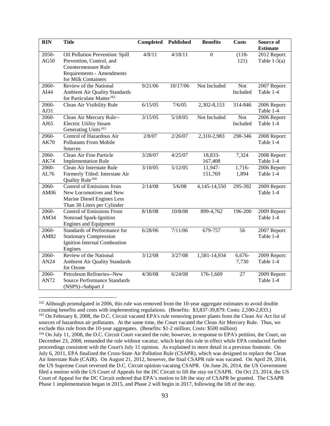| <b>RIN</b>                  | <b>Title</b>                                                                                                      | Completed | <b>Published</b> | <b>Benefits</b>    | <b>Costs</b>           | Source of<br><b>Estimate</b>   |
|-----------------------------|-------------------------------------------------------------------------------------------------------------------|-----------|------------------|--------------------|------------------------|--------------------------------|
| 2050-<br>AG50               | Oil Pollution Prevention: Spill<br>Prevention, Control, and<br>Countermeasure Rule                                | 4/8/11    | 4/18/11          | $\overline{0}$     | $(118 -$<br>121)       | 2012 Report:<br>Table $1-5(a)$ |
|                             | Requirements - Amendments<br>for Milk Containers                                                                  |           |                  |                    |                        |                                |
| 2060-<br>AI44               | Review of the National<br>Ambient Air Quality Standards<br>for Particulate Matter <sup>162</sup>                  | 9/21/06   | 10/17/06         | Not Included       | <b>Not</b><br>Included | 2007 Report:<br>Table 1-4      |
| 2060-<br>AJ31               | Clean Air Visibility Rule                                                                                         | 6/15/05   | 7/6/05           | 2,302-8,153        | 314-846                | 2006 Report:<br>Table 1-4      |
| 2060-<br>AJ65               | Clean Air Mercury Rule--<br><b>Electric Utility Steam</b><br>Generating Units <sup>163</sup>                      | 3/15/05   | 5/18/05          | Not Included       | <b>Not</b><br>Included | 2006 Report:<br>Table 1-4      |
| 2060-<br><b>AK70</b>        | Control of Hazardous Air<br><b>Pollutants From Mobile</b><br>Sources                                              | 2/8/07    | 2/26/07          | 2,310-2,983        | 298-346                | 2008 Report:<br>Table 1-4      |
| 2060-<br><b>AK74</b>        | Clean Air Fine Particle<br><b>Implementation Rule</b>                                                             | 3/28/07   | 4/25/07          | 18,833-<br>167,408 | 7,324                  | 2008 Report:<br>Table 1-4      |
| 2060-<br>AL76               | Clean Air Interstate Rule<br>Formerly Titled: Interstate Air<br>Quality Rule <sup>164</sup>                       | 3/10/05   | 5/12/05          | 11,947-<br>151,769 | 1,716-<br>1,894        | 2006 Report:<br>Table 1-4      |
| 2060-<br>AM06               | Control of Emissions from<br>New Locomotives and New<br>Marine Diesel Engines Less<br>Than 30 Liters per Cylinder | 2/14/08   | 5/6/08           | 4,145-14,550       | 295-392                | 2009 Report:<br>Table 1-4      |
| $\overline{2060}$ -<br>AM34 | <b>Control of Emissions From</b><br>Nonroad Spark-Ignition<br><b>Engines and Equipment</b>                        | 8/18/08   | 10/8/08          | 899-4,762          | 196-200                | 2009 Report:<br>Table 1-4      |
| 2060-<br>AM82               | Standards of Performance for<br><b>Stationary Compression</b><br>Ignition Internal Combustion<br>Engines          | 6/28/06   | 7/11/06          | 679-757            | 56                     | 2007 Report:<br>Table 1-4      |
| 2060-<br>AN24               | Review of the National<br>Ambient Air Quality Standards<br>for Ozone                                              | 3/12/08   | 3/27/08          | 1,581-14,934       | 6,676-<br>7,730        | 2009 Report:<br>Table 1-4      |
| 2060-<br><b>AN72</b>        | Petroleum Refineries--New<br><b>Source Performance Standards</b><br>(NSPS)--Subpart J                             | 4/30/08   | 6/24/08          | 176-1,669          | 27                     | 2009 Report:<br>Table 1-4      |

<span id="page-95-1"></span><span id="page-95-0"></span><sup>&</sup>lt;sup>162</sup> Although promulgated in 2006, this rule was removed from the 10-year aggregate estimates to avoid double counting benefits and costs with implementing regulations. (Benefits: \$3,837-39,879: Costs: 2,590-2,833.) <sup>163</sup> On February 8, 2008, the D.C. Circuit vacated EPA's rule removing power plants from the Clean Air Act list of sources of hazardous air pollutants. At the same time, the Court vacated the Clean Air Mercury Rule. Thus, we exclude this rule from the 10-year aggregates. (Benefits: \$1-2 million; Costs: \$500 million)

<span id="page-95-2"></span><sup>164</sup> On July 11, 2008, the D.C. Circuit Court vacated the rule; however, in response to EPA's petition, the Court, on December 23, 2008, remanded the rule without vacatur, which kept this rule in effect while EPA conducted further proceedings consistent with the Court's July 11 opinion. As explained in more detail in a previous footnote. On July 6, 2011, EPA finalized the Cross-State Air Pollution Rule (CSAPR), which was designed to replace the Clean Air Interstate Rule (CAIR). On August 21, 2012, however, the final CSAPR rule was vacated. On April 29, 2014, the US Supreme Court reversed the D.C. Circuit opinion vacating CSAPR. On June 26, 2014, the US Government filed a motion with the US Court of Appeals for the DC Circuit to lift the stay on CSAPR. On Oct 23, 2014, the US Court of Appeal for the DC Circuit ordered that EPA's motion to lift the stay of CSAPR be granted. The CSAPR Phase 1 implementation began in 2015, and Phase 2 will begin in 2017, following the lift of the stay.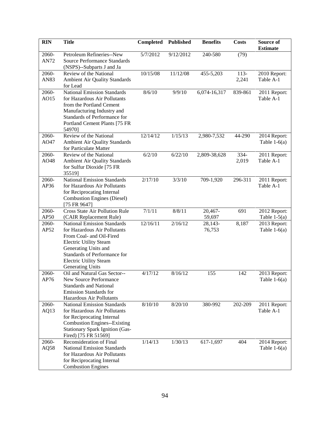| <b>RIN</b>    | <b>Title</b>                                                                                                                                                                                                                                        | Completed | <b>Published</b> | <b>Benefits</b>   | <b>Costs</b>    | Source of<br><b>Estimate</b>   |
|---------------|-----------------------------------------------------------------------------------------------------------------------------------------------------------------------------------------------------------------------------------------------------|-----------|------------------|-------------------|-----------------|--------------------------------|
| 2060-<br>AN72 | Petroleum Refineries--New<br><b>Source Performance Standards</b><br>(NSPS)--Subparts J and Ja                                                                                                                                                       | 5/7/2012  | 9/12/2012        | 240-580           | (79)            |                                |
| 2060-<br>AN83 | Review of the National<br><b>Ambient Air Quality Standards</b><br>for Lead                                                                                                                                                                          | 10/15/08  | 11/12/08         | 455-5,203         | $113-$<br>2,241 | 2010 Report:<br>Table A-1      |
| 2060-<br>AO15 | <b>National Emission Standards</b><br>for Hazardous Air Pollutants<br>from the Portland Cement<br>Manufacturing Industry and<br>Standards of Performance for<br>Portland Cement Plants [75 FR<br>54970]                                             | 8/6/10    | 9/9/10           | 6,074-16,317      | 839-861         | 2011 Report:<br>Table A-1      |
| 2060-<br>AO47 | Review of the National<br>Ambient Air Quality Standards<br>for Particulate Matter                                                                                                                                                                   | 12/14/12  | 1/15/13          | 2,980-7,532       | 44-290          | 2014 Report:<br>Table $1-6(a)$ |
| 2060-<br>AO48 | Review of the National<br>Ambient Air Quality Standards<br>for Sulfur Dioxide [75 FR<br>35519]                                                                                                                                                      | 6/2/10    | 6/22/10          | 2,809-38,628      | 334-<br>2,019   | 2011 Report:<br>Table A-1      |
| 2060-<br>AP36 | <b>National Emission Standards</b><br>for Hazardous Air Pollutants<br>for Reciprocating Internal<br><b>Combustion Engines (Diesel)</b><br>[75 FR 9647]                                                                                              | 2/17/10   | 3/3/10           | 709-1,920         | 296-311         | 2011 Report:<br>Table A-1      |
| 2060-<br>AP50 | Cross State Air Pollution Rule<br>(CAIR Replacement Rule)                                                                                                                                                                                           | 7/1/11    | 8/8/11           | 20,467-<br>59,697 | 691             | 2012 Report:<br>Table $1-5(a)$ |
| 2060-<br>AP52 | <b>National Emission Standards</b><br>for Hazardous Air Pollutants<br>From Coal- and Oil-Fired<br><b>Electric Utility Steam</b><br>Generating Units and<br>Standards of Performance for<br><b>Electric Utility Steam</b><br><b>Generating Units</b> | 12/16/11  | 2/16/12          | 28,143-<br>76,753 | 8,187           | 2013 Report:<br>Table $1-6(a)$ |
| 2060-<br>AP76 | Oil and Natural Gas Sector--<br>New Source Performance<br><b>Standards and National</b><br><b>Emission Standards for</b><br>Hazardous Air Pollutants                                                                                                | 4/17/12   | 8/16/12          | 155               | 142             | 2013 Report:<br>Table $1-6(a)$ |
| 2060-<br>AQ13 | <b>National Emission Standards</b><br>for Hazardous Air Pollutants<br>for Reciprocating Internal<br><b>Combustion Engines--Existing</b><br><b>Stationary Spark Ignition (Gas-</b><br>Fired) [75 FR 51569]                                           | 8/10/10   | 8/20/10          | 380-992           | 202-209         | 2011 Report:<br>Table A-1      |
| 2060-<br>AQ58 | Reconsideration of Final<br><b>National Emission Standards</b><br>for Hazardous Air Pollutants<br>for Reciprocating Internal<br><b>Combustion Engines</b>                                                                                           | 1/14/13   | 1/30/13          | $617 - 1,697$     | 404             | 2014 Report:<br>Table $1-6(a)$ |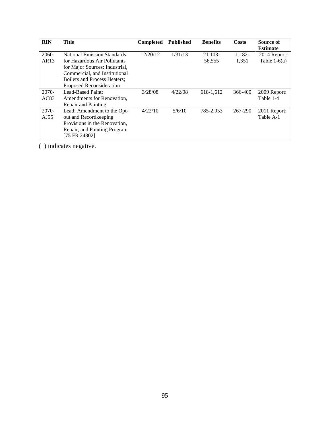| <b>RIN</b>        | Title                               | <b>Completed</b> | <b>Published</b> | <b>Benefits</b> | Costs   | Source of       |
|-------------------|-------------------------------------|------------------|------------------|-----------------|---------|-----------------|
|                   |                                     |                  |                  |                 |         | <b>Estimate</b> |
| 2060-             | <b>National Emission Standards</b>  | 12/20/12         | 1/31/13          | 21.103-         | 1,182-  | 2014 Report:    |
| AR13              | for Hazardous Air Pollutants        |                  |                  | 56,555          | 1,351   | Table $1-6(a)$  |
|                   | for Major Sources: Industrial,      |                  |                  |                 |         |                 |
|                   | Commercial, and Institutional       |                  |                  |                 |         |                 |
|                   | <b>Boilers and Process Heaters:</b> |                  |                  |                 |         |                 |
|                   | Proposed Reconsideration            |                  |                  |                 |         |                 |
| $2070-$           | Lead-Based Paint:                   | 3/28/08          | 4/22/08          | 618-1,612       | 366-400 | 2009 Report:    |
| AC83              | Amendments for Renovation,          |                  |                  |                 |         | Table 1-4       |
|                   | Repair and Painting                 |                  |                  |                 |         |                 |
| 2070-             | Lead; Amendment to the Opt-         | 4/22/10          | 5/6/10           | 785-2,953       | 267-290 | 2011 Report:    |
| A <sub>J</sub> 55 | out and Recordkeeping               |                  |                  |                 |         | Table A-1       |
|                   | Provisions in the Renovation,       |                  |                  |                 |         |                 |
|                   | Repair, and Painting Program        |                  |                  |                 |         |                 |
|                   | [75 FR 24802]                       |                  |                  |                 |         |                 |

( ) indicates negative.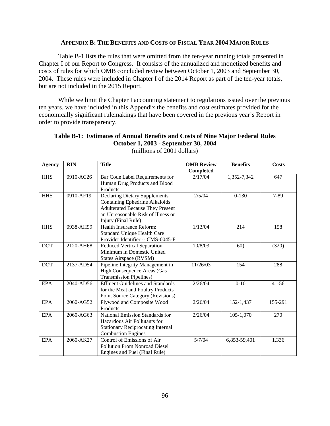### **APPENDIX B: THE BENEFITS AND COSTS OF FISCAL YEAR 2004 MAJOR RULES**

Table B-1 lists the rules that were omitted from the ten-year running totals presented in Chapter I of our Report to Congress. It consists of the annualized and monetized benefits and costs of rules for which OMB concluded review between October 1, 2003 and September 30, 2004. These rules were included in Chapter I of the 2014 Report as part of the ten-year totals, but are not included in the 2015 Report.

While we limit the Chapter I accounting statement to regulations issued over the previous ten years, we have included in this Appendix the benefits and cost estimates provided for the economically significant rulemakings that have been covered in the previous year's Report in order to provide transparency.

# **Table B-1: Estimates of Annual Benefits and Costs of Nine Major Federal Rules October 1, 2003 - September 30, 2004**

| <b>Agency</b> | <b>RIN</b> | <b>Title</b>                             | <b>OMB</b> Review | <b>Benefits</b> | <b>Costs</b> |
|---------------|------------|------------------------------------------|-------------------|-----------------|--------------|
|               |            |                                          | <b>Completed</b>  |                 |              |
| <b>HHS</b>    | 0910-AC26  | Bar Code Label Requirements for          | 2/17/04           | 1,352-7,342     | 647          |
|               |            | Human Drug Products and Blood            |                   |                 |              |
|               |            | Products                                 |                   |                 |              |
| <b>HHS</b>    | 0910-AF19  | Declaring Dietary Supplements            | 2/5/04            | $0-130$         | 7-89         |
|               |            | <b>Containing Ephedrine Alkaloids</b>    |                   |                 |              |
|               |            | <b>Adulterated Because They Present</b>  |                   |                 |              |
|               |            | an Unreasonable Risk of Illness or       |                   |                 |              |
|               |            | Injury (Final Rule)                      |                   |                 |              |
| <b>HHS</b>    | 0938-AH99  | Health Insurance Reform:                 | 1/13/04           | 214             | 158          |
|               |            | Standard Unique Health Care              |                   |                 |              |
|               |            | Provider Identifier -- CMS-0045-F        |                   |                 |              |
| <b>DOT</b>    | 2120-AH68  | Reduced Vertical Separation              | 10/8/03           | 60)             | (320)        |
|               |            | Minimum in Domestic United               |                   |                 |              |
|               |            | States Airspace (RVSM)                   |                   |                 |              |
| <b>DOT</b>    | 2137-AD54  | Pipeline Integrity Management in         | 11/26/03          | 154             | 288          |
|               |            | High Consequence Areas (Gas              |                   |                 |              |
|               |            | <b>Transmission Pipelines</b> )          |                   |                 |              |
| <b>EPA</b>    | 2040-AD56  | <b>Effluent Guidelines and Standards</b> | 2/26/04           | $0-10$          | $41 - 56$    |
|               |            | for the Meat and Poultry Products        |                   |                 |              |
|               |            | Point Source Category (Revisions)        |                   |                 |              |
| <b>EPA</b>    | 2060-AG52  | Plywood and Composite Wood               | 2/26/04           | 152-1,437       | 155-291      |
|               |            | Products                                 |                   |                 |              |
| <b>EPA</b>    | 2060-AG63  | <b>National Emission Standards for</b>   | 2/26/04           | $105 - 1,070$   | 270          |
|               |            | Hazardous Air Pollutants for             |                   |                 |              |
|               |            | <b>Stationary Reciprocating Internal</b> |                   |                 |              |
|               |            | <b>Combustion Engines</b>                |                   |                 |              |
| <b>EPA</b>    | 2060-AK27  | Control of Emissions of Air              | 5/7/04            | 6,853-59,401    | 1,336        |
|               |            | <b>Pollution From Nonroad Diesel</b>     |                   |                 |              |
|               |            | Engines and Fuel (Final Rule)            |                   |                 |              |

(millions of 2001 dollars)

┑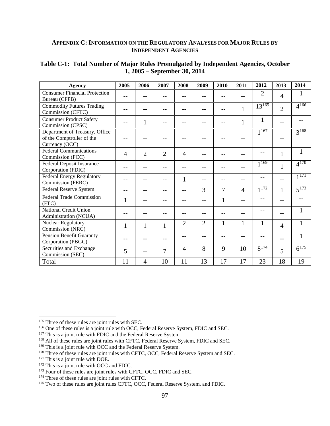## **APPENDIX C: INFORMATION ON THE REGULATORY ANALYSES FOR MAJOR RULES BY INDEPENDENT AGENCIES**

|                                                                               |                |                |                |                |                |                |              | 2012           |                | 2014                 |
|-------------------------------------------------------------------------------|----------------|----------------|----------------|----------------|----------------|----------------|--------------|----------------|----------------|----------------------|
| Agency                                                                        | 2005           | 2006           | 2007           | 2008           | 2009           | 2010           | 2011         |                | 2013           |                      |
| <b>Consumer Financial Protection</b><br>Bureau (CFPB)                         |                | --             |                |                |                |                |              | $\overline{2}$ | $\overline{4}$ | 1                    |
| <b>Commodity Futures Trading</b><br>Commission (CFTC)                         |                |                |                |                |                |                | $\mathbf{1}$ | $13^{165}$     | $\overline{2}$ | $4^{166}$            |
| <b>Consumer Product Safety</b><br>Commission (CPSC)                           |                | $\mathbf{1}$   |                |                |                |                | $\mathbf{1}$ | $\mathbf{1}$   | --             |                      |
| Department of Treasury, Office<br>of the Comptroller of the<br>Currency (OCC) |                |                |                |                |                |                |              | $1^{167}$      |                | $3^{168}$            |
| <b>Federal Communications</b><br>Commission (FCC)                             | $\overline{4}$ | $\overline{2}$ | $\overline{2}$ | $\overline{4}$ |                |                |              | --             | $\mathbf{1}$   | $\mathbf{1}$         |
| <b>Federal Deposit Insurance</b><br>Corporation (FDIC)                        |                |                |                |                |                |                | --           | $1^{169}$      | $\mathbf{1}$   | $4^{170}$            |
| <b>Federal Energy Regulatory</b><br>Commission (FERC)                         |                |                |                | $\mathbf{1}$   |                |                |              |                | $-$            | $1^{171}$            |
| Federal Reserve System                                                        |                | --             |                | --             | 3              | $\overline{7}$ | 4            | $1^{172}$      | 1              | $5^{\overline{173}}$ |
| <b>Federal Trade Commission</b><br>(FTC)                                      | 1              |                |                |                |                | 1              |              |                |                |                      |
| National Credit Union<br>Administration (NCUA)                                |                |                |                |                |                |                |              |                |                |                      |
| <b>Nuclear Regulatory</b><br>Commission (NRC)                                 | 1              | $\mathbf{1}$   | $\mathbf{1}$   | $\overline{2}$ | $\overline{2}$ | 1              | $\mathbf{1}$ | $\mathbf{1}$   | $\overline{4}$ | 1                    |
| <b>Pension Benefit Guaranty</b><br>Corporation (PBGC)                         |                |                |                |                |                |                |              |                | --             |                      |
| Securities and Exchange<br>Commission (SEC)                                   | 5              |                | 7              | $\overline{4}$ | 8              | 9              | 10           | $8^{174}$      | 5              | $6^{175}$            |
| Total                                                                         | 11             | 4              | 10             | 11             | 13             | 17             | 17           | 23             | 18             | 19                   |

## **Table C-1: Total Number of Major Rules Promulgated by Independent Agencies, October 1, 2005 – September 30, 2014**

<span id="page-99-0"></span><sup>&</sup>lt;sup>165</sup> Three of these rules are joint rules with SEC.

<span id="page-99-1"></span><sup>&</sup>lt;sup>166</sup> One of these rules is a joint rule with OCC, Federal Reserve System, FDIC and SEC.

<span id="page-99-2"></span><sup>&</sup>lt;sup>167</sup> This is a joint rule with FDIC and the Federal Reserve System.

<span id="page-99-3"></span><sup>&</sup>lt;sup>168</sup> All of these rules are joint rules with CFTC, Federal Reserve System, FDIC and SEC.

<span id="page-99-4"></span><sup>&</sup>lt;sup>169</sup> This is a joint rule with OCC and the Federal Reserve System.

<span id="page-99-5"></span><sup>&</sup>lt;sup>170</sup> Three of these rules are joint rules with CFTC, OCC, Federal Reserve System and SEC.

<span id="page-99-6"></span><sup>&</sup>lt;sup>171</sup> This is a joint rule with DOE.

<span id="page-99-7"></span><sup>&</sup>lt;sup>172</sup> This is a joint rule with OCC and FDIC.

<sup>&</sup>lt;sup>173</sup> Four of these rules are joint rules with CFTC, OCC, FDIC and SEC.

<span id="page-99-9"></span><span id="page-99-8"></span><sup>&</sup>lt;sup>174</sup> Three of these rules are joint rules with CFTC.

<span id="page-99-10"></span><sup>175</sup> Two of these rules are joint rules CFTC, OCC, Federal Reserve System, and FDIC.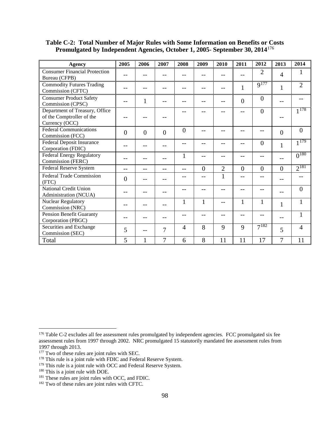# **Table C-2: Total Number of Major Rules with Some Information on Benefits or Costs Promulgated by Independent Agencies, October 1, 2005- September 30, 2014**[176](#page-100-0)

| <b>Agency</b>                                                                 | 2005     | 2006     | 2007           | 2008           | 2009           | 2010           | 2011           | 2012           | 2013              | 2014           |
|-------------------------------------------------------------------------------|----------|----------|----------------|----------------|----------------|----------------|----------------|----------------|-------------------|----------------|
| <b>Consumer Financial Protection</b><br>Bureau (CFPB)                         |          |          |                |                |                |                |                | $\overline{2}$ | $\overline{4}$    |                |
| <b>Commodity Futures Trading</b><br>Commission (CFTC)                         |          | --       |                |                | --             |                |                | $9^{177}$      | $\mathbf{1}$      | $\overline{2}$ |
| <b>Consumer Product Safety</b><br>Commission (CPSC)                           |          | 1        |                |                | --             |                | $\overline{0}$ | $\theta$       |                   |                |
| Department of Treasury, Office<br>of the Comptroller of the<br>Currency (OCC) |          |          |                |                |                |                |                | $\theta$       |                   | $1^{178}$      |
| <b>Federal Communications</b><br>Commission (FCC)                             | $\theta$ | $\theta$ | $\overline{0}$ | $\overline{0}$ | --             |                |                | --             | $\overline{0}$    | $\theta$       |
| Federal Deposit Insurance<br>Corporation (FDIC)                               |          | --       |                |                | --             |                |                | $\overline{0}$ | 1                 | $1^{179}$      |
| <b>Federal Energy Regulatory</b><br>Commission (FERC)                         |          |          |                |                | --             |                |                | --             |                   | $0^{180}$      |
| Federal Reserve System                                                        |          | --       |                |                | $\overline{0}$ | $\overline{2}$ | $\overline{0}$ | $\overline{0}$ | $\overline{0}$    | $2^{181}$      |
| Federal Trade Commission<br>(FTC)                                             | $\Omega$ |          |                |                | $-$            | $\mathbf{1}$   |                | --             |                   |                |
| National Credit Union<br>Administration (NCUA)                                |          |          |                |                |                |                |                | --             |                   | $\theta$       |
| <b>Nuclear Regulatory</b><br>Commission (NRC)                                 |          |          |                | 1              | $\mathbf{1}$   | $-$            | 1              | $\mathbf{1}$   | 1                 |                |
| Pension Benefit Guaranty<br>Corporation (PBGC)                                |          |          |                |                | --             |                |                | --             | $\qquad \qquad -$ | 1              |
| Securities and Exchange<br>Commission (SEC)                                   | 5        | --       | $\overline{7}$ | 4              | 8              | 9              | 9              | $7^{182}$      | 5                 | 4              |
| Total                                                                         | 5        | 1        | $\overline{7}$ | 6              | 8              | 11             | 11             | 17             | 7                 | 11             |

 $\overline{a}$ 

<span id="page-100-0"></span><sup>&</sup>lt;sup>176</sup> Table C-2 excludes all fee assessment rules promulgated by independent agencies. FCC promulgated six fee assessment rules from 1997 through 2002. NRC promulgated 15 statutorily mandated fee assessment rules from 1997 through 2013.

<span id="page-100-1"></span> $1797$  through 2013. 177 Two of these rules are joint rules with SEC.

<span id="page-100-2"></span><sup>&</sup>lt;sup>178</sup> This rule is a joint rule with FDIC and Federal Reserve System.

<span id="page-100-3"></span><sup>&</sup>lt;sup>179</sup> This rule is a joint rule with OCC and Federal Reserve System.

<sup>&</sup>lt;sup>180</sup> This is a joint rule with DOE.

<span id="page-100-5"></span><span id="page-100-4"></span> $181$  These rules are joint rules with OCC, and FDIC.

<span id="page-100-6"></span><sup>&</sup>lt;sup>182</sup> Two of these rules are joint rules with CFTC.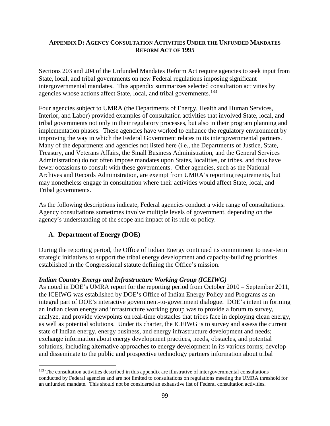## **APPENDIX D: AGENCY CONSULTATION ACTIVITIES UNDER THE UNFUNDED MANDATES REFORM ACT OF 1995**

Sections 203 and 204 of the Unfunded Mandates Reform Act require agencies to seek input from State, local, and tribal governments on new Federal regulations imposing significant intergovernmental mandates. This appendix summarizes selected consultation activities by agencies whose actions affect State, local, and tribal governments.<sup>183</sup>

Four agencies subject to UMRA (the Departments of Energy, Health and Human Services, Interior, and Labor) provided examples of consultation activities that involved State, local, and tribal governments not only in their regulatory processes, but also in their program planning and implementation phases. These agencies have worked to enhance the regulatory environment by improving the way in which the Federal Government relates to its intergovernmental partners. Many of the departments and agencies not listed here (i.e., the Departments of Justice, State, Treasury, and Veterans Affairs, the Small Business Administration, and the General Services Administration) do not often impose mandates upon States, localities, or tribes, and thus have fewer occasions to consult with these governments. Other agencies, such as the National Archives and Records Administration, are exempt from UMRA's reporting requirements, but may nonetheless engage in consultation where their activities would affect State, local, and Tribal governments.

As the following descriptions indicate, Federal agencies conduct a wide range of consultations. Agency consultations sometimes involve multiple levels of government, depending on the agency's understanding of the scope and impact of its rule or policy.

# **A. Department of Energy (DOE)**

During the reporting period, the Office of Indian Energy continued its commitment to near-term strategic initiatives to support the tribal energy development and capacity-building priorities established in the Congressional statute defining the Office's mission.

## *Indian Country Energy and Infrastructure Working Group (ICEIWG)*

As noted in DOE's UMRA report for the reporting period from October 2010 – September 2011, the ICEIWG was established by DOE's Office of Indian Energy Policy and Programs as an integral part of DOE's interactive government-to-government dialogue. DOE's intent in forming an Indian clean energy and infrastructure working group was to provide a forum to survey, analyze, and provide viewpoints on real-time obstacles that tribes face in deploying clean energy, as well as potential solutions. Under its charter, the ICEIWG is to survey and assess the current state of Indian energy, energy business, and energy infrastructure development and needs; exchange information about energy development practices, needs, obstacles, and potential solutions, including alternative approaches to energy development in its various forms; develop and disseminate to the public and prospective technology partners information about tribal

<span id="page-101-0"></span><sup>&</sup>lt;sup>183</sup> The consultation activities described in this appendix are illustrative of intergovernmental consultations conducted by Federal agencies and are not limited to consultations on regulations meeting the UMRA threshold for an unfunded mandate. This should not be considered an exhaustive list of Federal consultation activities.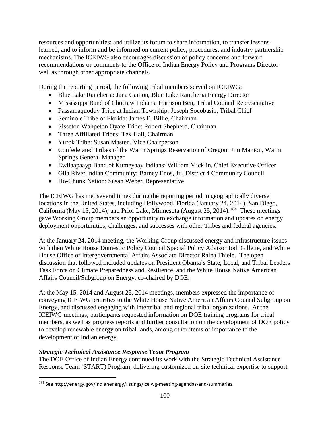resources and opportunities; and utilize its forum to share information, to transfer lessonslearned, and to inform and be informed on current policy, procedures, and industry partnership mechanisms. The ICEIWG also encourages discussion of policy concerns and forward recommendations or comments to the Office of Indian Energy Policy and Programs Director well as through other appropriate channels.

During the reporting period, the following tribal members served on ICEIWG:

- Blue Lake Rancheria: Jana Ganion, Blue Lake Rancheria Energy Director
- Mississippi Band of Choctaw Indians: Harrison Ben, Tribal Council Representative
- Passamaquoddy Tribe at Indian Township: Joseph Socobasin, Tribal Chief
- Seminole Tribe of Florida: James E. Billie, Chairman
- Sisseton Wahpeton Oyate Tribe: Robert Shepherd, Chairman
- Three Affiliated Tribes: Tex Hall, Chairman
- Yurok Tribe: Susan Masten, Vice Chairperson
- Confederated Tribes of the Warm Springs Reservation of Oregon: Jim Manion, Warm Springs General Manager
- Ewiiaapaayp Band of Kumeyaay Indians: William Micklin, Chief Executive Officer
- Gila River Indian Community: Barney Enos, Jr., District 4 Community Council
- Ho-Chunk Nation: Susan Weber, Representative

The ICEIWG has met several times during the reporting period in geographically diverse locations in the United States, including Hollywood, Florida (January 24, 2014); San Diego, California (May 15, 2014); and Prior Lake, Minnesota (August 25, 2014).<sup>[184](#page-102-0)</sup> These meetings gave Working Group members an opportunity to exchange information and updates on energy deployment opportunities, challenges, and successes with other Tribes and federal agencies.

At the January 24, 2014 meeting, the Working Group discussed energy and infrastructure issues with then White House Domestic Policy Council Special Policy Advisor Jodi Gillette, and White House Office of Intergovernmental Affairs Associate Director Raina Thiele. The open discussion that followed included updates on President Obama's State, Local, and Tribal Leaders Task Force on Climate Preparedness and Resilience, and the White House Native American Affairs Council/Subgroup on Energy, co-chaired by DOE.

At the May 15, 2014 and August 25, 2014 meetings, members expressed the importance of conveying ICEIWG priorities to the White House Native American Affairs Council Subgroup on Energy, and discussed engaging with intertribal and regional tribal organizations. At the ICEIWG meetings, participants requested information on DOE training programs for tribal members, as well as progress reports and further consultation on the development of DOE policy to develop renewable energy on tribal lands, among other items of importance to the development of Indian energy.

# *Strategic Technical Assistance Response Team Program*

The DOE Office of Indian Energy continued its work with the Strategic Technical Assistance Response Team (START) Program, delivering customized on-site technical expertise to support

<span id="page-102-0"></span> <sup>184</sup> See http://energy.gov/indianenergy/listings/iceiwg-meeting-agendas-and-summaries.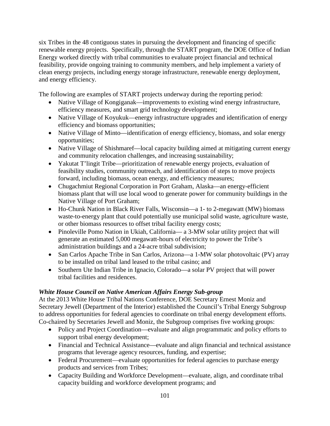six Tribes in the 48 contiguous states in pursuing the development and financing of specific renewable energy projects. Specifically, through the START program, the DOE Office of Indian Energy worked directly with tribal communities to evaluate project financial and technical feasibility, provide ongoing training to community members, and help implement a variety of clean energy projects, including energy storage infrastructure, renewable energy deployment, and energy efficiency.

The following are examples of START projects underway during the reporting period:

- Native Village of Kongiganak—improvements to existing wind energy infrastructure, efficiency measures, and smart grid technology development;
- Native Village of Koyukuk—energy infrastructure upgrades and identification of energy efficiency and biomass opportunities;
- Native Village of Minto—identification of energy efficiency, biomass, and solar energy opportunities;
- Native Village of Shishmaref—local capacity building aimed at mitigating current energy and community relocation challenges, and increasing sustainability;
- Yakutat T'lingit Tribe—prioritization of renewable energy projects, evaluation of feasibility studies, community outreach, and identification of steps to move projects forward, including biomass, ocean energy, and efficiency measures;
- Chugachmiut Regional Corporation in Port Graham, Alaska—an energy-efficient biomass plant that will use local wood to generate power for community buildings in the Native Village of Port Graham;
- Ho-Chunk Nation in Black River Falls, Wisconsin—a 1- to 2-megawatt (MW) biomass waste-to-energy plant that could potentially use municipal solid waste, agriculture waste, or other biomass resources to offset tribal facility energy costs;
- Pinoleville Pomo Nation in Ukiah, California— a 3-MW solar utility project that will generate an estimated 5,000 megawatt-hours of electricity to power the Tribe's administration buildings and a 24-acre tribal subdivision;
- San Carlos Apache Tribe in San Carlos, Arizona—a 1-MW solar photovoltaic (PV) array to be installed on tribal land leased to the tribal casino; and
- Southern Ute Indian Tribe in Ignacio, Colorado—a solar PV project that will power tribal facilities and residences.

# *White House Council on Native American Affairs Energy Sub-group*

At the 2013 White House Tribal Nations Conference, DOE Secretary Ernest Moniz and Secretary Jewell (Department of the Interior) established the Council's Tribal Energy Subgroup to address opportunities for federal agencies to coordinate on tribal energy development efforts. Co-chaired by Secretaries Jewell and Moniz, the Subgroup comprises five working groups:

- Policy and Project Coordination—evaluate and align programmatic and policy efforts to support tribal energy development;
- Financial and Technical Assistance—evaluate and align financial and technical assistance programs that leverage agency resources, funding, and expertise;
- Federal Procurement—evaluate opportunities for federal agencies to purchase energy products and services from Tribes;
- Capacity Building and Workforce Development—evaluate, align, and coordinate tribal capacity building and workforce development programs; and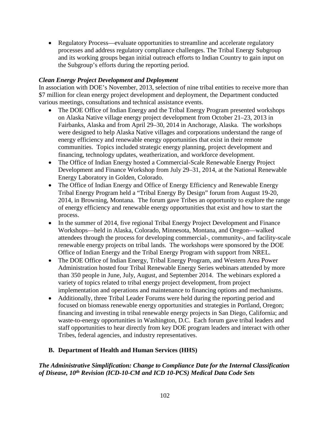• Regulatory Process—evaluate opportunities to streamline and accelerate regulatory processes and address regulatory compliance challenges. The Tribal Energy Subgroup and its working groups began initial outreach efforts to Indian Country to gain input on the Subgroup's efforts during the reporting period.

# *Clean Energy Project Development and Deployment*

In association with DOE's November, 2013, selection of nine tribal entities to receive more than \$7 million for clean energy project development and deployment, the Department conducted various meetings, consultations and technical assistance events.

- The DOE Office of Indian Energy and the Tribal Energy Program presented workshops on Alaska Native village energy project development from October 21–23, 2013 in Fairbanks, Alaska and from April 29–30, 2014 in Anchorage, Alaska. The workshops were designed to help Alaska Native villages and corporations understand the range of energy efficiency and renewable energy opportunities that exist in their remote communities. Topics included strategic energy planning, project development and financing, technology updates, weatherization, and workforce development.
- The Office of Indian Energy hosted a Commercial-Scale Renewable Energy Project Development and Finance Workshop from July 29–31, 2014, at the National Renewable Energy Laboratory in Golden, Colorado.
- The Office of Indian Energy and Office of Energy Efficiency and Renewable Energy Tribal Energy Program held a "Tribal Energy By Design" forum from August 19-20, 2014, in Browning, Montana. The forum gave Tribes an opportunity to explore the range of energy efficiency and renewable energy opportunities that exist and how to start the process.
- In the summer of 2014, five regional Tribal Energy Project Development and Finance Workshops—held in Alaska, Colorado, Minnesota, Montana, and Oregon—walked attendees through the process for developing commercial-, community-, and facility-scale renewable energy projects on tribal lands. The workshops were sponsored by the DOE Office of Indian Energy and the Tribal Energy Program with support from NREL.
- The DOE Office of Indian Energy, Tribal Energy Program, and Western Area Power Administration hosted four Tribal Renewable Energy Series webinars attended by more than 350 people in June, July, August, and September 2014. The webinars explored a variety of topics related to tribal energy project development, from project implementation and operations and maintenance to financing options and mechanisms.
- Additionally, three Tribal Leader Forums were held during the reporting period and focused on biomass renewable energy opportunities and strategies in Portland, Oregon; financing and investing in tribal renewable energy projects in San Diego, California; and waste-to-energy opportunities in Washington, D.C. Each forum gave tribal leaders and staff opportunities to hear directly from key DOE program leaders and interact with other Tribes, federal agencies, and industry representatives.

# **B. Department of Health and Human Services (HHS)**

# *The Administrative Simplification: Change to Compliance Date for the Internal Classification of Disease, 10th Revision (ICD-10-CM and ICD 10-PCS) Medical Data Code Sets*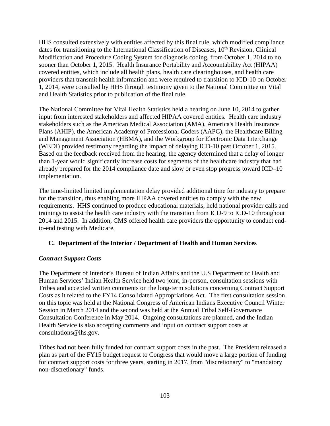HHS consulted extensively with entities affected by this final rule, which modified compliance dates for transitioning to the International Classification of Diseases,  $10<sup>th</sup>$  Revision, Clinical Modification and Procedure Coding System for diagnosis coding, from October 1, 2014 to no sooner than October 1, 2015. Health Insurance Portability and Accountability Act (HIPAA) covered entities, which include all health plans, health care clearinghouses, and health care providers that transmit health information and were required to transition to ICD-10 on October 1, 2014, were consulted by HHS through testimony given to the National Committee on Vital and Health Statistics prior to publication of the final rule.

The National Committee for Vital Health Statistics held a hearing on June 10, 2014 to gather input from interested stakeholders and affected HIPAA covered entities. Health care industry stakeholders such as the American Medical Association (AMA), America's Health Insurance Plans (AHIP), the American Academy of Professional Coders (AAPC), the Healthcare Billing and Management Association (HBMA), and the Workgroup for Electronic Data Interchange (WEDI) provided testimony regarding the impact of delaying ICD-10 past October 1, 2015. Based on the feedback received from the hearing, the agency determined that a delay of longer than 1-year would significantly increase costs for segments of the healthcare industry that had already prepared for the 2014 compliance date and slow or even stop progress toward ICD–10 implementation.

The time-limited limited implementation delay provided additional time for industry to prepare for the transition, thus enabling more HIPAA covered entities to comply with the new requirements. HHS continued to produce educational materials, held national provider calls and trainings to assist the health care industry with the transition from ICD-9 to ICD-10 throughout 2014 and 2015. In addition, CMS offered health care providers the opportunity to conduct endto-end testing with Medicare.

# **C. Department of the Interior / Department of Health and Human Services**

# *Contract Support Costs*

The Department of Interior's Bureau of Indian Affairs and the U.S Department of Health and Human Services' Indian Health Service held two joint, in-person, consultation sessions with Tribes and accepted written comments on the long-term solutions concerning Contract Support Costs as it related to the FY14 Consolidated Appropriations Act. The first consultation session on this topic was held at the National Congress of American Indians Executive Council Winter Session in March 2014 and the second was held at the Annual Tribal Self-Governance Consultation Conference in May 2014. Ongoing consultations are planned, and the Indian Health Service is also accepting comments and input on contract support costs at consultations@ihs.gov.

Tribes had not been fully funded for contract support costs in the past. The President released a plan as part of the FY15 budget request to Congress that would move a large portion of funding for contract support costs for three years, starting in 2017, from "discretionary" to "mandatory non-discretionary" funds.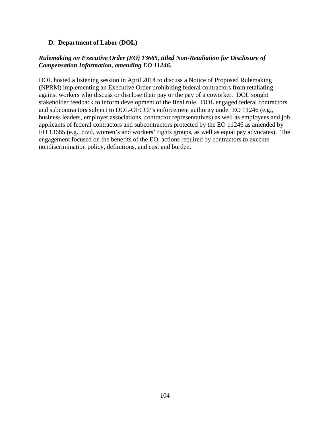## **D. Department of Labor (DOL)**

# *Rulemaking on Executive Order (EO) 13665, titled Non-Retaliation for Disclosure of Compensation Information, amending EO 11246.*

DOL hosted a listening session in April 2014 to discuss a Notice of Proposed Rulemaking (NPRM) implementing an Executive Order prohibiting federal contractors from retaliating against workers who discuss or disclose their pay or the pay of a coworker. DOL sought stakeholder feedback to inform development of the final rule. DOL engaged federal contractors and subcontractors subject to DOL-OFCCP's enforcement authority under EO 11246 (e.g., business leaders, employer associations, contractor representatives) as well as employees and job applicants of federal contractors and subcontractors protected by the EO 11246 as amended by EO 13665 (e.g., civil, women's and workers' rights groups, as well as equal pay advocates). The engagement focused on the benefits of the EO, actions required by contractors to execute nondiscrimination policy, definitions, and cost and burden.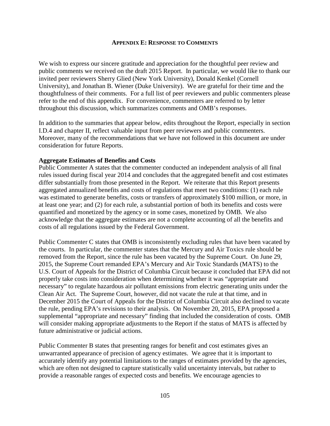## **APPENDIX E: RESPONSE TO COMMENTS**

We wish to express our sincere gratitude and appreciation for the thoughtful peer review and public comments we received on the draft 2015 Report. In particular, we would like to thank our invited peer reviewers Sherry Glied (New York University), Donald Kenkel (Cornell University), and Jonathan B. Wiener (Duke University). We are grateful for their time and the thoughtfulness of their comments. For a full list of peer reviewers and public commenters please refer to the end of this appendix. For convenience, commenters are referred to by letter throughout this discussion, which summarizes comments and OMB's responses.

In addition to the summaries that appear below, edits throughout the Report, especially in section I.D.4 and chapter II, reflect valuable input from peer reviewers and public commenters. Moreover, many of the recommendations that we have not followed in this document are under consideration for future Reports.

## **Aggregate Estimates of Benefits and Costs**

Public Commenter A states that the commenter conducted an independent analysis of all final rules issued during fiscal year 2014 and concludes that the aggregated benefit and cost estimates differ substantially from those presented in the Report. We reiterate that this Report presents aggregated annualized benefits and costs of regulations that meet two conditions: (1) each rule was estimated to generate benefits, costs or transfers of approximately \$100 million, or more, in at least one year; and (2) for each rule, a substantial portion of both its benefits and costs were quantified and monetized by the agency or in some cases, monetized by OMB. We also acknowledge that the aggregate estimates are not a complete accounting of all the benefits and costs of all regulations issued by the Federal Government.

Public Commenter C states that OMB is inconsistently excluding rules that have been vacated by the courts. In particular, the commenter states that the Mercury and Air Toxics rule should be removed from the Report, since the rule has been vacated by the Supreme Court. On June 29, 2015, the Supreme Court remanded EPA's Mercury and Air Toxic Standards (MATS) to the U.S. Court of Appeals for the District of Columbia Circuit because it concluded that EPA did not properly take costs into consideration when determining whether it was "appropriate and necessary" to regulate hazardous air pollutant emissions from electric generating units under the Clean Air Act. The Supreme Court, however, did not vacate the rule at that time, and in December 2015 the Court of Appeals for the District of Columbia Circuit also declined to vacate the rule, pending EPA's revisions to their analysis. On November 20, 2015, EPA proposed a supplemental "appropriate and necessary" finding that included the consideration of costs. OMB will consider making appropriate adjustments to the Report if the status of MATS is affected by future administrative or judicial actions.

Public Commenter B states that presenting ranges for benefit and cost estimates gives an unwarranted appearance of precision of agency estimates. We agree that it is important to accurately identify any potential limitations to the ranges of estimates provided by the agencies, which are often not designed to capture statistically valid uncertainty intervals, but rather to provide a reasonable ranges of expected costs and benefits. We encourage agencies to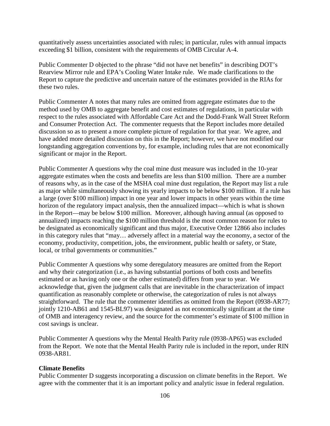quantitatively assess uncertainties associated with rules; in particular, rules with annual impacts exceeding \$1 billion, consistent with the requirements of OMB Circular A-4.

Public Commenter D objected to the phrase "did not have net benefits" in describing DOT's Rearview Mirror rule and EPA's Cooling Water Intake rule. We made clarifications to the Report to capture the predictive and uncertain nature of the estimates provided in the RIAs for these two rules.

Public Commenter A notes that many rules are omitted from aggregate estimates due to the method used by OMB to aggregate benefit and cost estimates of regulations, in particular with respect to the rules associated with Affordable Care Act and the Dodd-Frank Wall Street Reform and Consumer Protection Act. The commenter requests that the Report includes more detailed discussion so as to present a more complete picture of regulation for that year. We agree, and have added more detailed discussion on this in the Report; however, we have not modified our longstanding aggregation conventions by, for example, including rules that are not economically significant or major in the Report.

Public Commenter A questions why the coal mine dust measure was included in the 10-year aggregate estimates when the costs and benefits are less than \$100 million. There are a number of reasons why, as in the case of the MSHA coal mine dust regulation, the Report may list a rule as major while simultaneously showing its yearly impacts to be below \$100 million. If a rule has a large (over \$100 million) impact in one year and lower impacts in other years within the time horizon of the regulatory impact analysis, then the annualized impact—which is what is shown in the Report—may be below \$100 million. Moreover, although having annual (as opposed to annualized) impacts reaching the \$100 million threshold is the most common reason for rules to be designated as economically significant and thus major, Executive Order 12866 also includes in this category rules that "may… adversely affect in a material way the economy, a sector of the economy, productivity, competition, jobs, the environment, public health or safety, or State, local, or tribal governments or communities."

Public Commenter A questions why some deregulatory measures are omitted from the Report and why their categorization (i.e., as having substantial portions of both costs and benefits estimated or as having only one or the other estimated) differs from year to year. We acknowledge that, given the judgment calls that are inevitable in the characterization of impact quantification as reasonably complete or otherwise, the categorization of rules is not always straightforward. The rule that the commenter identifies as omitted from the Report (0938-AR77; jointly 1210-AB61 and 1545-BL97) was designated as not economically significant at the time of OMB and interagency review, and the source for the commenter's estimate of \$100 million in cost savings is unclear.

Public Commenter A questions why the Mental Health Parity rule (0938-AP65) was excluded from the Report. We note that the Mental Health Parity rule is included in the report, under RIN 0938-AR81.

#### **Climate Benefits**

Public Commenter D suggests incorporating a discussion on climate benefits in the Report. We agree with the commenter that it is an important policy and analytic issue in federal regulation.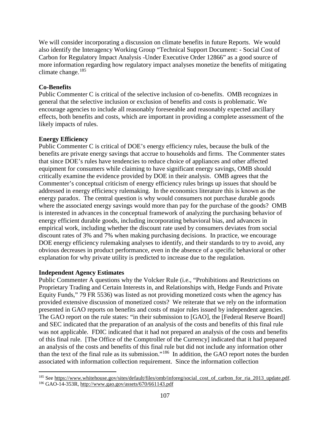We will consider incorporating a discussion on climate benefits in future Reports. We would also identify the Interagency Working Group "Technical Support Document: - Social Cost of Carbon for Regulatory Impact Analysis -Under Executive Order 12866" as a good source of more information regarding how regulatory impact analyses monetize the benefits of mitigating climate change. $185$ 

# **Co-Benefits**

Public Commenter C is critical of the selective inclusion of co-benefits. OMB recognizes in general that the selective inclusion or exclusion of benefits and costs is problematic. We encourage agencies to include all reasonably foreseeable and reasonably expected ancillary effects, both benefits and costs, which are important in providing a complete assessment of the likely impacts of rules.

# **Energy Efficiency**

Public Commenter C is critical of DOE's energy efficiency rules, because the bulk of the benefits are private energy savings that accrue to households and firms. The Commenter states that since DOE's rules have tendencies to reduce choice of appliances and other affected equipment for consumers while claiming to have significant energy savings, OMB should critically examine the evidence provided by DOE in their analysis. OMB agrees that the Commenter's conceptual criticism of energy efficiency rules brings up issues that should be addressed in energy efficiency rulemaking. In the economics literature this is known as the energy paradox. The central question is why would consumers not purchase durable goods where the associated energy savings would more than pay for the purchase of the goods? OMB is interested in advances in the conceptual framework of analyzing the purchasing behavior of energy efficient durable goods, including incorporating behavioral bias, and advances in empirical work, including whether the discount rate used by consumers deviates from social discount rates of 3% and 7% when making purchasing decisions. In practice, we encourage DOE energy efficiency rulemaking analyses to identify, and their standards to try to avoid, any obvious decreases in product performance, even in the absence of a specific behavioral or other explanation for why private utility is predicted to increase due to the regulation.

## **Independent Agency Estimates**

Public Commenter A questions why the Volcker Rule (i.e., "Prohibitions and Restrictions on Proprietary Trading and Certain Interests in, and Relationships with, Hedge Funds and Private Equity Funds," 79 FR 5536) was listed as not providing monetized costs when the agency has provided extensive discussion of monetized costs? We reiterate that we rely on the information presented in GAO reports on benefits and costs of major rules issued by independent agencies. The GAO report on the rule states: "in their submission to [GAO], the [Federal Reserve Board] and SEC indicated that the preparation of an analysis of the costs and benefits of this final rule was not applicable. FDIC indicated that it had not prepared an analysis of the costs and benefits of this final rule. [The Office of the Comptroller of the Currency] indicated that it had prepared an analysis of the costs and benefits of this final rule but did not include any information other than the text of the final rule as its submission."[186](#page-109-1) In addition, the GAO report notes the burden associated with information collection requirement. Since the information collection

<span id="page-109-1"></span><span id="page-109-0"></span><sup>&</sup>lt;sup>185</sup> See https://www.whitehouse.gov/sites/default/files/omb/inforeg/social\_cost\_of\_carbon\_for\_ria\_2013\_update.pdf. <sup>186</sup> GAO-14-353R, http://www.gao.gov/assets/670/661143.pdf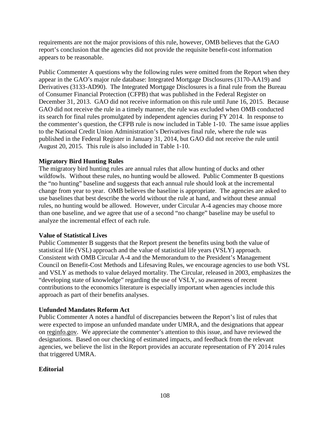requirements are not the major provisions of this rule, however, OMB believes that the GAO report's conclusion that the agencies did not provide the requisite benefit-cost information appears to be reasonable.

Public Commenter A questions why the following rules were omitted from the Report when they appear in the GAO's major rule database: Integrated Mortgage Disclosures (3170-AA19) and Derivatives (3133-AD90). The Integrated Mortgage Disclosures is a final rule from the Bureau of Consumer Financial Protection (CFPB) that was published in the Federal Register on December 31, 2013. GAO did not receive information on this rule until June 16, 2015. Because GAO did not receive the rule in a timely manner, the rule was excluded when OMB conducted its search for final rules promulgated by independent agencies during FY 2014. In response to the commenter's question, the CFPB rule is now included in Table 1-10. The same issue applies to the National Credit Union Administration's Derivatives final rule, where the rule was published in the Federal Register in January 31, 2014, but GAO did not receive the rule until August 20, 2015. This rule is also included in Table 1-10.

### **Migratory Bird Hunting Rules**

The migratory bird hunting rules are annual rules that allow hunting of ducks and other wildfowls. Without these rules, no hunting would be allowed. Public Commenter B questions the "no hunting" baseline and suggests that each annual rule should look at the incremental change from year to year. OMB believes the baseline is appropriate. The agencies are asked to use baselines that best describe the world without the rule at hand, and without these annual rules, no hunting would be allowed. However, under Circular A-4 agencies may choose more than one baseline, and we agree that use of a second "no change" baseline may be useful to analyze the incremental effect of each rule.

#### **Value of Statistical Lives**

Public Commenter B suggests that the Report present the benefits using both the value of statistical life (VSL) approach and the value of statistical life years (VSLY) approach. Consistent with OMB Circular A-4 and the Memorandum to the President's Management Council on Benefit-Cost Methods and Lifesaving Rules, we encourage agencies to use both VSL and VSLY as methods to value delayed mortality. The Circular, released in 2003, emphasizes the "developing state of knowledge" regarding the use of VSLY, so awareness of recent contributions to the economics literature is especially important when agencies include this approach as part of their benefits analyses.

#### **Unfunded Mandates Reform Act**

Public Commenter A notes a handful of discrepancies between the Report's list of rules that were expected to impose an unfunded mandate under UMRA, and the designations that appear on reginfo.gov. We appreciate the commenter's attention to this issue, and have reviewed the designations. Based on our checking of estimated impacts, and feedback from the relevant agencies, we believe the list in the Report provides an accurate representation of FY 2014 rules that triggered UMRA.

#### **Editorial**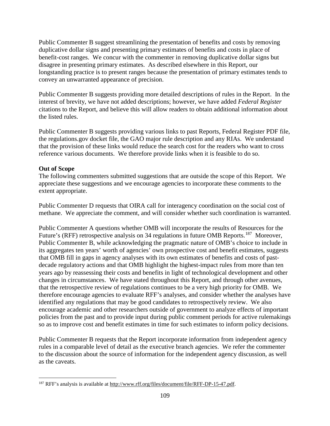Public Commenter B suggest streamlining the presentation of benefits and costs by removing duplicative dollar signs and presenting primary estimates of benefits and costs in place of benefit-cost ranges. We concur with the commenter in removing duplicative dollar signs but disagree in presenting primary estimates. As described elsewhere in this Report, our longstanding practice is to present ranges because the presentation of primary estimates tends to convey an unwarranted appearance of precision.

Public Commenter B suggests providing more detailed descriptions of rules in the Report. In the interest of brevity, we have not added descriptions; however, we have added *Federal Register* citations to the Report, and believe this will allow readers to obtain additional information about the listed rules.

Public Commenter B suggests providing various links to past Reports, Federal Register PDF file, the regulations.gov docket file, the GAO major rule description and any RIAs. We understand that the provision of these links would reduce the search cost for the readers who want to cross reference various documents. We therefore provide links when it is feasible to do so.

### **Out of Scope**

The following commenters submitted suggestions that are outside the scope of this Report. We appreciate these suggestions and we encourage agencies to incorporate these comments to the extent appropriate.

Public Commenter D requests that OIRA call for interagency coordination on the social cost of methane. We appreciate the comment, and will consider whether such coordination is warranted.

Public Commenter A questions whether OMB will incorporate the results of Resources for the Future's (RFF) retrospective analysis on 34 regulations in future OMB Reports.<sup>187</sup> Moreover, Public Commenter B, while acknowledging the pragmatic nature of OMB's choice to include in its aggregates ten years' worth of agencies' own prospective cost and benefit estimates, suggests that OMB fill in gaps in agency analyses with its own estimates of benefits and costs of pastdecade regulatory actions and that OMB highlight the highest-impact rules from more than ten years ago by reassessing their costs and benefits in light of technological development and other changes in circumstances. We have stated throughout this Report, and through other avenues, that the retrospective review of regulations continues to be a very high priority for OMB. We therefore encourage agencies to evaluate RFF's analyses, and consider whether the analyses have identified any regulations that may be good candidates to retrospectively review. We also encourage academic and other researchers outside of government to analyze effects of important policies from the past and to provide input during public comment periods for active rulemakings so as to improve cost and benefit estimates in time for such estimates to inform policy decisions.

Public Commenter B requests that the Report incorporate information from independent agency rules in a comparable level of detail as the executive branch agencies. We refer the commenter to the discussion about the source of information for the independent agency discussion, as well as the caveats.

<span id="page-111-0"></span><sup>&</sup>lt;sup>187</sup> RFF's analysis is available at http://www.rff.org/files/document/file/RFF-DP-15-47.pdf.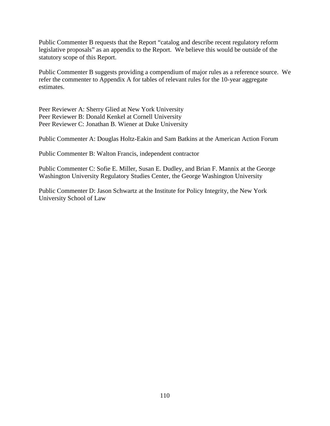Public Commenter B requests that the Report "catalog and describe recent regulatory reform legislative proposals" as an appendix to the Report. We believe this would be outside of the statutory scope of this Report.

Public Commenter B suggests providing a compendium of major rules as a reference source. We refer the commenter to Appendix A for tables of relevant rules for the 10-year aggregate estimates.

Peer Reviewer A: Sherry Glied at New York University Peer Reviewer B: Donald Kenkel at Cornell University Peer Reviewer C: Jonathan B. Wiener at Duke University

Public Commenter A: Douglas Holtz-Eakin and Sam Batkins at the American Action Forum

Public Commenter B: Walton Francis, independent contractor

Public Commenter C: Sofie E. Miller, Susan E. Dudley, and Brian F. Mannix at the George Washington University Regulatory Studies Center, the George Washington University

Public Commenter D: Jason Schwartz at the Institute for Policy Integrity, the New York University School of Law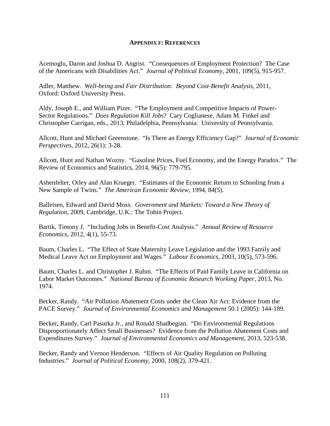#### **APPENDIX F: REFERENCES**

Acemoglu, Daron and Joshua D. Angrist. "Consequences of Employment Protection? The Case of the Americans with Disabilities Act." *Journal of Political Economy*, 2001, 109(5), 915-957.

Adler, Matthew. *Well-being and Fair Distribution: Beyond Cost-Benefit Analysis*, 2011, Oxford: Oxford University Press.

Aldy, Joseph E., and William Pizer. "The Employment and Competitive Impacts of Power-Sector Regulations." *Does Regulation Kill Jobs*? Cary Coglianese, Adam M. Finkel and Christopher Carrigan, eds., 2013, Philadelphia, Pennsylvania: University of Pennsylvania.

Allcott, Hunt and Michael Greenstone. "Is There an Energy Efficiency Gap?" *Journal of Economic Perspectives*, 2012, 26(1): 3-28.

Allcott, Hunt and Nathan Wozny. "Gasoline Prices, Fuel Economy, and the Energy Paradox." The Review of Economics and Statistics, 2014, 96(5): 779-795.

Ashenfelter, Orley and Alan Krueger. "Estimates of the Economic Return to Schooling from a New Sample of Twins." *The American Economic Review*, 1994, 84(5).

Balleisen, Edward and David Moss. *Government and Markets: Toward a New Theory of Regulation*, 2009, Cambridge, U.K.: The Tobin Project.

Bartik, Timony J. "Including Jobs in Benefit-Cost Analysis." *Annual Review of Resource Economics*, 2012, 4(1), 55-73.

Baum, Charles L. "The Effect of State Maternity Leave Legislation and the 1993 Family and Medical Leave Act on Employment and Wages." *Labour Economics,* 2003, 10(5), 573-596.

Baum, Charles L. and Christopher J. Ruhm. "The Effects of Paid Family Leave in California on Labor Market Outcomes." *National Bureau of Economic Research Working Paper*, 2013, No. 1974.

Becker, Randy. "Air Pollution Abatement Costs under the Clean Air Act: Evidence from the PACE Survey." *Journal of Environmental Economics and Management* 50.1 (2005): 144-189.

Becker, Randy, Carl Pasurka Jr., and Ronald Shadbegian. "Do Environmental Regulations Disproportionately Affect Small Businesses? Evidence from the Pollution Abatement Costs and Expenditures Survey." *Journal of Environmental Economics and Management*, 2013, 523-538.

Becker, Randy and Vernon Henderson. "Effects of Air Quality Regulation on Polluting Industries." *Journal of Political Economy*, 2000, 108(2), 379-421.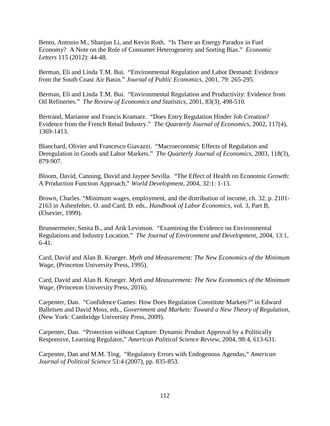Bento, Antonio M., Shanjun Li, and Kevin Roth. "Is There an Energy Paradox in Fuel Economy? A Note on the Role of Consumer Heterogeneity and Sorting Bias." *Economic Letters* 115 (2012): 44-48.

Berman, Eli and Linda T.M. Bui. "Environmental Regulation and Labor Demand: Evidence from the South Coast Air Basin." *Journal of Public Economics*, 2001, 79: 265-295.

Berman, Eli and Linda T.M. Bui. "Environmental Regulation and Productivity: Evidence from Oil Refineries." *The Review of Economics and Statistics*, 2001, 83(3), 498-510.

Bertrand, Marianne and Francis Kramarz. "Does Entry Regulation Hinder Job Creation? Evidence from the French Retail Industry." *The Quarterly Journal of Economics*, 2002, 117(4), 1369-1413.

Blanchard, Olivier and Francesco Giavazzi. "Macroeconomic Effects of Regulation and Deregulation in Goods and Labor Markets." *The Quarterly Journal of Economics*, 2003, 118(3), 879-907.

Bloom, David, Canning, David and Jaypee Sevilla. "The Effect of Health on Economic Growth: A Production Function Approach," *World Development*, 2004, 32:1: 1-13.

Brown, Charles. "Minimum wages, employment, and the distribution of income, ch. 32, p. 2101- 2163 in Ashenfelter, O. and Card, D. eds., *Handbook of Labor Economics*, vol. 3, Part B, (Elsevier, 1999).

Brunnermeier, Smita B., and Arik Levinson. "Examining the Evidence on Environmental Regulations and Industry Location." *The Journal of Environment and Development*, 2004, 13:1, 6-41.

Card, David and Alan B. Krueger. *Myth and Measurement: The New Economics of the Minimum Wage*, (Princeton University Press, 1995).

Card, David and Alan B. Krueger. *Myth and Measurement: The New Economics of the Minimum Wage*, (Princeton University Press, 2016).

Carpenter, Dan. "Confidence Games: How Does Regulation Constitute Markets?" in Edward Balleisen and David Moss, eds., *Government and Markets: Toward a New Theory of Regulation*, (New York: Cambridge University Press, 2009).

Carpenter, Dan. "Protection without Capture: Dynamic Product Approval by a Politically Responsive, Learning Regulator," *American Political Science Review*, 2004, 98:4, 613-631.

Carpenter, Dan and M.M. Ting. "Regulatory Errors with Endogenous Agendas," *American Journal of Political Science* 51:4 (2007), pp. 835-853.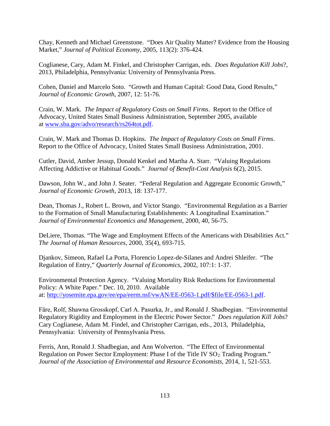Chay, Kenneth and Michael Greenstone. "Does Air Quality Matter? Evidence from the Housing Market," *Journal of Political Economy*, 2005, 113(2): 376-424.

Coglianese, Cary, Adam M. Finkel, and Christopher Carrigan, eds. *Does Regulation Kill Jobs*?, 2013, Philadelphia, Pennsylvania: University of Pennsylvania Press.

Cohen, Daniel and Marcelo Soto. "Growth and Human Capital: Good Data, Good Results," *Journal of Economic Growth*, 2007, 12: 51-76.

Crain, W. Mark. *The Impact of Regulatory Costs on Small Firms*. Report to the Office of Advocacy, United States Small Business Administration, September 2005, available at [www.sba.gov/advo/research/rs264tot.pdf.](http://www.sba.gov/advo/research/rs264tot.pdf)

Crain, W. Mark and Thomas D. Hopkins. *The Impact of Regulatory Costs on Small Firms*. Report to the Office of Advocacy, United States Small Business Administration, 2001.

Cutler, David, Amber Jessup, Donald Kenkel and Martha A. Starr. "Valuing Regulations Affecting Addictive or Habitual Goods." *Journal of Benefit-Cost Analysis* 6(2), 2015.

Dawson, John W., and John J. Seater. "Federal Regulation and Aggregate Economic Growth," *Journal of Economic Growth*, 2013, 18: 137-177.

Dean, Thomas J., Robert L. Brown, and Victor Stango. "Environmental Regulation as a Barrier to the Formation of Small Manufacturing Establishments: A Longitudinal Examination." *Journal of Environmental Economics and Management*, 2000, 40, 56-75.

DeLiere, Thomas. "The Wage and Employment Effects of the Americans with Disabilities Act." *The Journal of Human Resources*, 2000, 35(4), 693-715.

Djankov, Simeon, Rafael La Porta, Florencio Lopez-de-Silanes and Andrei Shleifer. "The Regulation of Entry," *Quarterly Journal of Economics*, 2002, 107:1: 1-37.

Environmental Protection Agency. "Valuing Mortality Risk Reductions for Environmental Policy: A White Paper." Dec. 10, 2010. Available at: [http://yosemite.epa.gov/ee/epa/eerm.nsf/vwAN/EE-0563-1.pdf/\\$file/EE-0563-1.pdf.](http://yosemite.epa.gov/ee/epa/eerm.nsf/vwAN/EE-0563-1.pdf/$file/EE-0563-1.pdf)

Fӓre, Rolf, Shawna Grosskopf, Carl A. Pasurka, Jr., and Ronald J. Shadbegian. "Environmental Regulatory Rigidity and Employment in the Electric Power Sector." *Does regulation Kill Jobs*? Cary Coglianese, Adam M. Findel, and Christopher Carrigan, eds., 2013, Philadelphia, Pennsylvania: University of Pennsylvania Press.

Ferris, Ann, Ronald J. Shadbegian, and Ann Wolverton. "The Effect of Environmental Regulation on Power Sector Employment: Phase I of the Title IV SO<sub>2</sub> Trading Program." *Journal of the Association of Environmental and Resource Economists*, 2014, 1, 521-553.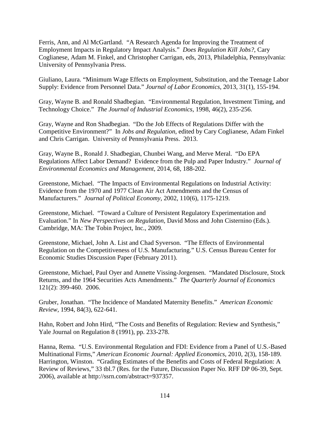Ferris, Ann, and Al McGartland. "A Research Agenda for Improving the Treatment of Employment Impacts in Regulatory Impact Analysis." *Does Regulation Kill Jobs?*, Cary Coglianese, Adam M. Finkel, and Christopher Carrigan, eds, 2013, Philadelphia, Pennsylvania: University of Pennsylvania Press.

Giuliano, Laura. "Minimum Wage Effects on Employment, Substitution, and the Teenage Labor Supply: Evidence from Personnel Data." *Journal of Labor Economics*, 2013, 31(1), 155-194.

Gray, Wayne B. and Ronald Shadbegian. "Environmental Regulation, Investment Timing, and Technology Choice." *The Journal of Industrial Economics*, 1998, 46(2), 235-256.

Gray, Wayne and Ron Shadbegian. "Do the Job Effects of Regulations Differ with the Competitive Environment?" In *Jobs and Regulation*, edited by Cary Coglianese, Adam Finkel and Chris Carrigan. University of Pennsylvania Press. 2013.

Gray, Wayne B., Ronald J. Shadbegian, Chunbei Wang, and Merve Meral. "Do EPA Regulations Affect Labor Demand? Evidence from the Pulp and Paper Industry." *Journal of Environmental Economics and Management*, 2014, 68, 188-202.

Greenstone, Michael. "The Impacts of Environmental Regulations on Industrial Activity: Evidence from the 1970 and 1977 Clean Air Act Amendments and the Census of Manufacturers." *Journal of Political Economy*, 2002, 110(6), 1175-1219.

Greenstone, Michael. "Toward a Culture of Persistent Regulatory Experimentation and Evaluation." In *New Perspectives on Regulation*, David Moss and John Cisternino (Eds.). Cambridge, MA: The Tobin Project, Inc., 2009.

Greenstone, Michael, John A. List and Chad Syverson. "The Effects of Environmental Regulation on the Competitiveness of U.S. Manufacturing." U.S. Census Bureau Center for Economic Studies Discussion Paper (February 2011).

Greenstone, Michael, Paul Oyer and Annette Vissing-Jorgensen. "Mandated Disclosure, Stock Returns, and the 1964 Securities Acts Amendments." *The Quarterly Journal of Economics* 121(2): 399-460. 2006.

Gruber, Jonathan. "The Incidence of Mandated Maternity Benefits." *American Economic Review,* 1994, 84(3), 622-641.

Hahn, Robert and John Hird, "The Costs and Benefits of Regulation: Review and Synthesis," Yale Journal on Regulation 8 (1991), pp. 233-278.

Hanna, Rema. "U.S. Environmental Regulation and FDI: Evidence from a Panel of U.S.-Based Multinational Firms," *American Economic Journal: Applied Economics,* 2010, 2(3), 158-189. Harrington, Winston. "Grading Estimates of the Benefits and Costs of Federal Regulation: A Review of Reviews," 33 tbl.7 (Res. for the Future, Discussion Paper No. RFF DP 06-39, Sept. 2006), available at [http://ssrn.com/abstract=937357.](http://ssrn.com/abstract=937357)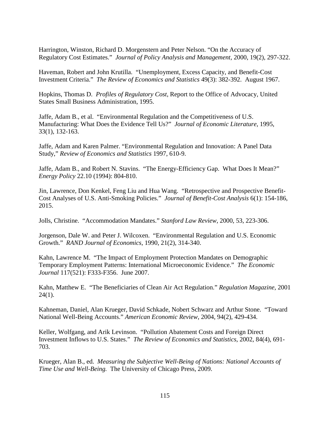Harrington, Winston, Richard D. Morgenstern and Peter Nelson. "On the Accuracy of Regulatory Cost Estimates." *Journal of Policy Analysis and Management,* 2000, 19(2), 297-322.

Haveman, Robert and John Krutilla. "Unemployment, Excess Capacity, and Benefit-Cost Investment Criteria." *The Review of Economics and Statistics* 49(3): 382-392. August 1967.

Hopkins, Thomas D. *Profiles of Regulatory Cost*, Report to the Office of Advocacy, United States Small Business Administration, 1995.

Jaffe, Adam B., et al. "Environmental Regulation and the Competitiveness of U.S. Manufacturing: What Does the Evidence Tell Us?" *Journal of Economic Literature*, 1995, 33(1), 132-163.

Jaffe, Adam and Karen Palmer. "Environmental Regulation and Innovation: A Panel Data Study," *Review of Economics and Statistics* 1997, 610-9.

Jaffe, Adam B., and Robert N. Stavins. "The Energy-Efficiency Gap. What Does It Mean?" *Energy Policy* 22.10 (1994): 804-810.

Jin, Lawrence, Don Kenkel, Feng Liu and Hua Wang. "Retrospective and Prospective Benefit-Cost Analyses of U.S. Anti-Smoking Policies." *Journal of Benefit-Cost Analysis* 6(1): 154-186, 2015.

Jolls, Christine. "Accommodation Mandates." *Stanford Law Review*, 2000, 53, 223-306.

Jorgenson, Dale W. and Peter J. Wilcoxen. "Environmental Regulation and U.S. Economic Growth." *RAND Journal of Economics*, 1990, 21(2), 314-340.

Kahn, Lawrence M. "The Impact of Employment Protection Mandates on Demographic Temporary Employment Patterns: International Microeconomic Evidence." *The Economic Journal* 117(521): F333-F356. June 2007.

Kahn, Matthew E. "The Beneficiaries of Clean Air Act Regulation." *Regulation Magazine*, 2001  $24(1)$ .

Kahneman, Daniel, Alan Krueger, David Schkade, Nobert Schwarz and Arthur Stone. "Toward National Well-Being Accounts." *American Economic Review*, 2004, 94(2), 429-434.

Keller, Wolfgang, and Arik Levinson. "Pollution Abatement Costs and Foreign Direct Investment Inflows to U.S. States." *The Review of Economics and Statistics*, 2002, 84(4), 691- 703.

Krueger, Alan B., ed. *Measuring the Subjective Well-Being of Nations: National Accounts of Time Use and Well-Being.* The University of Chicago Press, 2009.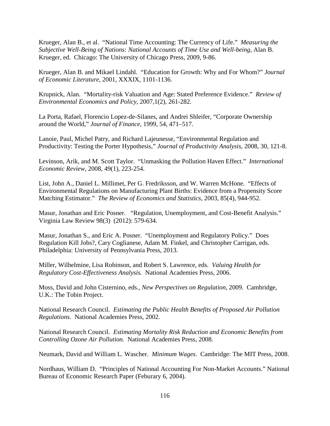Krueger, Alan B., et al. "National Time Accounting: The Currency of Life." *Measuring the Subjective Well-Being of Nations: National Accounts of Time Use and Well-being,* Alan B. Krueger, ed. Chicago: The University of Chicago Press, 2009, 9-86.

Krueger, Alan B. and Mikael Lindahl. "Education for Growth: Why and For Whom?" *Journal of Economic Literature*, 2001, XXXIX, 1101-1136.

Krupnick, Alan. "Mortality-risk Valuation and Age: Stated Preference Evidence." *Review of Environmental Economics and Policy*, 2007,1(2), 261-282.

La Porta, Rafael, Florencio Lopez-de-Silanes, and Andrei Shleifer, "Corporate Ownership around the World," *Journal of Finance*, 1999, 54, 471–517.

Lanoie, Paul, Michel Patry, and Richard Lajeunesse, "Environmental Regulation and Productivity: Testing the Porter Hypothesis," *Journal of Productivity Analysis*, 2008, 30, 121-8.

Levinson, Arik, and M. Scott Taylor. "Unmasking the Pollution Haven Effect." *International Economic Review*, 2008, 49(1), 223-254.

List, John A., Daniel L. Millimet, Per G. Fredriksson, and W. Warren McHone. "Effects of Environmental Regulations on Manufacturing Plant Births: Evidence from a Propensity Score Matching Estimator." *The Review of Economics and Statistics*, 2003, 85(4), 944-952.

Masur, Jonathan and Eric Posner. "Regulation, Unemployment, and Cost-Benefit Analysis." Virginia Law Review 98(3) (2012): 579-634.

Masur, Jonathan S., and Eric A. Posner. "Unemployment and Regulatory Policy." Does Regulation Kill Jobs?, Cary Coglianese, Adam M. Finkel, and Christopher Carrigan, eds. Philadelphia: University of Pennsylvania Press, 2013.

Miller, Wilhelmine, Lisa Robinson, and Robert S. Lawrence, eds. *Valuing Health for Regulatory Cost-Effectiveness Analysis.* National Academies Press, 2006.

Moss, David and John Cisternino, eds., *New Perspectives on Regulation*, 2009. Cambridge, U.K.: The Tobin Project.

National Research Council. *Estimating the Public Health Benefits of Proposed Air Pollution Regulations*. National Academies Press, 2002.

National Research Council. *Estimating Mortality Risk Reduction and Economic Benefits from Controlling Ozone Air Pollution.* National Academies Press, 2008.

Neumark, David and William L. Wascher. *Minimum Wages*. Cambridge: The MIT Press, 2008.

Nordhaus, William D. "Principles of National Accounting For Non-Market Accounts." National Bureau of Economic Research Paper (Feburary 6, 2004).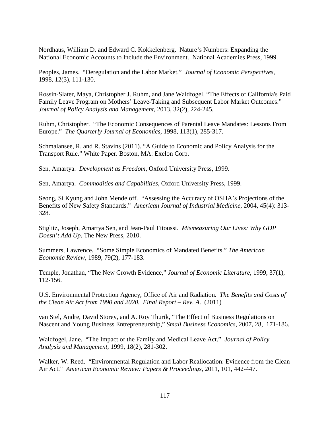Nordhaus, William D. and Edward C. Kokkelenberg. Nature's Numbers: Expanding the National Economic Accounts to Include the Environment. National Academies Press, 1999.

Peoples, James. "Deregulation and the Labor Market." *Journal of Economic Perspectives,* 1998, 12(3), 111-130.

Rossin-Slater, Maya, Christopher J. Ruhm, and Jane Waldfogel. "The Effects of California's Paid Family Leave Program on Mothers' Leave-Taking and Subsequent Labor Market Outcomes." *Journal of Policy Analysis and Management*, 2013, 32(2), 224-245.

Ruhm, Christopher. "The Economic Consequences of Parental Leave Mandates: Lessons From Europe." *The Quarterly Journal of Economics*, 1998, 113(1), 285-317.

Schmalansee, R. and R. Stavins (2011). "A Guide to Economic and Policy Analysis for the Transport Rule." White Paper. Boston, MA: Exelon Corp.

Sen, Amartya. *Development as Freedom*, Oxford University Press, 1999.

Sen, Amartya. *Commodities and Capabilities*, Oxford University Press, 1999.

Seong, Si Kyung and John Mendeloff. "Assessing the Accuracy of OSHA's Projections of the Benefits of New Safety Standards." *American Journal of Industrial Medicine*, 2004, 45(4): 313- 328.

Stiglitz, Joseph, Amartya Sen, and Jean-Paul Fitoussi. *Mismeasuring Our Lives: Why GDP Doesn't Add Up*. The New Press, 2010.

Summers, Lawrence. "Some Simple Economics of Mandated Benefits." *The American Economic Review*, 1989, 79(2), 177-183.

Temple, Jonathan, "The New Growth Evidence," *Journal of Economic Literature*, 1999, 37(1), 112-156.

U.S. Environmental Protection Agency, Office of Air and Radiation. *The Benefits and Costs of the Clean Air Act from 1990 and 2020. Final Report – Rev. A*. (2011)

van Stel, Andre, David Storey, and A. Roy Thurik, "The Effect of Business Regulations on Nascent and Young Business Entrepreneurship," *Small Business Economics*, 2007, 28, 171-186.

Waldfogel, Jane. "The Impact of the Family and Medical Leave Act." *Journal of Policy Analysis and Management,* 1999, 18(2), 281-302.

Walker, W. Reed. "Environmental Regulation and Labor Reallocation: Evidence from the Clean Air Act." *American Economic Review: Papers & Proceedings*, 2011, 101, 442-447.